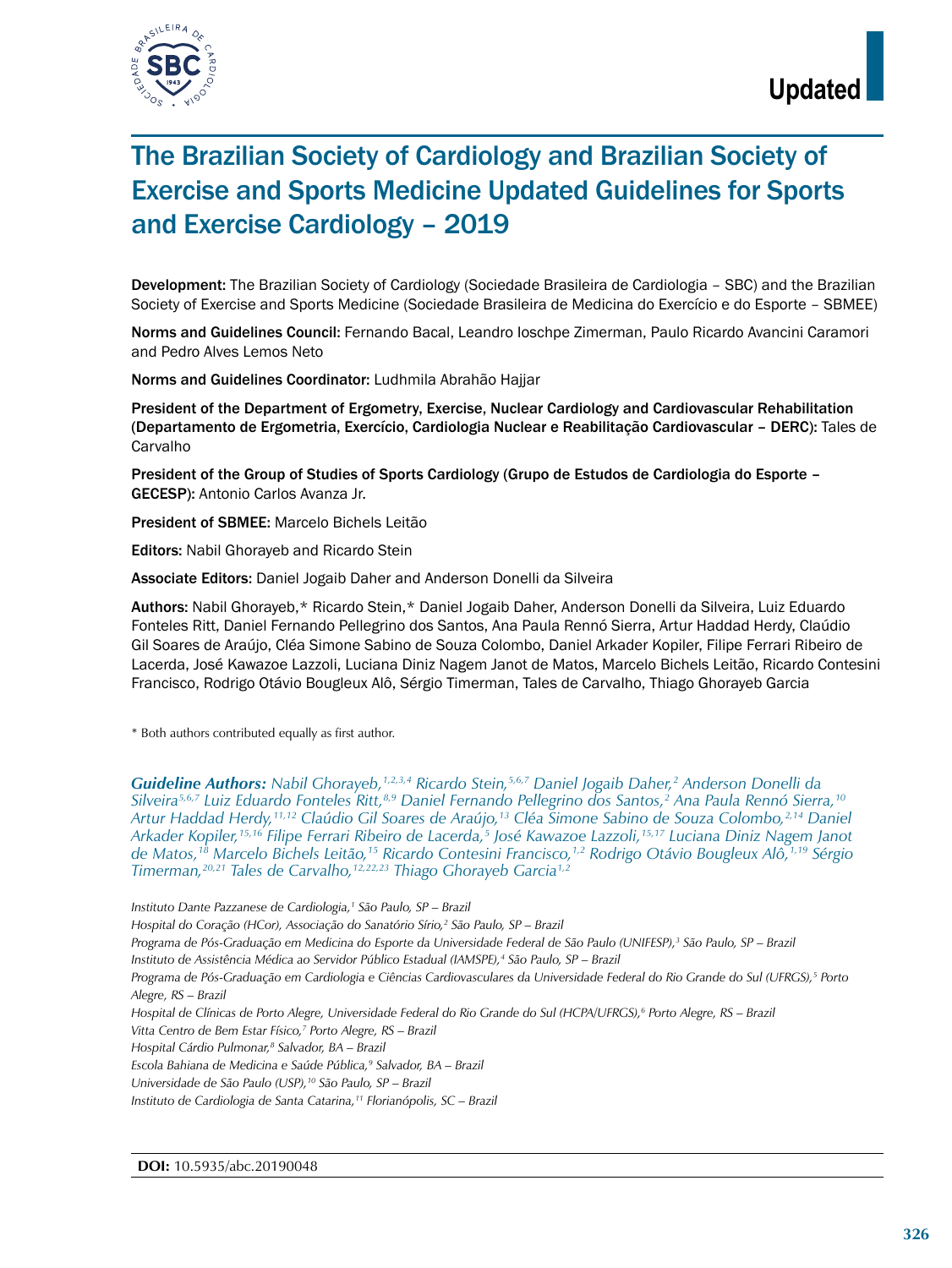

# The Brazilian Society of Cardiology and Brazilian Society of Exercise and Sports Medicine Updated Guidelines for Sports and Exercise Cardiology – 2019

Development: The Brazilian Society of Cardiology (Sociedade Brasileira de Cardiologia – SBC) and the Brazilian Society of Exercise and Sports Medicine (Sociedade Brasileira de Medicina do Exercício e do Esporte – SBMEE)

Norms and Guidelines Council: Fernando Bacal, Leandro Ioschpe Zimerman, Paulo Ricardo Avancini Caramori and Pedro Alves Lemos Neto

Norms and Guidelines Coordinator: Ludhmila Abrahão Hajjar

President of the Department of Ergometry, Exercise, Nuclear Cardiology and Cardiovascular Rehabilitation (Departamento de Ergometria, Exercício, Cardiologia Nuclear e Reabilitação Cardiovascular – DERC): Tales de Carvalho

President of the Group of Studies of Sports Cardiology (Grupo de Estudos de Cardiologia do Esporte – GECESP): Antonio Carlos Avanza Jr.

President of SBMEE: Marcelo Bichels Leitão

Editors: Nabil Ghorayeb and Ricardo Stein

Associate Editors: Daniel Jogaib Daher and Anderson Donelli da Silveira

Authors: Nabil Ghorayeb,\* Ricardo Stein,\* Daniel Jogaib Daher, Anderson Donelli da Silveira, Luiz Eduardo Fonteles Ritt, Daniel Fernando Pellegrino dos Santos, Ana Paula Rennó Sierra, Artur Haddad Herdy, Claúdio Gil Soares de Araújo, Cléa Simone Sabino de Souza Colombo, Daniel Arkader Kopiler, Filipe Ferrari Ribeiro de Lacerda, José Kawazoe Lazzoli, Luciana Diniz Nagem Janot de Matos, Marcelo Bichels Leitão, Ricardo Contesini Francisco, Rodrigo Otávio Bougleux Alô, Sérgio Timerman, Tales de Carvalho, Thiago Ghorayeb Garcia

\* Both authors contributed equally as first author.

*Guideline Authors: Nabil Ghorayeb,1,2,3,4 Ricardo Stein,5,6,7 Daniel Jogaib Daher,2 Anderson Donelli da Silveira5,6,7 Luiz Eduardo Fonteles Ritt,8,9 Daniel Fernando Pellegrino dos Santos,2 Ana Paula Rennó Sierra,10 Artur Haddad Herdy,11,12 Claúdio Gil Soares de Araújo,13 Cléa Simone Sabino de Souza Colombo,2,14 Daniel Arkader Kopiler,15,16 Filipe Ferrari Ribeiro de Lacerda,5 José Kawazoe Lazzoli,15,17 Luciana Diniz Nagem Janot de Matos,18 Marcelo Bichels Leitão,15 Ricardo Contesini Francisco,1,2 Rodrigo Otávio Bougleux Alô,1,19 Sérgio Timerman,20,21 Tales de Carvalho,12,22,23 Thiago Ghorayeb Garcia1,2*

*Instituto Dante Pazzanese de Cardiologia,1 São Paulo, SP – Brazil* 

Hospital do Coração (HCor), Associação do Sanatório Sírio,<sup>2</sup> São Paulo, SP – Brazil

*Programa de Pós-Graduação em Medicina do Esporte da Universidade Federal de São Paulo (UNIFESP),3 São Paulo, SP – Brazil* 

*Instituto de Assistência Médica ao Servidor Público Estadual (IAMSPE),4 São Paulo, SP – Brazil* 

*Programa de Pós-Graduação em Cardiologia e Ciências Cardiovasculares da Universidade Federal do Rio Grande do Sul (UFRGS),5 Porto Alegre, RS – Brazil* 

Hospital de Clínicas de Porto Alegre, Universidade Federal do Rio Grande do Sul (HCPA/UFRGS),<sup>6</sup> Porto Alegre, RS – Brazil

Vitta Centro de Bem Estar Físico,<sup>7</sup> Porto Alegre, RS – Brazil

*Hospital Cárdio Pulmonar,8 Salvador, BA – Brazil* 

*Escola Bahiana de Medicina e Saúde Pública,9 Salvador, BA – Brazil* 

*Universidade de São Paulo (USP),10 São Paulo, SP – Brazil* 

*Instituto de Cardiologia de Santa Catarina,11 Florianópolis, SC – Brazil*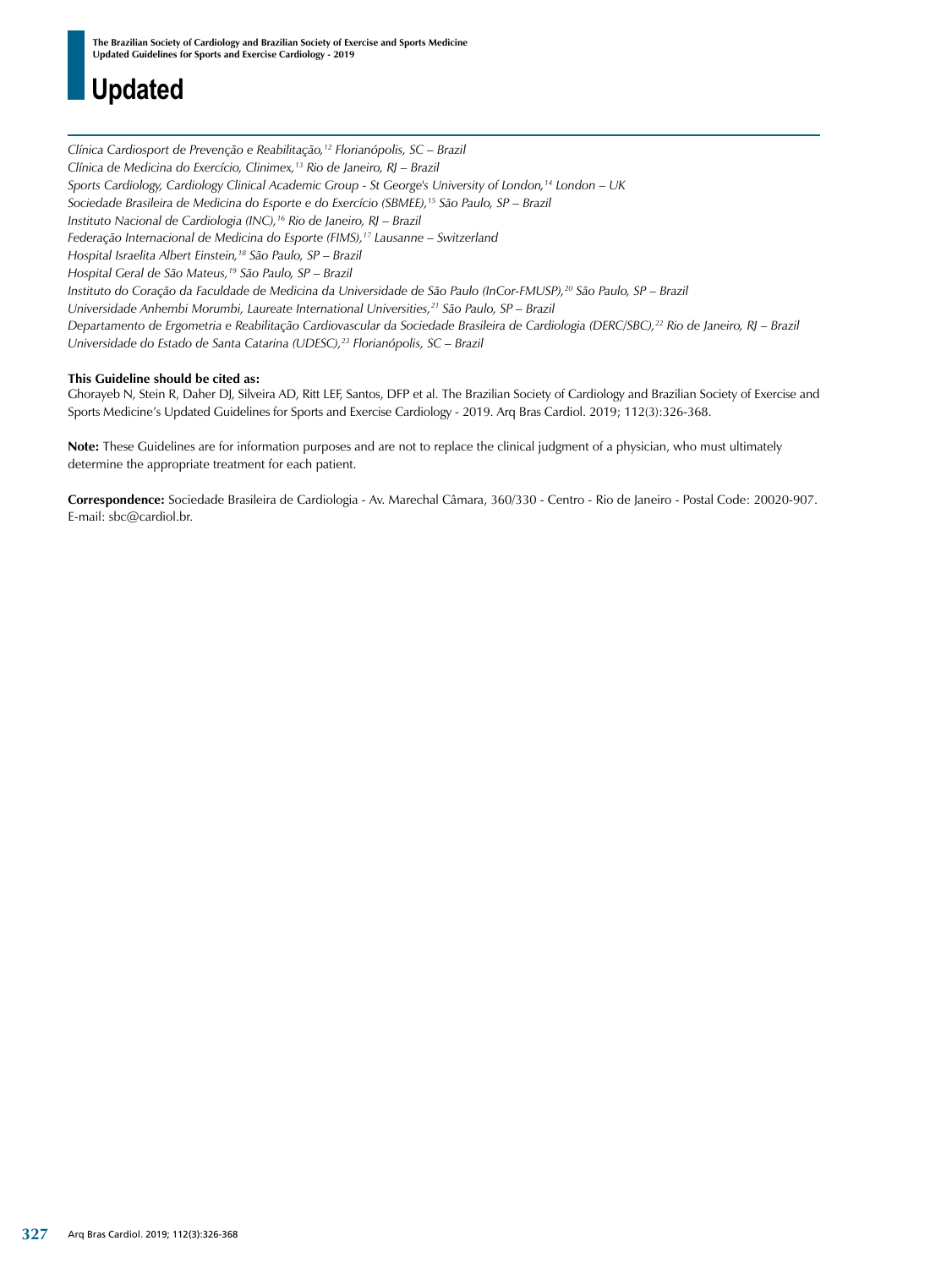*Clínica Cardiosport de Prevenção e Reabilitação,12 Florianópolis, SC – Brazil Clínica de Medicina do Exercício, Clinimex,13 Rio de Janeiro, RJ – Brazil Sports Cardiology, Cardiology Clinical Academic Group - St George's University of London,14 London – UK Sociedade Brasileira de Medicina do Esporte e do Exercício (SBMEE),15 São Paulo, SP – Brazil Instituto Nacional de Cardiologia (INC),16 Rio de Janeiro, RJ – Brazil Federação Internacional de Medicina do Esporte (FIMS),17 Lausanne – Switzerland Hospital Israelita Albert Einstein,18 São Paulo, SP – Brazil Hospital Geral de São Mateus,19 São Paulo, SP – Brazil Instituto do Coração da Faculdade de Medicina da Universidade de São Paulo (InCor-FMUSP),20 São Paulo, SP – Brazil Universidade Anhembi Morumbi, Laureate International Universities,21 São Paulo, SP – Brazil Departamento de Ergometria e Reabilitação Cardiovascular da Sociedade Brasileira de Cardiologia (DERC/SBC),22 Rio de Janeiro, RJ – Brazil Universidade do Estado de Santa Catarina (UDESC),23 Florianópolis, SC – Brazil*

### **This Guideline should be cited as:**

Ghorayeb N, Stein R, Daher DJ, Silveira AD, Ritt LEF, Santos, DFP et al. The Brazilian Society of Cardiology and Brazilian Society of Exercise and Sports Medicine's Updated Guidelines for Sports and Exercise Cardiology - 2019. Arq Bras Cardiol. 2019; 112(3):326-368.

**Note:** These Guidelines are for information purposes and are not to replace the clinical judgment of a physician, who must ultimately determine the appropriate treatment for each patient.

**Correspondence:** Sociedade Brasileira de Cardiologia - Av. Marechal Câmara, 360/330 - Centro - Rio de Janeiro - Postal Code: 20020-907. E-mail: sbc@cardiol.br.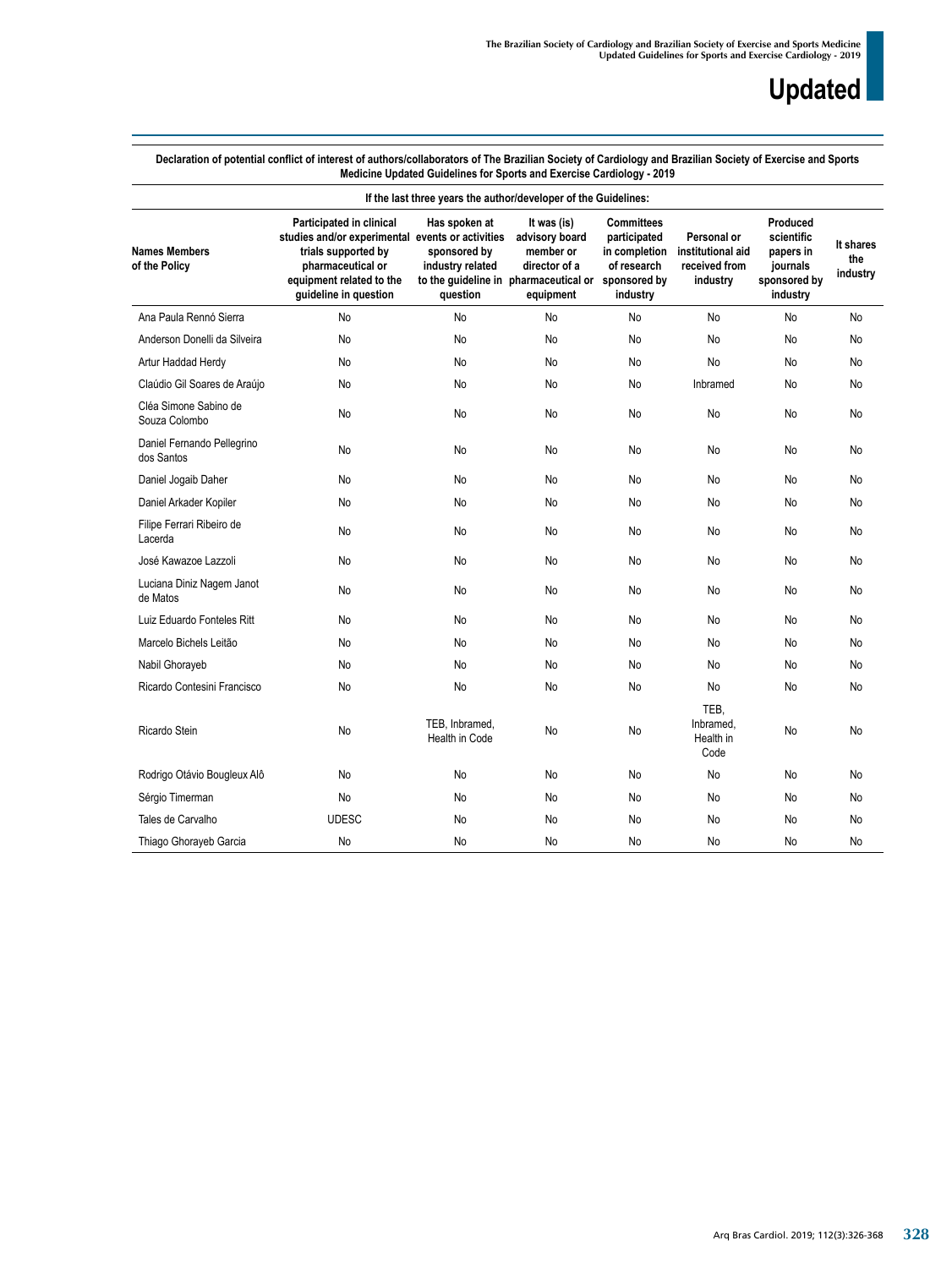**Declaration of potential conflict of interest of authors/collaborators of The Brazilian Society of Cardiology and Brazilian Society of Exercise and Sports Medicine Updated Guidelines for Sports and Exercise Cardiology - 2019**

| If the last three years the author/developer of the Guidelines: |                                                                                                                                                                               |                                                               |                                                                                                                                |                                                                               |                                                               |                                                                             |                              |
|-----------------------------------------------------------------|-------------------------------------------------------------------------------------------------------------------------------------------------------------------------------|---------------------------------------------------------------|--------------------------------------------------------------------------------------------------------------------------------|-------------------------------------------------------------------------------|---------------------------------------------------------------|-----------------------------------------------------------------------------|------------------------------|
| <b>Names Members</b><br>of the Policy                           | Participated in clinical<br>studies and/or experimental events or activities<br>trials supported by<br>pharmaceutical or<br>equipment related to the<br>guideline in question | Has spoken at<br>sponsored by<br>industry related<br>question | It was (is)<br>advisory board<br>member or<br>director of a<br>to the guideline in pharmaceutical or sponsored by<br>equipment | <b>Committees</b><br>participated<br>in completion<br>of research<br>industry | Personal or<br>institutional aid<br>received from<br>industry | Produced<br>scientific<br>papers in<br>journals<br>sponsored by<br>industry | It shares<br>the<br>industry |
| Ana Paula Rennó Sierra                                          | No                                                                                                                                                                            | No                                                            | <b>No</b>                                                                                                                      | No                                                                            | No                                                            | No                                                                          | No                           |
| Anderson Donelli da Silveira                                    | No                                                                                                                                                                            | No                                                            | No                                                                                                                             | No                                                                            | No                                                            | No                                                                          | No                           |
| Artur Haddad Herdy                                              | No                                                                                                                                                                            | No                                                            | No                                                                                                                             | No                                                                            | <b>No</b>                                                     | No                                                                          | No                           |
| Claúdio Gil Soares de Araújo                                    | No                                                                                                                                                                            | No                                                            | No                                                                                                                             | No                                                                            | Inbramed                                                      | No                                                                          | No                           |
| Cléa Simone Sabino de<br>Souza Colombo                          | No                                                                                                                                                                            | No                                                            | No                                                                                                                             | No                                                                            | No                                                            | No                                                                          | No                           |
| Daniel Fernando Pellegrino<br>dos Santos                        | No                                                                                                                                                                            | No                                                            | No                                                                                                                             | No                                                                            | No                                                            | No                                                                          | No                           |
| Daniel Jogaib Daher                                             | No                                                                                                                                                                            | No                                                            | <b>No</b>                                                                                                                      | No                                                                            | No                                                            | No                                                                          | No                           |
| Daniel Arkader Kopiler                                          | No                                                                                                                                                                            | No                                                            | No                                                                                                                             | No                                                                            | No                                                            | No                                                                          | No                           |
| Filipe Ferrari Ribeiro de<br>Lacerda                            | No                                                                                                                                                                            | No                                                            | No                                                                                                                             | No                                                                            | No                                                            | No                                                                          | No                           |
| José Kawazoe Lazzoli                                            | No                                                                                                                                                                            | No                                                            | No                                                                                                                             | No                                                                            | No                                                            | No                                                                          | No                           |
| Luciana Diniz Nagem Janot<br>de Matos                           | No                                                                                                                                                                            | No                                                            | No                                                                                                                             | No                                                                            | No                                                            | No                                                                          | No                           |
| Luiz Eduardo Fonteles Ritt                                      | No                                                                                                                                                                            | No                                                            | No                                                                                                                             | No                                                                            | No                                                            | No                                                                          | No                           |
| Marcelo Bichels Leitão                                          | No                                                                                                                                                                            | No                                                            | No                                                                                                                             | No                                                                            | No                                                            | No                                                                          | No                           |
| Nabil Ghorayeb                                                  | No                                                                                                                                                                            | No                                                            | No                                                                                                                             | No                                                                            | No                                                            | No                                                                          | No                           |
| Ricardo Contesini Francisco                                     | No                                                                                                                                                                            | No                                                            | No                                                                                                                             | No                                                                            | No                                                            | No                                                                          | No                           |
| Ricardo Stein                                                   | No                                                                                                                                                                            | TEB, Inbramed,<br>Health in Code                              | No                                                                                                                             | No                                                                            | TEB.<br>Inbramed,<br>Health in<br>Code                        | No                                                                          | No                           |
| Rodrigo Otávio Bougleux Alô                                     | No                                                                                                                                                                            | No                                                            | No                                                                                                                             | No                                                                            | No                                                            | No                                                                          | No                           |
| Sérgio Timerman                                                 | No                                                                                                                                                                            | No                                                            | No                                                                                                                             | No                                                                            | No                                                            | No                                                                          | No                           |
| Tales de Carvalho                                               | <b>UDESC</b>                                                                                                                                                                  | No                                                            | No                                                                                                                             | No                                                                            | No                                                            | No                                                                          | No                           |
| Thiago Ghorayeb Garcia                                          | No                                                                                                                                                                            | No                                                            | No                                                                                                                             | No                                                                            | No                                                            | No                                                                          | No                           |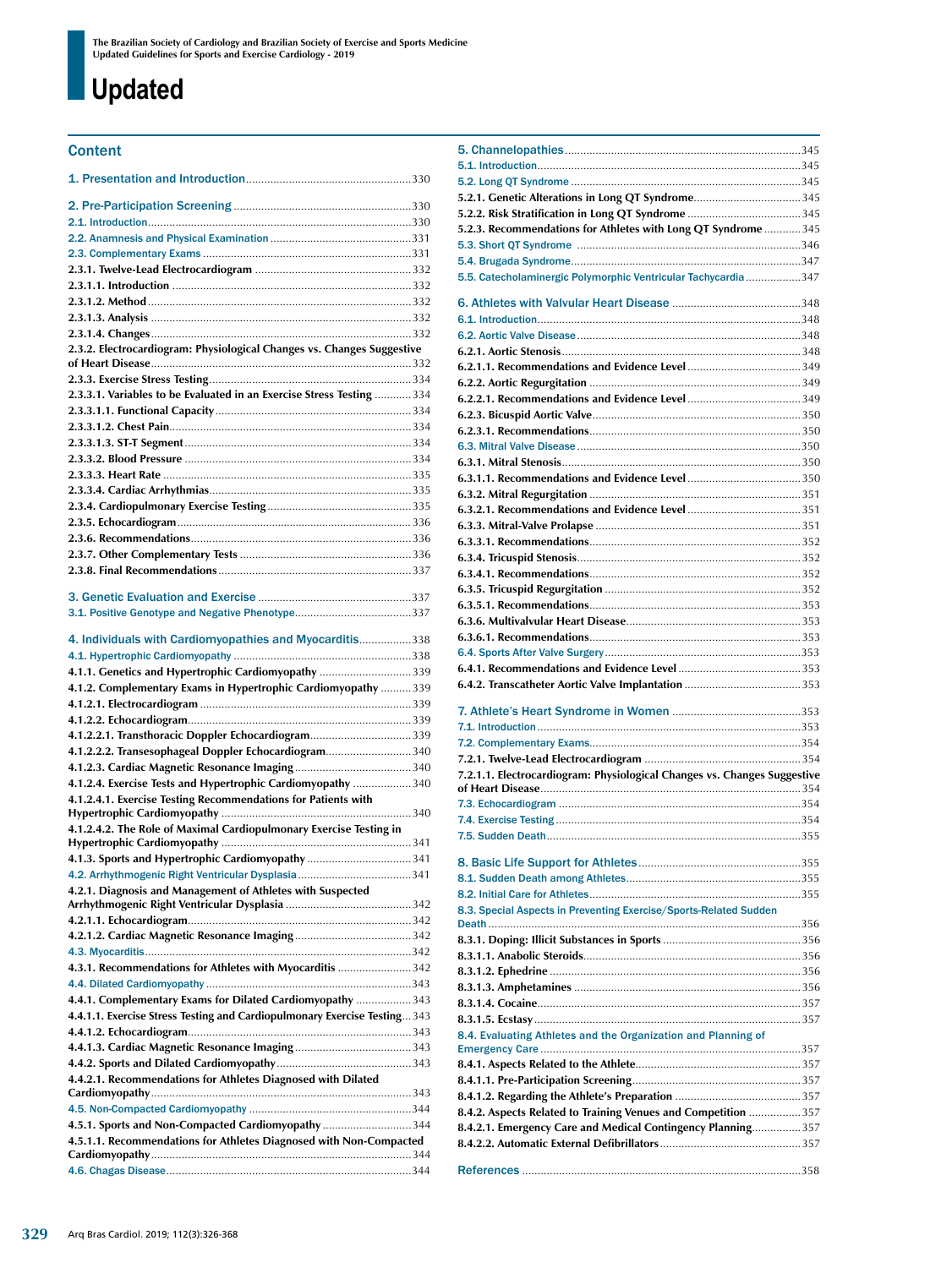| <b>Content</b>                                                            |  |
|---------------------------------------------------------------------------|--|
|                                                                           |  |
|                                                                           |  |
|                                                                           |  |
|                                                                           |  |
|                                                                           |  |
|                                                                           |  |
|                                                                           |  |
|                                                                           |  |
|                                                                           |  |
|                                                                           |  |
| 2.3.2. Electrocardiogram: Physiological Changes vs. Changes Suggestive    |  |
|                                                                           |  |
| 2.3.3.1. Variables to be Evaluated in an Exercise Stress Testing  334     |  |
|                                                                           |  |
|                                                                           |  |
|                                                                           |  |
|                                                                           |  |
|                                                                           |  |
|                                                                           |  |
|                                                                           |  |
|                                                                           |  |
|                                                                           |  |
|                                                                           |  |
|                                                                           |  |
|                                                                           |  |
|                                                                           |  |
|                                                                           |  |
| 4. Individuals with Cardiomyopathies and Myocarditis338                   |  |
| 4.1.1. Genetics and Hypertrophic Cardiomyopathy 339                       |  |
| 4.1.2. Complementary Exams in Hypertrophic Cardiomyopathy  339            |  |
|                                                                           |  |
|                                                                           |  |
| 4.1.2.2.1. Transthoracic Doppler Echocardiogram339                        |  |
| 4.1.2.2.2. Transesophageal Doppler Echocardiogram340                      |  |
|                                                                           |  |
| 4.1.2.4. Exercise Tests and Hypertrophic Cardiomyopathy 340               |  |
| 4.1.2.4.1. Exercise Testing Recommendations for Patients with             |  |
| 4.1.2.4.2. The Role of Maximal Cardiopulmonary Exercise Testing in        |  |
|                                                                           |  |
| 4.1.3. Sports and Hypertrophic Cardiomyopathy  341                        |  |
|                                                                           |  |
| 4.2.1. Diagnosis and Management of Athletes with Suspected                |  |
|                                                                           |  |
|                                                                           |  |
|                                                                           |  |
|                                                                           |  |
| 4.3.1. Recommendations for Athletes with Myocarditis 342                  |  |
|                                                                           |  |
| 4.4.1. Complementary Exams for Dilated Cardiomyopathy  343                |  |
| 4.4.1.1. Exercise Stress Testing and Cardiopulmonary Exercise Testing 343 |  |
|                                                                           |  |
|                                                                           |  |
| 4.4.2.1. Recommendations for Athletes Diagnosed with Dilated              |  |
|                                                                           |  |
|                                                                           |  |
| 4.5.1. Sports and Non-Compacted Cardiomyopathy 344                        |  |
| 4.5.1.1. Recommendations for Athletes Diagnosed with Non-Compacted        |  |
|                                                                           |  |
|                                                                           |  |

| 5.2.1. Genetic Alterations in Long QT Syndrome 345                       |  |
|--------------------------------------------------------------------------|--|
|                                                                          |  |
| 5.2.3. Recommendations for Athletes with Long QT Syndrome  345           |  |
|                                                                          |  |
| 5.5. Catecholaminergic Polymorphic Ventricular Tachycardia347            |  |
|                                                                          |  |
|                                                                          |  |
|                                                                          |  |
|                                                                          |  |
|                                                                          |  |
|                                                                          |  |
|                                                                          |  |
|                                                                          |  |
|                                                                          |  |
|                                                                          |  |
|                                                                          |  |
|                                                                          |  |
|                                                                          |  |
|                                                                          |  |
|                                                                          |  |
|                                                                          |  |
|                                                                          |  |
|                                                                          |  |
|                                                                          |  |
|                                                                          |  |
|                                                                          |  |
|                                                                          |  |
|                                                                          |  |
|                                                                          |  |
|                                                                          |  |
|                                                                          |  |
|                                                                          |  |
|                                                                          |  |
|                                                                          |  |
| 7.2.1.1. Electrocardiogram: Physiological Changes vs. Changes Suggestive |  |
|                                                                          |  |
|                                                                          |  |
|                                                                          |  |
|                                                                          |  |
|                                                                          |  |
|                                                                          |  |
|                                                                          |  |
| 8.3. Special Aspects in Preventing Exercise/Sports-Related Sudden        |  |
|                                                                          |  |
|                                                                          |  |
|                                                                          |  |
|                                                                          |  |
|                                                                          |  |
|                                                                          |  |
| 8.4. Evaluating Athletes and the Organization and Planning of            |  |
|                                                                          |  |
|                                                                          |  |
|                                                                          |  |
| 8.4.2. Aspects Related to Training Venues and Competition 357            |  |
| 8.4.2.1. Emergency Care and Medical Contingency Planning357              |  |
|                                                                          |  |
|                                                                          |  |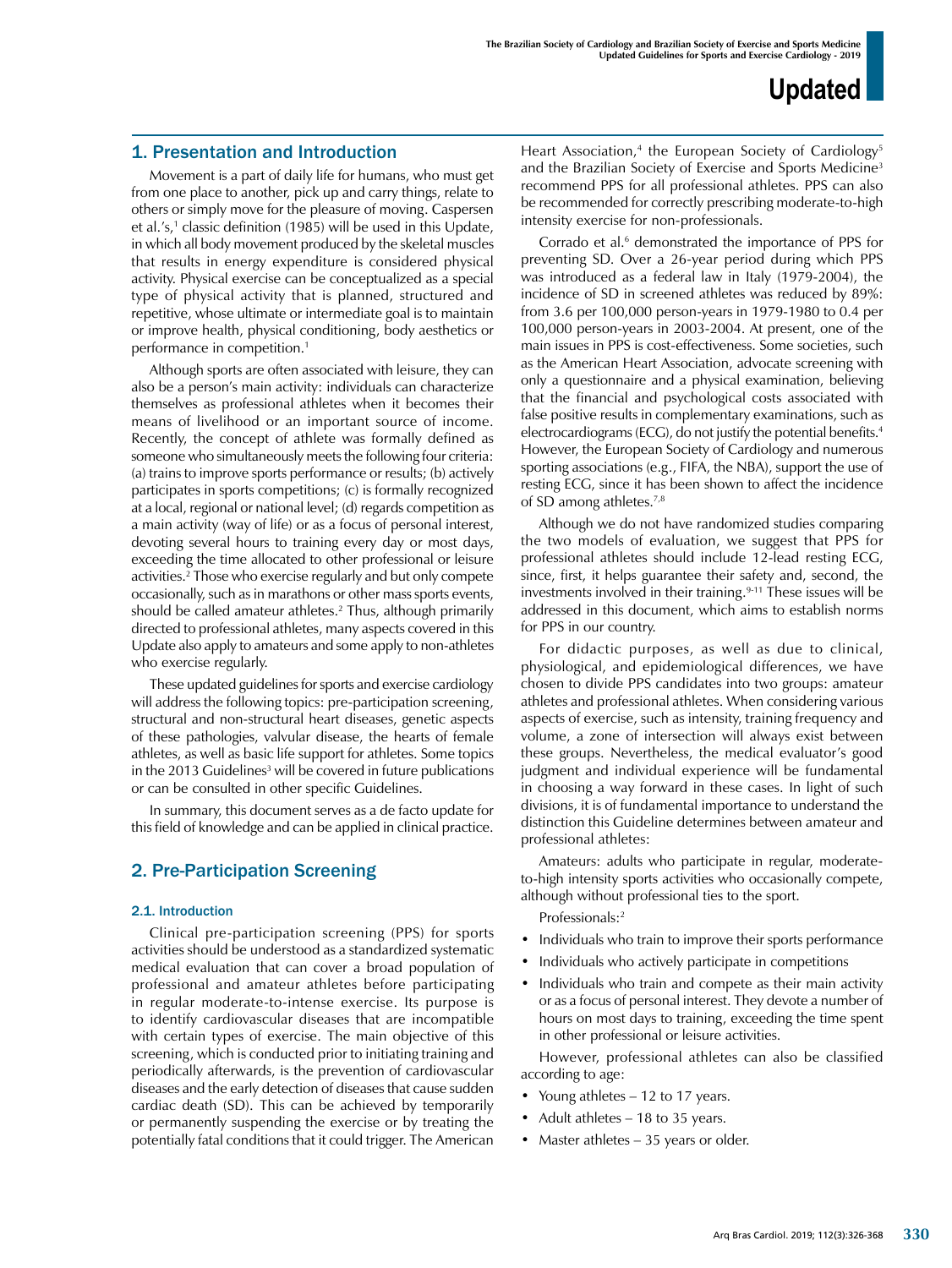### 1. Presentation and Introduction

Movement is a part of daily life for humans, who must get from one place to another, pick up and carry things, relate to others or simply move for the pleasure of moving. Caspersen et al.'s,<sup>1</sup> classic definition (1985) will be used in this Update, in which all body movement produced by the skeletal muscles that results in energy expenditure is considered physical activity. Physical exercise can be conceptualized as a special type of physical activity that is planned, structured and repetitive, whose ultimate or intermediate goal is to maintain or improve health, physical conditioning, body aesthetics or performance in competition.1

Although sports are often associated with leisure, they can also be a person's main activity: individuals can characterize themselves as professional athletes when it becomes their means of livelihood or an important source of income. Recently, the concept of athlete was formally defined as someone who simultaneously meets the following four criteria: (a) trains to improve sports performance or results; (b) actively participates in sports competitions; (c) is formally recognized at a local, regional or national level; (d) regards competition as a main activity (way of life) or as a focus of personal interest, devoting several hours to training every day or most days, exceeding the time allocated to other professional or leisure activities.2 Those who exercise regularly and but only compete occasionally, such as in marathons or other mass sports events, should be called amateur athletes.2 Thus, although primarily directed to professional athletes, many aspects covered in this Update also apply to amateurs and some apply to non-athletes who exercise regularly.

These updated guidelines for sports and exercise cardiology will address the following topics: pre-participation screening, structural and non-structural heart diseases, genetic aspects of these pathologies, valvular disease, the hearts of female athletes, as well as basic life support for athletes. Some topics in the 2013 Guidelines<sup>3</sup> will be covered in future publications or can be consulted in other specific Guidelines.

In summary, this document serves as a de facto update for this field of knowledge and can be applied in clinical practice.

# 2. Pre-Participation Screening

#### 2.1. Introduction

Clinical pre-participation screening (PPS) for sports activities should be understood as a standardized systematic medical evaluation that can cover a broad population of professional and amateur athletes before participating in regular moderate-to-intense exercise. Its purpose is to identify cardiovascular diseases that are incompatible with certain types of exercise. The main objective of this screening, which is conducted prior to initiating training and periodically afterwards, is the prevention of cardiovascular diseases and the early detection of diseases that cause sudden cardiac death (SD). This can be achieved by temporarily or permanently suspending the exercise or by treating the potentially fatal conditions that it could trigger. The American Heart Association,<sup>4</sup> the European Society of Cardiology<sup>5</sup> and the Brazilian Society of Exercise and Sports Medicine<sup>3</sup> recommend PPS for all professional athletes. PPS can also be recommended for correctly prescribing moderate-to-high intensity exercise for non-professionals.

Corrado et al.<sup>6</sup> demonstrated the importance of PPS for preventing SD. Over a 26-year period during which PPS was introduced as a federal law in Italy (1979-2004), the incidence of SD in screened athletes was reduced by 89%: from 3.6 per 100,000 person-years in 1979-1980 to 0.4 per 100,000 person-years in 2003-2004. At present, one of the main issues in PPS is cost-effectiveness. Some societies, such as the American Heart Association, advocate screening with only a questionnaire and a physical examination, believing that the financial and psychological costs associated with false positive results in complementary examinations, such as electrocardiograms (ECG), do not justify the potential benefits.4 However, the European Society of Cardiology and numerous sporting associations (e.g., FIFA, the NBA), support the use of resting ECG, since it has been shown to affect the incidence of SD among athletes.7,8

Although we do not have randomized studies comparing the two models of evaluation, we suggest that PPS for professional athletes should include 12-lead resting ECG, since, first, it helps guarantee their safety and, second, the investments involved in their training.9-11 These issues will be addressed in this document, which aims to establish norms for PPS in our country.

For didactic purposes, as well as due to clinical, physiological, and epidemiological differences, we have chosen to divide PPS candidates into two groups: amateur athletes and professional athletes. When considering various aspects of exercise, such as intensity, training frequency and volume, a zone of intersection will always exist between these groups. Nevertheless, the medical evaluator's good judgment and individual experience will be fundamental in choosing a way forward in these cases. In light of such divisions, it is of fundamental importance to understand the distinction this Guideline determines between amateur and professional athletes:

Amateurs: adults who participate in regular, moderateto-high intensity sports activities who occasionally compete, although without professional ties to the sport.

Professionals:2

- Individuals who train to improve their sports performance
- Individuals who actively participate in competitions
- Individuals who train and compete as their main activity or as a focus of personal interest. They devote a number of hours on most days to training, exceeding the time spent in other professional or leisure activities.

However, professional athletes can also be classified according to age:

- Young athletes 12 to 17 years.
- Adult athletes 18 to 35 years.
- Master athletes 35 years or older.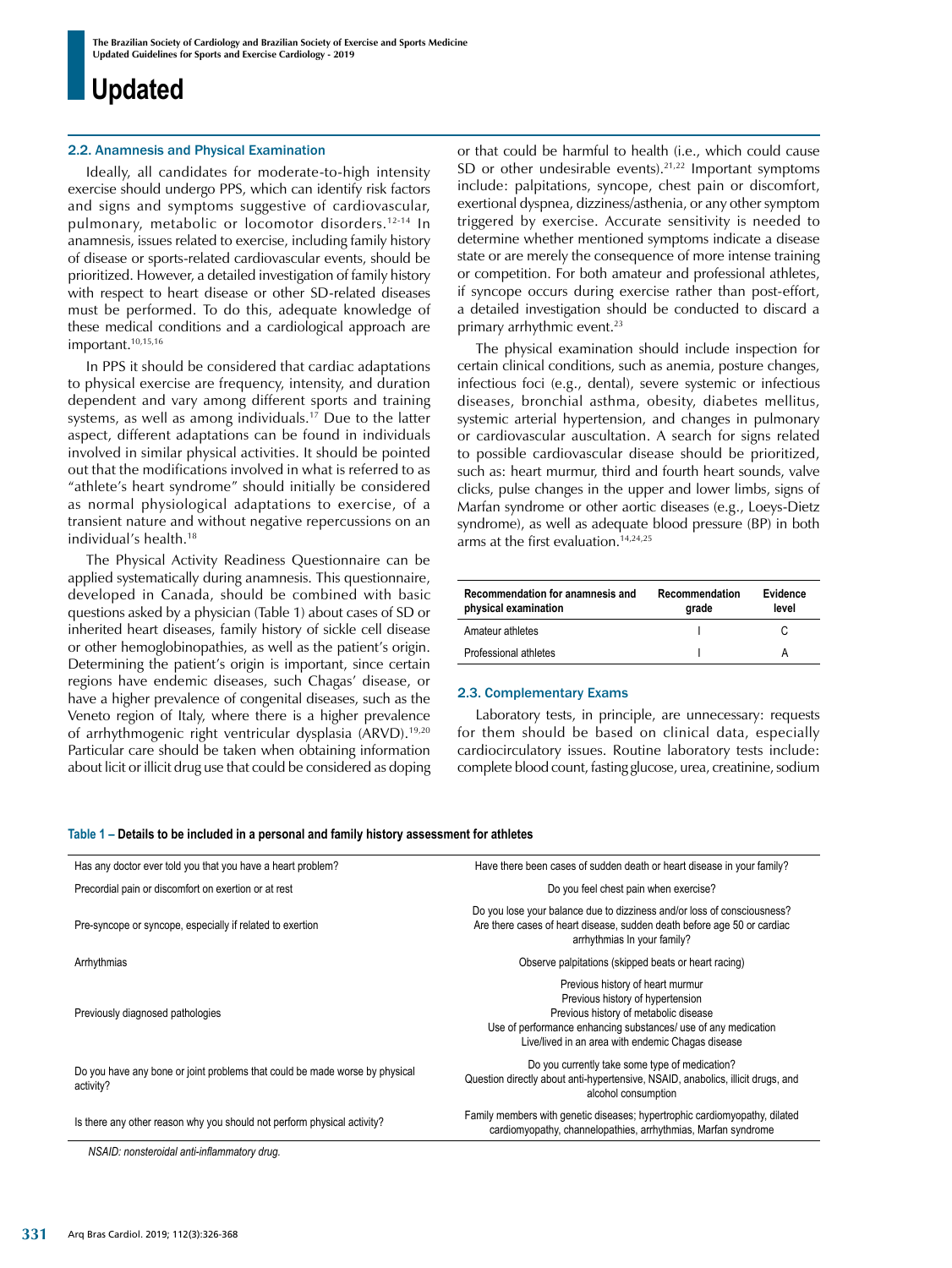#### 2.2. Anamnesis and Physical Examination

Ideally, all candidates for moderate-to-high intensity exercise should undergo PPS, which can identify risk factors and signs and symptoms suggestive of cardiovascular, pulmonary, metabolic or locomotor disorders.12-14 In anamnesis, issues related to exercise, including family history of disease or sports-related cardiovascular events, should be prioritized. However, a detailed investigation of family history with respect to heart disease or other SD-related diseases must be performed. To do this, adequate knowledge of these medical conditions and a cardiological approach are important.<sup>10,15,16</sup>

In PPS it should be considered that cardiac adaptations to physical exercise are frequency, intensity, and duration dependent and vary among different sports and training systems, as well as among individuals.17 Due to the latter aspect, different adaptations can be found in individuals involved in similar physical activities. It should be pointed out that the modifications involved in what is referred to as "athlete's heart syndrome" should initially be considered as normal physiological adaptations to exercise, of a transient nature and without negative repercussions on an individual's health.18

The Physical Activity Readiness Questionnaire can be applied systematically during anamnesis. This questionnaire, developed in Canada, should be combined with basic questions asked by a physician (Table 1) about cases of SD or inherited heart diseases, family history of sickle cell disease or other hemoglobinopathies, as well as the patient's origin. Determining the patient's origin is important, since certain regions have endemic diseases, such Chagas' disease, or have a higher prevalence of congenital diseases, such as the Veneto region of Italy, where there is a higher prevalence of arrhythmogenic right ventricular dysplasia (ARVD).19,20 Particular care should be taken when obtaining information about licit or illicit drug use that could be considered as doping or that could be harmful to health (i.e., which could cause SD or other undesirable events). $2^{1,22}$  Important symptoms include: palpitations, syncope, chest pain or discomfort, exertional dyspnea, dizziness/asthenia, or any other symptom triggered by exercise. Accurate sensitivity is needed to determine whether mentioned symptoms indicate a disease state or are merely the consequence of more intense training or competition. For both amateur and professional athletes, if syncope occurs during exercise rather than post-effort, a detailed investigation should be conducted to discard a primary arrhythmic event.<sup>23</sup>

The physical examination should include inspection for certain clinical conditions, such as anemia, posture changes, infectious foci (e.g., dental), severe systemic or infectious diseases, bronchial asthma, obesity, diabetes mellitus, systemic arterial hypertension, and changes in pulmonary or cardiovascular auscultation. A search for signs related to possible cardiovascular disease should be prioritized, such as: heart murmur, third and fourth heart sounds, valve clicks, pulse changes in the upper and lower limbs, signs of Marfan syndrome or other aortic diseases (e.g., Loeys-Dietz syndrome), as well as adequate blood pressure (BP) in both arms at the first evaluation.14,24,25

| Recommendation for anamnesis and<br>physical examination | Recommendation<br>grade | <b>Evidence</b><br>level |
|----------------------------------------------------------|-------------------------|--------------------------|
| Amateur athletes                                         |                         |                          |
| Professional athletes                                    |                         |                          |

#### 2.3. Complementary Exams

Laboratory tests, in principle, are unnecessary: requests for them should be based on clinical data, especially cardiocirculatory issues. Routine laboratory tests include: complete blood count, fasting glucose, urea, creatinine, sodium

#### **Table 1 – Details to be included in a personal and family history assessment for athletes**

| Has any doctor ever told you that you have a heart problem?                              | Have there been cases of sudden death or heart disease in your family?                                                                                                                                                               |
|------------------------------------------------------------------------------------------|--------------------------------------------------------------------------------------------------------------------------------------------------------------------------------------------------------------------------------------|
| Precordial pain or discomfort on exertion or at rest                                     | Do you feel chest pain when exercise?                                                                                                                                                                                                |
| Pre-syncope or syncope, especially if related to exertion                                | Do you lose your balance due to dizziness and/or loss of consciousness?<br>Are there cases of heart disease, sudden death before age 50 or cardiac<br>arrhythmias In your family?                                                    |
| Arrhythmias                                                                              | Observe palpitations (skipped beats or heart racing)                                                                                                                                                                                 |
| Previously diagnosed pathologies                                                         | Previous history of heart murmur<br>Previous history of hypertension<br>Previous history of metabolic disease<br>Use of performance enhancing substances/ use of any medication<br>Live/lived in an area with endemic Chagas disease |
| Do you have any bone or joint problems that could be made worse by physical<br>activity? | Do you currently take some type of medication?<br>Question directly about anti-hypertensive, NSAID, anabolics, illicit drugs, and<br>alcohol consumption                                                                             |
| Is there any other reason why you should not perform physical activity?                  | Family members with genetic diseases; hypertrophic cardiomyopathy, dilated<br>cardiomyopathy, channelopathies, arrhythmias, Marfan syndrome                                                                                          |
| NSAID: nonsteroidal anti-inflammatory drug.                                              |                                                                                                                                                                                                                                      |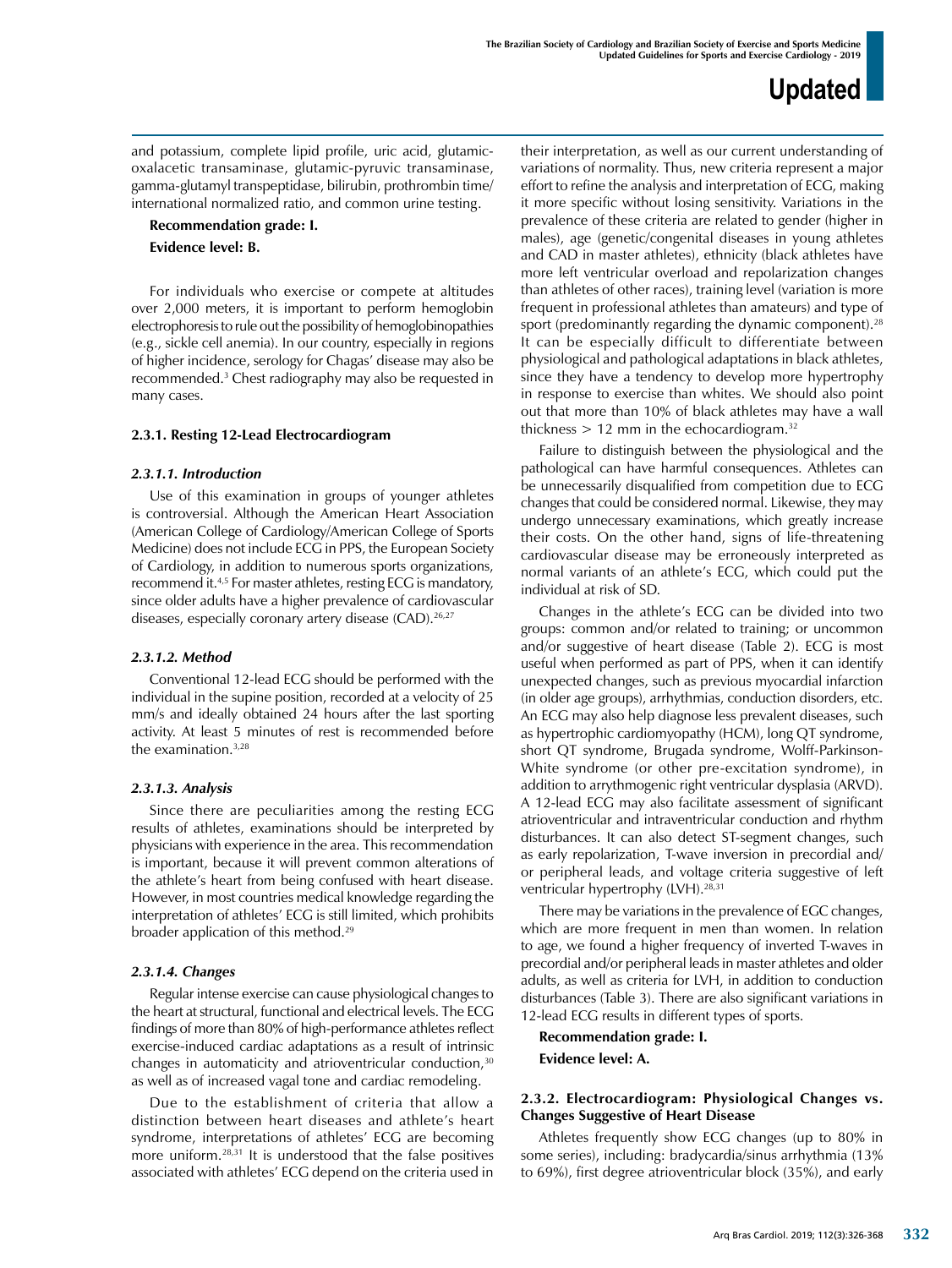and potassium, complete lipid profile, uric acid, glutamicoxalacetic transaminase, glutamic-pyruvic transaminase, gamma-glutamyl transpeptidase, bilirubin, prothrombin time/ international normalized ratio, and common urine testing.

### **Recommendation grade: I. Evidence level: B.**

For individuals who exercise or compete at altitudes over 2,000 meters, it is important to perform hemoglobin electrophoresis to rule out the possibility of hemoglobinopathies (e.g., sickle cell anemia). In our country, especially in regions of higher incidence, serology for Chagas' disease may also be recommended.3 Chest radiography may also be requested in many cases.

#### **2.3.1. Resting 12-Lead Electrocardiogram**

#### *2.3.1.1. Introduction*

Use of this examination in groups of younger athletes is controversial. Although the American Heart Association (American College of Cardiology/American College of Sports Medicine) does not include ECG in PPS, the European Society of Cardiology, in addition to numerous sports organizations, recommend it.4,5 For master athletes, resting ECG is mandatory, since older adults have a higher prevalence of cardiovascular diseases, especially coronary artery disease (CAD).<sup>26,27</sup>

### *2.3.1.2. Method*

Conventional 12-lead ECG should be performed with the individual in the supine position, recorded at a velocity of 25 mm/s and ideally obtained 24 hours after the last sporting activity. At least 5 minutes of rest is recommended before the examination.3,28

### *2.3.1.3. Analysis*

Since there are peculiarities among the resting ECG results of athletes, examinations should be interpreted by physicians with experience in the area. This recommendation is important, because it will prevent common alterations of the athlete's heart from being confused with heart disease. However, in most countries medical knowledge regarding the interpretation of athletes' ECG is still limited, which prohibits broader application of this method.29

### *2.3.1.4. Changes*

Regular intense exercise can cause physiological changes to the heart at structural, functional and electrical levels. The ECG findings of more than 80% of high-performance athletes reflect exercise-induced cardiac adaptations as a result of intrinsic changes in automaticity and atrioventricular conduction,<sup>30</sup> as well as of increased vagal tone and cardiac remodeling.

Due to the establishment of criteria that allow a distinction between heart diseases and athlete's heart syndrome, interpretations of athletes' ECG are becoming more uniform.28,31 It is understood that the false positives associated with athletes' ECG depend on the criteria used in their interpretation, as well as our current understanding of variations of normality. Thus, new criteria represent a major effort to refine the analysis and interpretation of ECG, making it more specific without losing sensitivity. Variations in the prevalence of these criteria are related to gender (higher in males), age (genetic/congenital diseases in young athletes and CAD in master athletes), ethnicity (black athletes have more left ventricular overload and repolarization changes than athletes of other races), training level (variation is more frequent in professional athletes than amateurs) and type of sport (predominantly regarding the dynamic component).<sup>28</sup> It can be especially difficult to differentiate between physiological and pathological adaptations in black athletes, since they have a tendency to develop more hypertrophy in response to exercise than whites. We should also point out that more than 10% of black athletes may have a wall thickness  $> 12$  mm in the echocardiogram.<sup>32</sup>

Failure to distinguish between the physiological and the pathological can have harmful consequences. Athletes can be unnecessarily disqualified from competition due to ECG changes that could be considered normal. Likewise, they may undergo unnecessary examinations, which greatly increase their costs. On the other hand, signs of life-threatening cardiovascular disease may be erroneously interpreted as normal variants of an athlete's ECG, which could put the individual at risk of SD.

Changes in the athlete's ECG can be divided into two groups: common and/or related to training; or uncommon and/or suggestive of heart disease (Table 2). ECG is most useful when performed as part of PPS, when it can identify unexpected changes, such as previous myocardial infarction (in older age groups), arrhythmias, conduction disorders, etc. An ECG may also help diagnose less prevalent diseases, such as hypertrophic cardiomyopathy (HCM), long QT syndrome, short QT syndrome, Brugada syndrome, Wolff-Parkinson-White syndrome (or other pre-excitation syndrome), in addition to arrythmogenic right ventricular dysplasia (ARVD). A 12-lead ECG may also facilitate assessment of significant atrioventricular and intraventricular conduction and rhythm disturbances. It can also detect ST-segment changes, such as early repolarization, T-wave inversion in precordial and/ or peripheral leads, and voltage criteria suggestive of left ventricular hypertrophy (LVH).<sup>28,31</sup>

There may be variations in the prevalence of EGC changes, which are more frequent in men than women. In relation to age, we found a higher frequency of inverted T-waves in precordial and/or peripheral leads in master athletes and older adults, as well as criteria for LVH, in addition to conduction disturbances (Table 3). There are also significant variations in 12-lead ECG results in different types of sports.

**Recommendation grade: I.**

**Evidence level: A.**

### **2.3.2. Electrocardiogram: Physiological Changes vs. Changes Suggestive of Heart Disease**

Athletes frequently show ECG changes (up to 80% in some series), including: bradycardia/sinus arrhythmia (13% to 69%), first degree atrioventricular block (35%), and early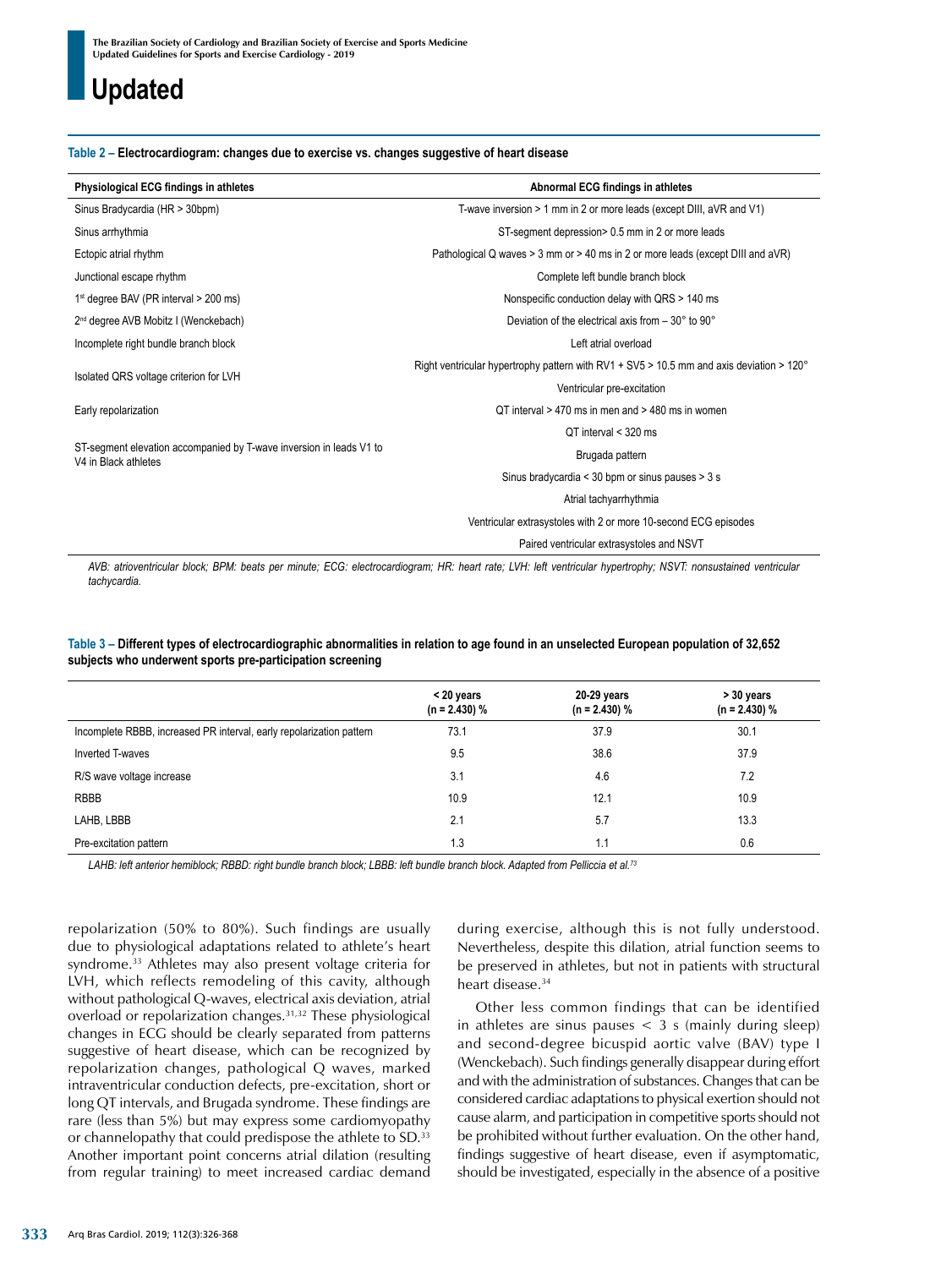#### **Table 2 – Electrocardiogram: changes due to exercise vs. changes suggestive of heart disease**

| Physiological ECG findings in athletes                                                                                                                                                                              | Abnormal ECG findings in athletes                                                                    |  |  |
|---------------------------------------------------------------------------------------------------------------------------------------------------------------------------------------------------------------------|------------------------------------------------------------------------------------------------------|--|--|
| T-wave inversion > 1 mm in 2 or more leads (except DIII, aVR and V1)<br>Sinus Bradycardia (HR > 30bpm)                                                                                                              |                                                                                                      |  |  |
| Sinus arrhythmia                                                                                                                                                                                                    | ST-segment depression > 0.5 mm in 2 or more leads                                                    |  |  |
| Ectopic atrial rhythm                                                                                                                                                                                               | Pathological Q waves > 3 mm or > 40 ms in 2 or more leads (except DIII and aVR)                      |  |  |
| Junctional escape rhythm                                                                                                                                                                                            | Complete left bundle branch block                                                                    |  |  |
| $1st$ degree BAV (PR interval > 200 ms)                                                                                                                                                                             | Nonspecific conduction delay with QRS > 140 ms                                                       |  |  |
| 2 <sup>nd</sup> degree AVB Mobitz I (Wenckebach)                                                                                                                                                                    | Deviation of the electrical axis from - 30° to 90°                                                   |  |  |
| Incomplete right bundle branch block                                                                                                                                                                                | Left atrial overload                                                                                 |  |  |
|                                                                                                                                                                                                                     | Right ventricular hypertrophy pattern with RV1 + $SV5 > 10.5$ mm and axis deviation > 120 $^{\circ}$ |  |  |
| Isolated QRS voltage criterion for LVH                                                                                                                                                                              | Ventricular pre-excitation                                                                           |  |  |
| Early repolarization                                                                                                                                                                                                | OT interval $> 470$ ms in men and $> 480$ ms in women                                                |  |  |
|                                                                                                                                                                                                                     | OT interval < 320 ms                                                                                 |  |  |
|                                                                                                                                                                                                                     | Brugada pattern                                                                                      |  |  |
|                                                                                                                                                                                                                     | Sinus bradycardia < 30 bpm or sinus pauses > 3 s                                                     |  |  |
|                                                                                                                                                                                                                     | Atrial tachyarrhythmia                                                                               |  |  |
|                                                                                                                                                                                                                     | Ventricular extrasystoles with 2 or more 10-second ECG episodes                                      |  |  |
|                                                                                                                                                                                                                     | Paired ventricular extrasystoles and NSVT                                                            |  |  |
| ST-segment elevation accompanied by T-wave inversion in leads V1 to<br>V4 in Black athletes<br>$\mathbf{r}$ $\mathbf{r}$ $\mathbf{r}$ $\mathbf{r}$ $\mathbf{r}$ $\mathbf{r}$ $\mathbf{r}$ $\mathbf{r}$ $\mathbf{r}$ |                                                                                                      |  |  |

*AVB: atrioventricular block; BPM: beats per minute; ECG: electrocardiogram; HR: heart rate; LVH: left ventricular hypertrophy; NSVT: nonsustained ventricular tachycardia.*

#### **Table 3 – Different types of electrocardiographic abnormalities in relation to age found in an unselected European population of 32,652 subjects who underwent sports pre-participation screening**

|                                                                      | $<$ 20 years<br>$(n = 2.430) %$ | 20-29 years<br>$(n = 2.430) %$ | > 30 years<br>$(n = 2.430) %$ |
|----------------------------------------------------------------------|---------------------------------|--------------------------------|-------------------------------|
| Incomplete RBBB, increased PR interval, early repolarization pattern | 73.1                            | 37.9                           | 30.1                          |
| Inverted T-waves                                                     | 9.5                             | 38.6                           | 37.9                          |
| R/S wave voltage increase                                            | 3.1                             | 4.6                            | 7.2                           |
| <b>RBBB</b>                                                          | 10.9                            | 12.1                           | 10.9                          |
| LAHB, LBBB                                                           | 2.1                             | 5.7                            | 13.3                          |
| Pre-excitation pattern                                               | 1.3                             | 1.1                            | 0.6                           |

*LAHB: left anterior hemiblock; RBBD: right bundle branch block; LBBB: left bundle branch block. Adapted from Pelliccia et al.<sup>73</sup>*

repolarization (50% to 80%). Such findings are usually due to physiological adaptations related to athlete's heart syndrome.33 Athletes may also present voltage criteria for LVH, which reflects remodeling of this cavity, although without pathological Q-waves, electrical axis deviation, atrial overload or repolarization changes.31,32 These physiological changes in ECG should be clearly separated from patterns suggestive of heart disease, which can be recognized by repolarization changes, pathological Q waves, marked intraventricular conduction defects, pre-excitation, short or long QT intervals, and Brugada syndrome. These findings are rare (less than 5%) but may express some cardiomyopathy or channelopathy that could predispose the athlete to SD.33 Another important point concerns atrial dilation (resulting from regular training) to meet increased cardiac demand during exercise, although this is not fully understood. Nevertheless, despite this dilation, atrial function seems to be preserved in athletes, but not in patients with structural heart disease.<sup>34</sup>

Other less common findings that can be identified in athletes are sinus pauses  $\lt$  3 s (mainly during sleep) and second-degree bicuspid aortic valve (BAV) type I (Wenckebach). Such findings generally disappear during effort and with the administration of substances. Changes that can be considered cardiac adaptations to physical exertion should not cause alarm, and participation in competitive sports should not be prohibited without further evaluation. On the other hand, findings suggestive of heart disease, even if asymptomatic, should be investigated, especially in the absence of a positive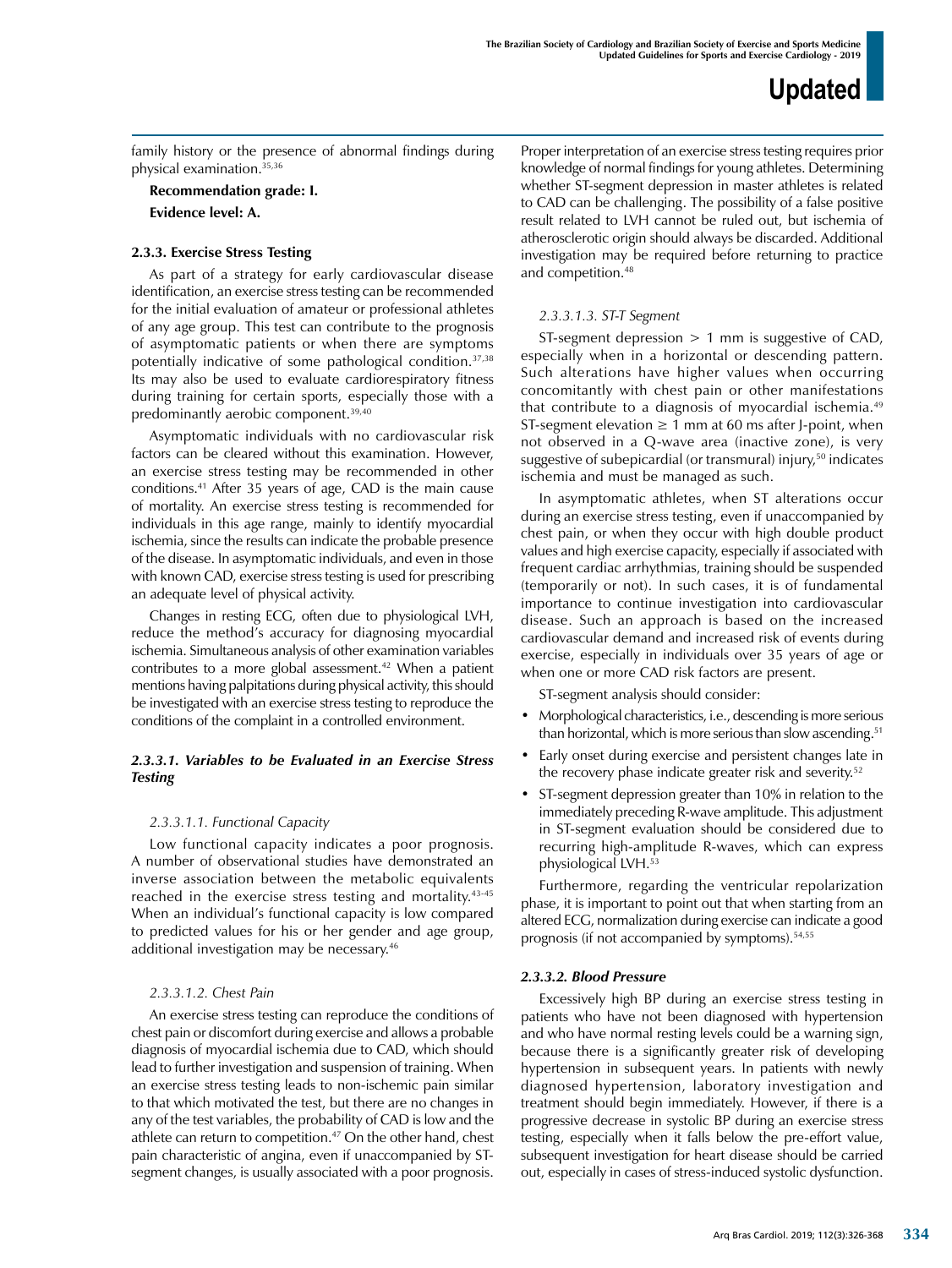family history or the presence of abnormal findings during physical examination.35,36

**Recommendation grade: I. Evidence level: A.**

#### **2.3.3. Exercise Stress Testing**

As part of a strategy for early cardiovascular disease identification, an exercise stress testing can be recommended for the initial evaluation of amateur or professional athletes of any age group. This test can contribute to the prognosis of asymptomatic patients or when there are symptoms potentially indicative of some pathological condition.37,38 Its may also be used to evaluate cardiorespiratory fitness during training for certain sports, especially those with a predominantly aerobic component.39,40

Asymptomatic individuals with no cardiovascular risk factors can be cleared without this examination. However, an exercise stress testing may be recommended in other conditions.41 After 35 years of age, CAD is the main cause of mortality. An exercise stress testing is recommended for individuals in this age range, mainly to identify myocardial ischemia, since the results can indicate the probable presence of the disease. In asymptomatic individuals, and even in those with known CAD, exercise stress testing is used for prescribing an adequate level of physical activity.

Changes in resting ECG, often due to physiological LVH, reduce the method's accuracy for diagnosing myocardial ischemia. Simultaneous analysis of other examination variables contributes to a more global assessment.<sup>42</sup> When a patient mentions having palpitations during physical activity, this should be investigated with an exercise stress testing to reproduce the conditions of the complaint in a controlled environment.

### *2.3.3.1. Variables to be Evaluated in an Exercise Stress Testing*

#### *2.3.3.1.1. Functional Capacity*

Low functional capacity indicates a poor prognosis. A number of observational studies have demonstrated an inverse association between the metabolic equivalents reached in the exercise stress testing and mortality.43-45 When an individual's functional capacity is low compared to predicted values for his or her gender and age group, additional investigation may be necessary.46

#### *2.3.3.1.2. Chest Pain*

An exercise stress testing can reproduce the conditions of chest pain or discomfort during exercise and allows a probable diagnosis of myocardial ischemia due to CAD, which should lead to further investigation and suspension of training. When an exercise stress testing leads to non-ischemic pain similar to that which motivated the test, but there are no changes in any of the test variables, the probability of CAD is low and the athlete can return to competition.<sup>47</sup> On the other hand, chest pain characteristic of angina, even if unaccompanied by STsegment changes, is usually associated with a poor prognosis. Proper interpretation of an exercise stress testing requires prior knowledge of normal findings for young athletes. Determining whether ST-segment depression in master athletes is related to CAD can be challenging. The possibility of a false positive result related to LVH cannot be ruled out, but ischemia of atherosclerotic origin should always be discarded. Additional investigation may be required before returning to practice and competition.<sup>48</sup>

#### *2.3.3.1.3. ST-T Segment*

ST-segment depression  $> 1$  mm is suggestive of CAD. especially when in a horizontal or descending pattern. Such alterations have higher values when occurring concomitantly with chest pain or other manifestations that contribute to a diagnosis of myocardial ischemia.<sup>49</sup> ST-segment elevation  $\geq 1$  mm at 60 ms after J-point, when not observed in a Q-wave area (inactive zone), is very suggestive of subepicardial (or transmural) injury,<sup>50</sup> indicates ischemia and must be managed as such.

In asymptomatic athletes, when ST alterations occur during an exercise stress testing, even if unaccompanied by chest pain, or when they occur with high double product values and high exercise capacity, especially if associated with frequent cardiac arrhythmias, training should be suspended (temporarily or not). In such cases, it is of fundamental importance to continue investigation into cardiovascular disease. Such an approach is based on the increased cardiovascular demand and increased risk of events during exercise, especially in individuals over 35 years of age or when one or more CAD risk factors are present.

ST-segment analysis should consider:

- Morphological characteristics, i.e., descending is more serious than horizontal, which is more serious than slow ascending.<sup>51</sup>
- Early onset during exercise and persistent changes late in the recovery phase indicate greater risk and severity.<sup>52</sup>
- ST-segment depression greater than 10% in relation to the immediately preceding R-wave amplitude. This adjustment in ST-segment evaluation should be considered due to recurring high-amplitude R-waves, which can express physiological LVH.53

Furthermore, regarding the ventricular repolarization phase, it is important to point out that when starting from an altered ECG, normalization during exercise can indicate a good prognosis (if not accompanied by symptoms).54,55

### *2.3.3.2. Blood Pressure*

Excessively high BP during an exercise stress testing in patients who have not been diagnosed with hypertension and who have normal resting levels could be a warning sign, because there is a significantly greater risk of developing hypertension in subsequent years. In patients with newly diagnosed hypertension, laboratory investigation and treatment should begin immediately. However, if there is a progressive decrease in systolic BP during an exercise stress testing, especially when it falls below the pre-effort value, subsequent investigation for heart disease should be carried out, especially in cases of stress-induced systolic dysfunction.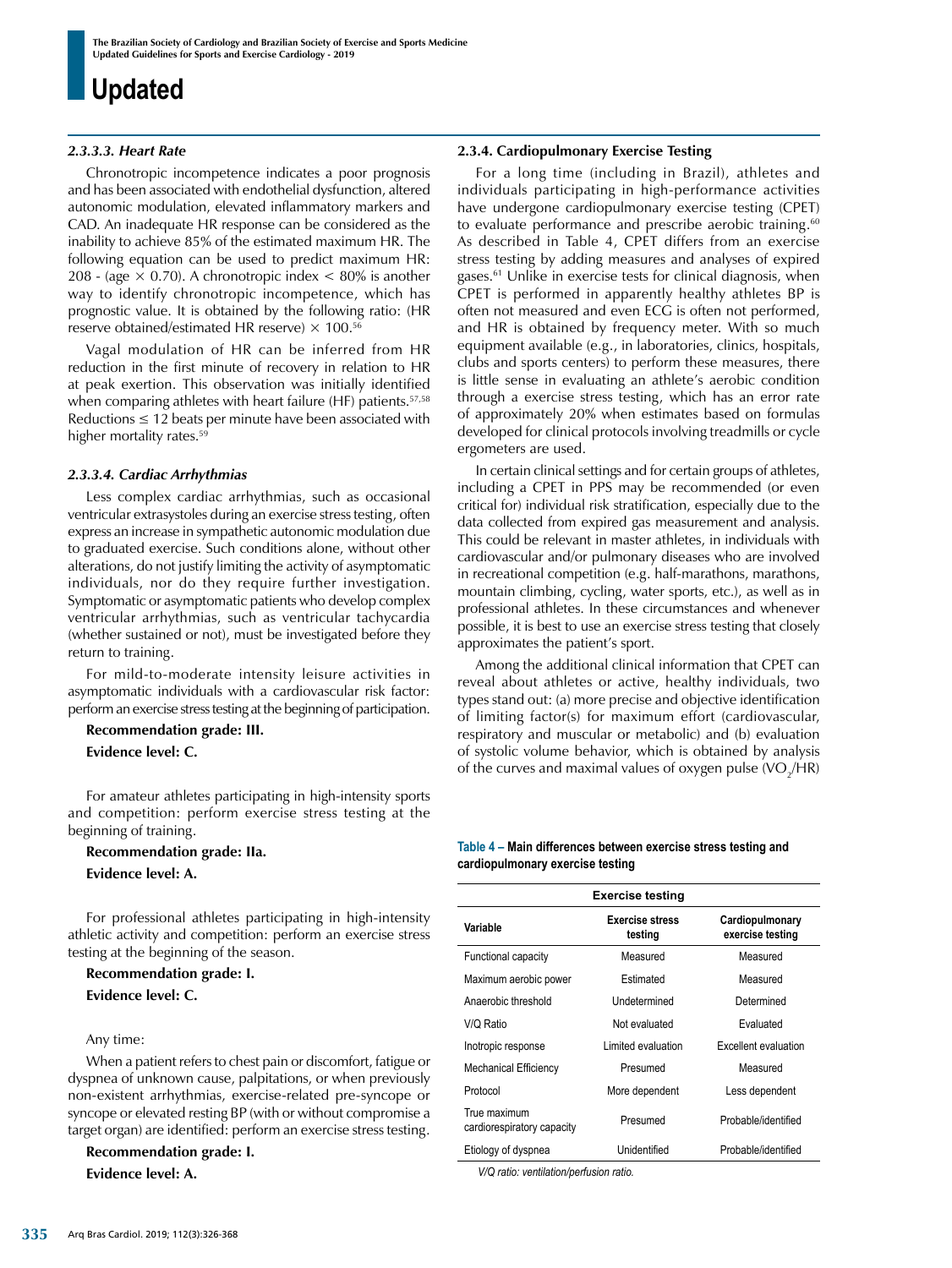#### *2.3.3.3. Heart Rate*

Chronotropic incompetence indicates a poor prognosis and has been associated with endothelial dysfunction, altered autonomic modulation, elevated inflammatory markers and CAD. An inadequate HR response can be considered as the inability to achieve 85% of the estimated maximum HR. The following equation can be used to predict maximum HR: 208 - (age  $\times$  0.70). A chronotropic index  $<$  80% is another way to identify chronotropic incompetence, which has prognostic value. It is obtained by the following ratio: (HR reserve obtained/estimated HR reserve)  $\times$  100.<sup>56</sup>

Vagal modulation of HR can be inferred from HR reduction in the first minute of recovery in relation to HR at peak exertion. This observation was initially identified when comparing athletes with heart failure (HF) patients.<sup>57,58</sup> Reductions  $\leq 12$  beats per minute have been associated with higher mortality rates.<sup>59</sup>

### *2.3.3.4. Cardiac Arrhythmias*

Less complex cardiac arrhythmias, such as occasional ventricular extrasystoles during an exercise stress testing, often express an increase in sympathetic autonomic modulation due to graduated exercise. Such conditions alone, without other alterations, do not justify limiting the activity of asymptomatic individuals, nor do they require further investigation. Symptomatic or asymptomatic patients who develop complex ventricular arrhythmias, such as ventricular tachycardia (whether sustained or not), must be investigated before they return to training.

For mild-to-moderate intensity leisure activities in asymptomatic individuals with a cardiovascular risk factor: perform an exercise stress testing at the beginning of participation.

**Recommendation grade: III.**

#### **Evidence level: C.**

For amateur athletes participating in high-intensity sports and competition: perform exercise stress testing at the beginning of training.

# **Recommendation grade: IIa.**

**Evidence level: A.**

For professional athletes participating in high-intensity athletic activity and competition: perform an exercise stress testing at the beginning of the season.

# **Recommendation grade: I.**

**Evidence level: C.**

### Any time:

When a patient refers to chest pain or discomfort, fatigue or dyspnea of unknown cause, palpitations, or when previously non-existent arrhythmias, exercise-related pre-syncope or syncope or elevated resting BP (with or without compromise a target organ) are identified: perform an exercise stress testing.

**Recommendation grade: I.**

**Evidence level: A.**

## **2.3.4. Cardiopulmonary Exercise Testing**

For a long time (including in Brazil), athletes and individuals participating in high-performance activities have undergone cardiopulmonary exercise testing (CPET) to evaluate performance and prescribe aerobic training.<sup>60</sup> As described in Table 4, CPET differs from an exercise stress testing by adding measures and analyses of expired gases.<sup>61</sup> Unlike in exercise tests for clinical diagnosis, when CPET is performed in apparently healthy athletes BP is often not measured and even ECG is often not performed, and HR is obtained by frequency meter. With so much equipment available (e.g., in laboratories, clinics, hospitals, clubs and sports centers) to perform these measures, there is little sense in evaluating an athlete's aerobic condition through a exercise stress testing, which has an error rate of approximately 20% when estimates based on formulas developed for clinical protocols involving treadmills or cycle ergometers are used.

In certain clinical settings and for certain groups of athletes, including a CPET in PPS may be recommended (or even critical for) individual risk stratification, especially due to the data collected from expired gas measurement and analysis. This could be relevant in master athletes, in individuals with cardiovascular and/or pulmonary diseases who are involved in recreational competition (e.g. half-marathons, marathons, mountain climbing, cycling, water sports, etc.), as well as in professional athletes. In these circumstances and whenever possible, it is best to use an exercise stress testing that closely approximates the patient's sport.

Among the additional clinical information that CPET can reveal about athletes or active, healthy individuals, two types stand out: (a) more precise and objective identification of limiting factor(s) for maximum effort (cardiovascular, respiratory and muscular or metabolic) and (b) evaluation of systolic volume behavior, which is obtained by analysis of the curves and maximal values of oxygen pulse (VO<sub>2</sub>/HR)

#### **Table 4 – Main differences between exercise stress testing and cardiopulmonary exercise testing**

| <b>Exercise testing</b>                    |                                   |                                     |  |  |
|--------------------------------------------|-----------------------------------|-------------------------------------|--|--|
| Variable                                   | <b>Exercise stress</b><br>testing | Cardiopulmonary<br>exercise testing |  |  |
| Functional capacity                        | Measured                          | Measured                            |  |  |
| Maximum aerobic power                      | <b>Fstimated</b>                  | Measured                            |  |  |
| Anaerobic threshold                        | Undetermined                      | Determined                          |  |  |
| V/O Ratio                                  | Not evaluated                     | Fvaluated                           |  |  |
| Inotropic response                         | Limited evaluation                | <b>Excellent evaluation</b>         |  |  |
| <b>Mechanical Efficiency</b>               | Presumed                          | Measured                            |  |  |
| Protocol                                   | More dependent                    | Less dependent                      |  |  |
| True maximum<br>cardiorespiratory capacity | Presumed                          | Probable/identified                 |  |  |
| Etiology of dyspnea                        | Unidentified                      | Probable/identified                 |  |  |

*V/Q ratio: ventilation/perfusion ratio.*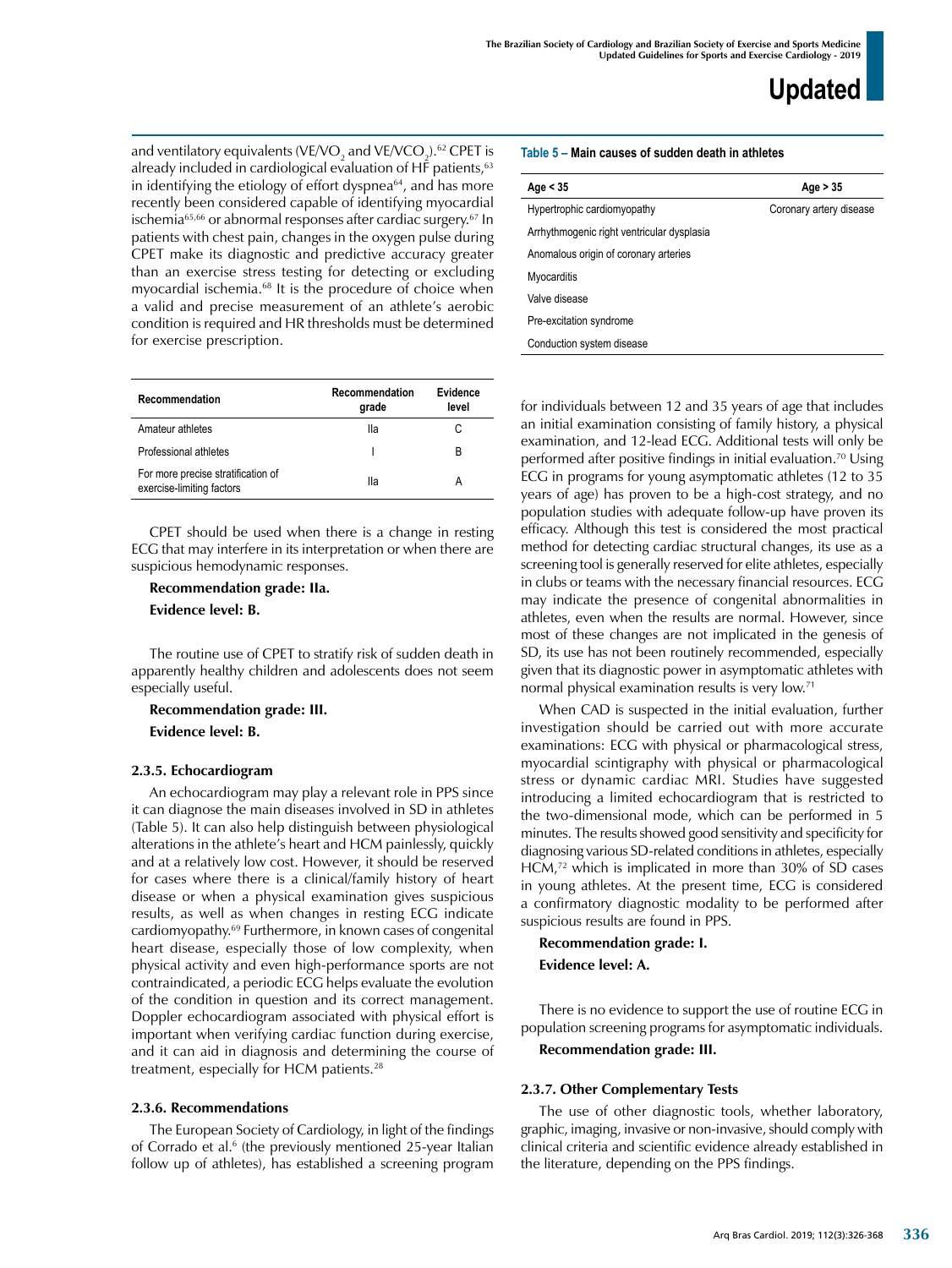and ventilatory equivalents (VE/VO<sub>2</sub> and VE/VCO<sub>2</sub>).<sup>62</sup> CPET is already included in cardiological evaluation of HF patients,<sup>63</sup> in identifying the etiology of effort dyspnea<sup>64</sup>, and has more recently been considered capable of identifying myocardial ischemia65,66 or abnormal responses after cardiac surgery.67 In patients with chest pain, changes in the oxygen pulse during CPET make its diagnostic and predictive accuracy greater than an exercise stress testing for detecting or excluding myocardial ischemia.<sup>68</sup> It is the procedure of choice when a valid and precise measurement of an athlete's aerobic condition is required and HR thresholds must be determined for exercise prescription.

| Recommendation                                                  | Recommendation<br>grade | Evidence<br>level |
|-----------------------------------------------------------------|-------------------------|-------------------|
| Amateur athletes                                                | lla                     |                   |
| Professional athletes                                           |                         | B                 |
| For more precise stratification of<br>exercise-limiting factors | lla                     | А                 |

CPET should be used when there is a change in resting ECG that may interfere in its interpretation or when there are suspicious hemodynamic responses.

#### **Recommendation grade: IIa.**

### **Evidence level: B.**

The routine use of CPET to stratify risk of sudden death in apparently healthy children and adolescents does not seem especially useful.

### **Recommendation grade: III. Evidence level: B.**

#### **2.3.5. Echocardiogram**

An echocardiogram may play a relevant role in PPS since it can diagnose the main diseases involved in SD in athletes (Table 5). It can also help distinguish between physiological alterations in the athlete's heart and HCM painlessly, quickly and at a relatively low cost. However, it should be reserved for cases where there is a clinical/family history of heart disease or when a physical examination gives suspicious results, as well as when changes in resting ECG indicate cardiomyopathy.69 Furthermore, in known cases of congenital heart disease, especially those of low complexity, when physical activity and even high-performance sports are not contraindicated, a periodic ECG helps evaluate the evolution of the condition in question and its correct management. Doppler echocardiogram associated with physical effort is important when verifying cardiac function during exercise, and it can aid in diagnosis and determining the course of treatment, especially for HCM patients.<sup>28</sup>

#### **2.3.6. Recommendations**

The European Society of Cardiology, in light of the findings of Corrado et al.<sup>6</sup> (the previously mentioned 25-year Italian follow up of athletes), has established a screening program

| Table 5 – Main causes of sudden death in athletes |  |  |  |
|---------------------------------------------------|--|--|--|
|---------------------------------------------------|--|--|--|

| Age $<$ 35                                 | Age $> 35$              |
|--------------------------------------------|-------------------------|
| Hypertrophic cardiomyopathy                | Coronary artery disease |
| Arrhythmogenic right ventricular dysplasia |                         |
| Anomalous origin of coronary arteries      |                         |
| Myocarditis                                |                         |
| Valve disease                              |                         |
| Pre-excitation syndrome                    |                         |
| Conduction system disease                  |                         |

for individuals between 12 and 35 years of age that includes an initial examination consisting of family history, a physical examination, and 12-lead ECG. Additional tests will only be performed after positive findings in initial evaluation.70 Using ECG in programs for young asymptomatic athletes (12 to 35 years of age) has proven to be a high-cost strategy, and no population studies with adequate follow-up have proven its efficacy. Although this test is considered the most practical method for detecting cardiac structural changes, its use as a screening tool is generally reserved for elite athletes, especially in clubs or teams with the necessary financial resources. ECG may indicate the presence of congenital abnormalities in athletes, even when the results are normal. However, since most of these changes are not implicated in the genesis of SD, its use has not been routinely recommended, especially given that its diagnostic power in asymptomatic athletes with normal physical examination results is very low.71

When CAD is suspected in the initial evaluation, further investigation should be carried out with more accurate examinations: ECG with physical or pharmacological stress, myocardial scintigraphy with physical or pharmacological stress or dynamic cardiac MRI. Studies have suggested introducing a limited echocardiogram that is restricted to the two-dimensional mode, which can be performed in 5 minutes. The results showed good sensitivity and specificity for diagnosing various SD-related conditions in athletes, especially HCM,<sup>72</sup> which is implicated in more than 30% of SD cases in young athletes. At the present time, ECG is considered a confirmatory diagnostic modality to be performed after suspicious results are found in PPS.

**Recommendation grade: I. Evidence level: A.**

There is no evidence to support the use of routine ECG in population screening programs for asymptomatic individuals.

#### **Recommendation grade: III.**

#### **2.3.7. Other Complementary Tests**

The use of other diagnostic tools, whether laboratory, graphic, imaging, invasive or non-invasive, should comply with clinical criteria and scientific evidence already established in the literature, depending on the PPS findings.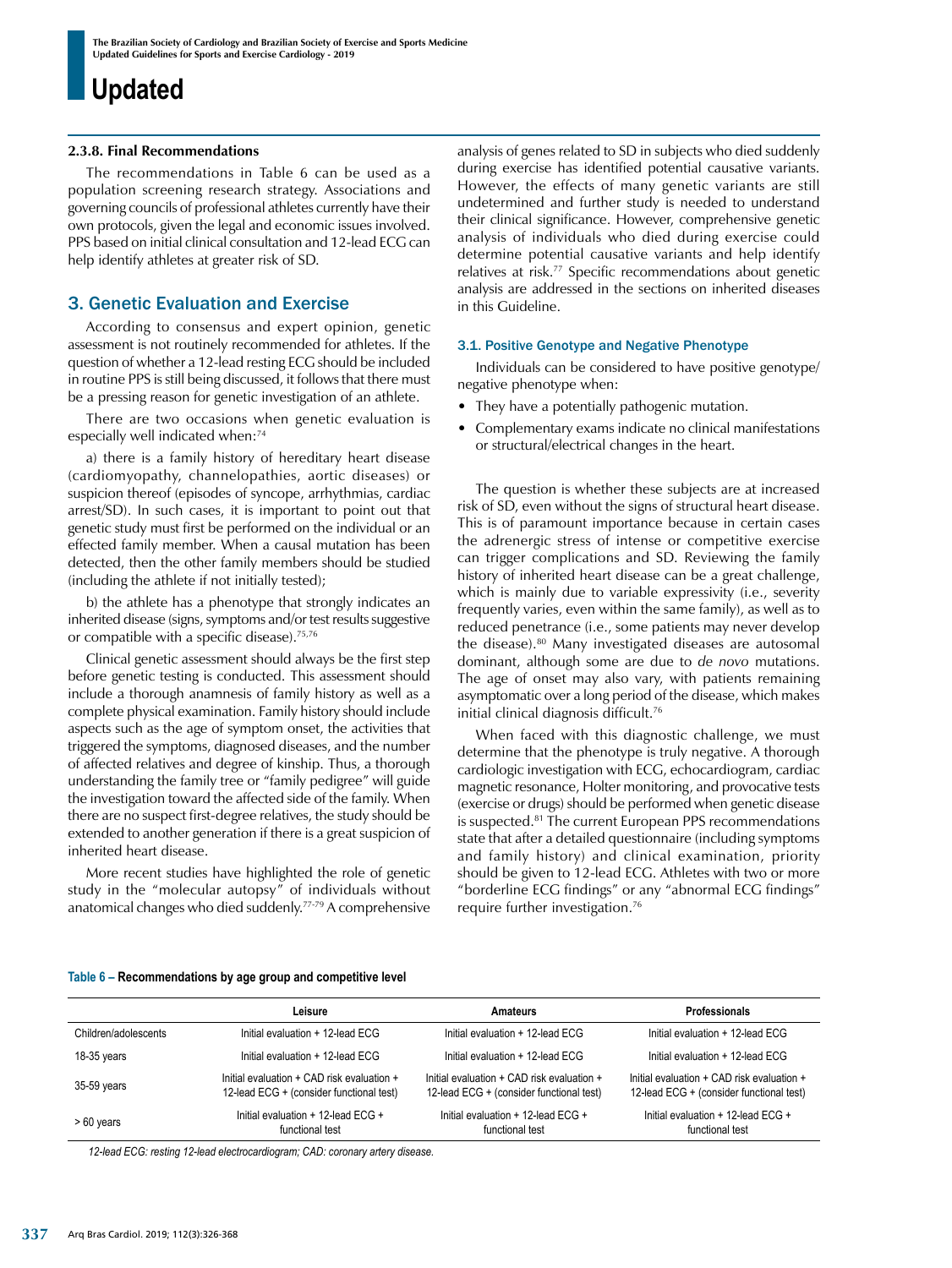#### **2.3.8. Final Recommendations**

The recommendations in Table 6 can be used as a population screening research strategy. Associations and governing councils of professional athletes currently have their own protocols, given the legal and economic issues involved. PPS based on initial clinical consultation and 12-lead ECG can help identify athletes at greater risk of SD.

# 3. Genetic Evaluation and Exercise

According to consensus and expert opinion, genetic assessment is not routinely recommended for athletes. If the question of whether a 12-lead resting ECG should be included in routine PPS is still being discussed, it follows that there must be a pressing reason for genetic investigation of an athlete.

There are two occasions when genetic evaluation is especially well indicated when:<sup>74</sup>

a) there is a family history of hereditary heart disease (cardiomyopathy, channelopathies, aortic diseases) or suspicion thereof (episodes of syncope, arrhythmias, cardiac arrest/SD). In such cases, it is important to point out that genetic study must first be performed on the individual or an effected family member. When a causal mutation has been detected, then the other family members should be studied (including the athlete if not initially tested);

b) the athlete has a phenotype that strongly indicates an inherited disease (signs, symptoms and/or test results suggestive or compatible with a specific disease).75,76

Clinical genetic assessment should always be the first step before genetic testing is conducted. This assessment should include a thorough anamnesis of family history as well as a complete physical examination. Family history should include aspects such as the age of symptom onset, the activities that triggered the symptoms, diagnosed diseases, and the number of affected relatives and degree of kinship. Thus, a thorough understanding the family tree or "family pedigree" will guide the investigation toward the affected side of the family. When there are no suspect first-degree relatives, the study should be extended to another generation if there is a great suspicion of inherited heart disease.

More recent studies have highlighted the role of genetic study in the "molecular autopsy" of individuals without anatomical changes who died suddenly.77-79 A comprehensive analysis of genes related to SD in subjects who died suddenly during exercise has identified potential causative variants. However, the effects of many genetic variants are still undetermined and further study is needed to understand their clinical significance. However, comprehensive genetic analysis of individuals who died during exercise could determine potential causative variants and help identify relatives at risk.77 Specific recommendations about genetic analysis are addressed in the sections on inherited diseases in this Guideline.

#### 3.1. Positive Genotype and Negative Phenotype

Individuals can be considered to have positive genotype/ negative phenotype when:

- They have a potentially pathogenic mutation.
- Complementary exams indicate no clinical manifestations or structural/electrical changes in the heart.

The question is whether these subjects are at increased risk of SD, even without the signs of structural heart disease. This is of paramount importance because in certain cases the adrenergic stress of intense or competitive exercise can trigger complications and SD. Reviewing the family history of inherited heart disease can be a great challenge, which is mainly due to variable expressivity (i.e., severity frequently varies, even within the same family), as well as to reduced penetrance (i.e., some patients may never develop the disease).80 Many investigated diseases are autosomal dominant, although some are due to *de novo* mutations. The age of onset may also vary, with patients remaining asymptomatic over a long period of the disease, which makes initial clinical diagnosis difficult.76

When faced with this diagnostic challenge, we must determine that the phenotype is truly negative. A thorough cardiologic investigation with ECG, echocardiogram, cardiac magnetic resonance, Holter monitoring, and provocative tests (exercise or drugs) should be performed when genetic disease is suspected.<sup>81</sup> The current European PPS recommendations state that after a detailed questionnaire (including symptoms and family history) and clinical examination, priority should be given to 12-lead ECG. Athletes with two or more "borderline ECG findings" or any "abnormal ECG findings" require further investigation.76

#### **Table 6 – Recommendations by age group and competitive level**

|                      | Leisure                                                                                    | <b>Amateurs</b>                                                                            | <b>Professionals</b>                                                                   |
|----------------------|--------------------------------------------------------------------------------------------|--------------------------------------------------------------------------------------------|----------------------------------------------------------------------------------------|
| Children/adolescents | Initial evaluation + 12-lead ECG                                                           | Initial evaluation + 12-lead ECG                                                           | Initial evaluation + 12-lead ECG                                                       |
| $18-35$ years        | Initial evaluation + 12-lead ECG                                                           | Initial evaluation + 12-lead ECG                                                           | Initial evaluation + 12-lead ECG                                                       |
| 35-59 years          | Initial evaluation $+$ CAD risk evaluation $+$<br>12-lead ECG + (consider functional test) | Initial evaluation $+$ CAD risk evaluation $+$<br>12-lead ECG + (consider functional test) | Initial evaluation + CAD risk evaluation +<br>12-lead ECG + (consider functional test) |
| > 60 years           | Initial evaluation $+$ 12-lead ECG $+$<br>functional test                                  | Initial evaluation $+$ 12-lead ECG $+$<br>functional test                                  | Initial evaluation $+$ 12-lead ECG $+$<br>functional test                              |

*12-lead ECG: resting 12-lead electrocardiogram; CAD: coronary artery disease.*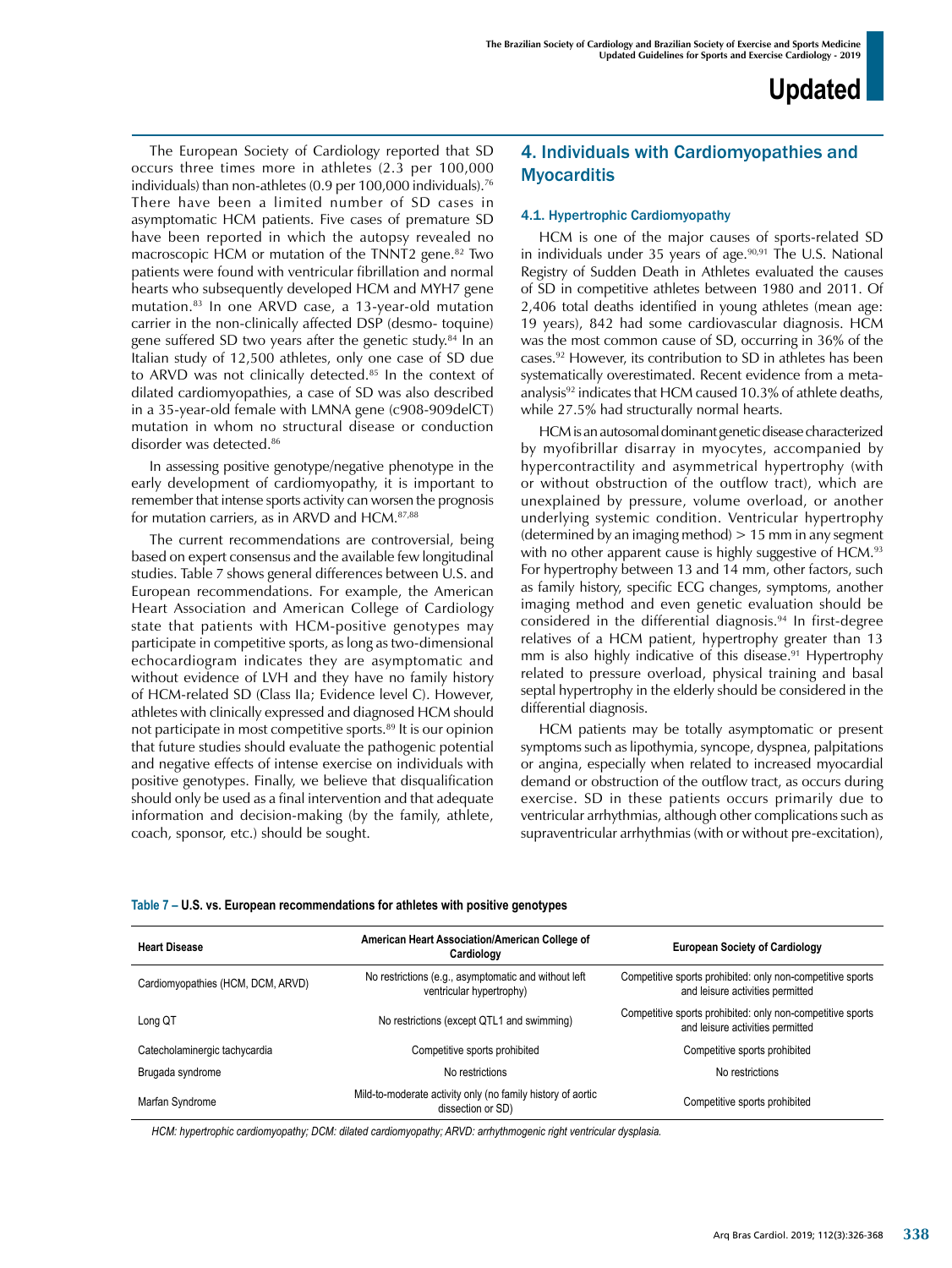The European Society of Cardiology reported that SD occurs three times more in athletes (2.3 per 100,000 individuals) than non-athletes (0.9 per 100,000 individuals).76 There have been a limited number of SD cases in asymptomatic HCM patients. Five cases of premature SD have been reported in which the autopsy revealed no macroscopic HCM or mutation of the TNNT2 gene.<sup>82</sup> Two patients were found with ventricular fibrillation and normal hearts who subsequently developed HCM and MYH7 gene mutation.83 In one ARVD case, a 13-year-old mutation carrier in the non-clinically affected DSP (desmo- toquine) gene suffered SD two years after the genetic study.<sup>84</sup> In an Italian study of 12,500 athletes, only one case of SD due to ARVD was not clinically detected.<sup>85</sup> In the context of dilated cardiomyopathies, a case of SD was also described in a 35-year-old female with LMNA gene (c908-909delCT) mutation in whom no structural disease or conduction disorder was detected.86

In assessing positive genotype/negative phenotype in the early development of cardiomyopathy, it is important to remember that intense sports activity can worsen the prognosis for mutation carriers, as in ARVD and HCM.87,88

The current recommendations are controversial, being based on expert consensus and the available few longitudinal studies. Table 7 shows general differences between U.S. and European recommendations. For example, the American Heart Association and American College of Cardiology state that patients with HCM-positive genotypes may participate in competitive sports, as long as two-dimensional echocardiogram indicates they are asymptomatic and without evidence of LVH and they have no family history of HCM-related SD (Class IIa; Evidence level C). However, athletes with clinically expressed and diagnosed HCM should not participate in most competitive sports.89 It is our opinion that future studies should evaluate the pathogenic potential and negative effects of intense exercise on individuals with positive genotypes. Finally, we believe that disqualification should only be used as a final intervention and that adequate information and decision-making (by the family, athlete, coach, sponsor, etc.) should be sought.

# 4. Individuals with Cardiomyopathies and **Myocarditis**

#### 4.1. Hypertrophic Cardiomyopathy

HCM is one of the major causes of sports-related SD in individuals under 35 years of age.<sup>90,91</sup> The U.S. National Registry of Sudden Death in Athletes evaluated the causes of SD in competitive athletes between 1980 and 2011. Of 2,406 total deaths identified in young athletes (mean age: 19 years), 842 had some cardiovascular diagnosis. HCM was the most common cause of SD, occurring in 36% of the cases.92 However, its contribution to SD in athletes has been systematically overestimated. Recent evidence from a metaanalysis<sup>92</sup> indicates that HCM caused 10.3% of athlete deaths, while 27.5% had structurally normal hearts.

HCM is an autosomal dominant genetic disease characterized by myofibrillar disarray in myocytes, accompanied by hypercontractility and asymmetrical hypertrophy (with or without obstruction of the outflow tract), which are unexplained by pressure, volume overload, or another underlying systemic condition. Ventricular hypertrophy (determined by an imaging method)  $> 15$  mm in any segment with no other apparent cause is highly suggestive of HCM.<sup>93</sup> For hypertrophy between 13 and 14 mm, other factors, such as family history, specific ECG changes, symptoms, another imaging method and even genetic evaluation should be considered in the differential diagnosis.94 In first-degree relatives of a HCM patient, hypertrophy greater than 13 mm is also highly indicative of this disease.<sup>91</sup> Hypertrophy related to pressure overload, physical training and basal septal hypertrophy in the elderly should be considered in the differential diagnosis.

HCM patients may be totally asymptomatic or present symptoms such as lipothymia, syncope, dyspnea, palpitations or angina, especially when related to increased myocardial demand or obstruction of the outflow tract, as occurs during exercise. SD in these patients occurs primarily due to ventricular arrhythmias, although other complications such as supraventricular arrhythmias (with or without pre-excitation),

|  |  |  | Table 7 - U.S. vs. European recommendations for athletes with positive genotypes |
|--|--|--|----------------------------------------------------------------------------------|
|--|--|--|----------------------------------------------------------------------------------|

| <b>Heart Disease</b>              | American Heart Association/American College of<br>Cardiology                     | <b>European Society of Cardiology</b>                                                          |
|-----------------------------------|----------------------------------------------------------------------------------|------------------------------------------------------------------------------------------------|
| Cardiomyopathies (HCM, DCM, ARVD) | No restrictions (e.g., asymptomatic and without left<br>ventricular hypertrophy) | Competitive sports prohibited: only non-competitive sports<br>and leisure activities permitted |
| Long QT                           | No restrictions (except QTL1 and swimming)                                       | Competitive sports prohibited: only non-competitive sports<br>and leisure activities permitted |
| Catecholaminergic tachycardia     | Competitive sports prohibited                                                    | Competitive sports prohibited                                                                  |
| Brugada syndrome                  | No restrictions                                                                  | No restrictions                                                                                |
| Marfan Syndrome                   | Mild-to-moderate activity only (no family history of aortic<br>dissection or SD) | Competitive sports prohibited                                                                  |

*HCM: hypertrophic cardiomyopathy; DCM: dilated cardiomyopathy; ARVD: arrhythmogenic right ventricular dysplasia.*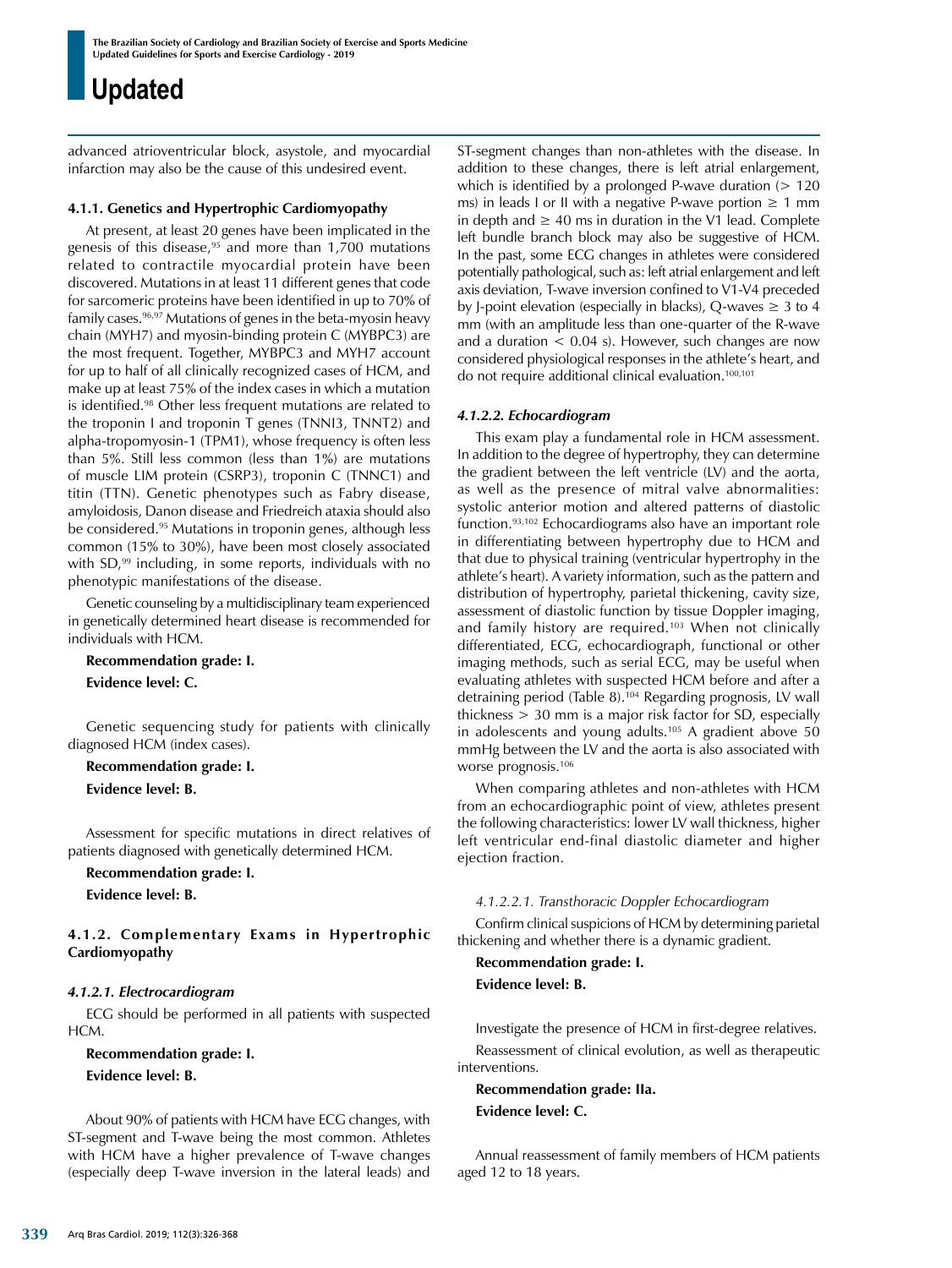advanced atrioventricular block, asystole, and myocardial infarction may also be the cause of this undesired event.

### **4.1.1. Genetics and Hypertrophic Cardiomyopathy**

At present, at least 20 genes have been implicated in the genesis of this disease, $95$  and more than 1,700 mutations related to contractile myocardial protein have been discovered. Mutations in at least 11 different genes that code for sarcomeric proteins have been identified in up to 70% of family cases.96,97 Mutations of genes in the beta-myosin heavy chain (MYH7) and myosin-binding protein C (MYBPC3) are the most frequent. Together, MYBPC3 and MYH7 account for up to half of all clinically recognized cases of HCM, and make up at least 75% of the index cases in which a mutation is identified.98 Other less frequent mutations are related to the troponin I and troponin T genes (TNNI3, TNNT2) and alpha-tropomyosin-1 (TPM1), whose frequency is often less than 5%. Still less common (less than 1%) are mutations of muscle LIM protein (CSRP3), troponin C (TNNC1) and titin (TTN). Genetic phenotypes such as Fabry disease, amyloidosis, Danon disease and Friedreich ataxia should also be considered.<sup>95</sup> Mutations in troponin genes, although less common (15% to 30%), have been most closely associated with SD,<sup>99</sup> including, in some reports, individuals with no phenotypic manifestations of the disease.

Genetic counseling by a multidisciplinary team experienced in genetically determined heart disease is recommended for individuals with HCM.

**Recommendation grade: I. Evidence level: C.**

Genetic sequencing study for patients with clinically diagnosed HCM (index cases).

**Recommendation grade: I. Evidence level: B.**

Assessment for specific mutations in direct relatives of patients diagnosed with genetically determined HCM.

**Recommendation grade: I. Evidence level: B.**

**4.1.2. Complementary Exams in Hypertrophic Cardiomyopathy**

### *4.1.2.1. Electrocardiogram*

ECG should be performed in all patients with suspected HCM.

**Recommendation grade: I. Evidence level: B.**

About 90% of patients with HCM have ECG changes, with ST-segment and T-wave being the most common. Athletes with HCM have a higher prevalence of T-wave changes (especially deep T-wave inversion in the lateral leads) and ST-segment changes than non-athletes with the disease. In addition to these changes, there is left atrial enlargement, which is identified by a prolonged P-wave duration (> 120 ms) in leads I or II with a negative P-wave portion  $\geq 1$  mm in depth and  $\geq 40$  ms in duration in the V1 lead. Complete left bundle branch block may also be suggestive of HCM. In the past, some ECG changes in athletes were considered potentially pathological, such as: left atrial enlargement and left axis deviation, T-wave inversion confined to V1-V4 preceded by J-point elevation (especially in blacks), Q-waves  $\geq 3$  to 4 mm (with an amplitude less than one-quarter of the R-wave and a duration  $< 0.04$  s). However, such changes are now considered physiological responses in the athlete's heart, and do not require additional clinical evaluation.100,101

### *4.1.2.2. Echocardiogram*

This exam play a fundamental role in HCM assessment. In addition to the degree of hypertrophy, they can determine the gradient between the left ventricle (LV) and the aorta, as well as the presence of mitral valve abnormalities: systolic anterior motion and altered patterns of diastolic function.93,102 Echocardiograms also have an important role in differentiating between hypertrophy due to HCM and that due to physical training (ventricular hypertrophy in the athlete's heart). A variety information, such as the pattern and distribution of hypertrophy, parietal thickening, cavity size, assessment of diastolic function by tissue Doppler imaging, and family history are required.<sup>103</sup> When not clinically differentiated, ECG, echocardiograph, functional or other imaging methods, such as serial ECG, may be useful when evaluating athletes with suspected HCM before and after a detraining period (Table 8).104 Regarding prognosis, LV wall thickness > 30 mm is a major risk factor for SD, especially in adolescents and young adults.<sup>105</sup> A gradient above 50 mmHg between the LV and the aorta is also associated with worse prognosis.106

When comparing athletes and non-athletes with HCM from an echocardiographic point of view, athletes present the following characteristics: lower LV wall thickness, higher left ventricular end-final diastolic diameter and higher ejection fraction.

#### *4.1.2.2.1. Transthoracic Doppler Echocardiogram*

Confirm clinical suspicions of HCM by determining parietal thickening and whether there is a dynamic gradient.

## **Recommendation grade: I. Evidence level: B.**

Investigate the presence of HCM in first-degree relatives. Reassessment of clinical evolution, as well as therapeutic interventions.

**Recommendation grade: IIa. Evidence level: C.**

Annual reassessment of family members of HCM patients aged 12 to 18 years.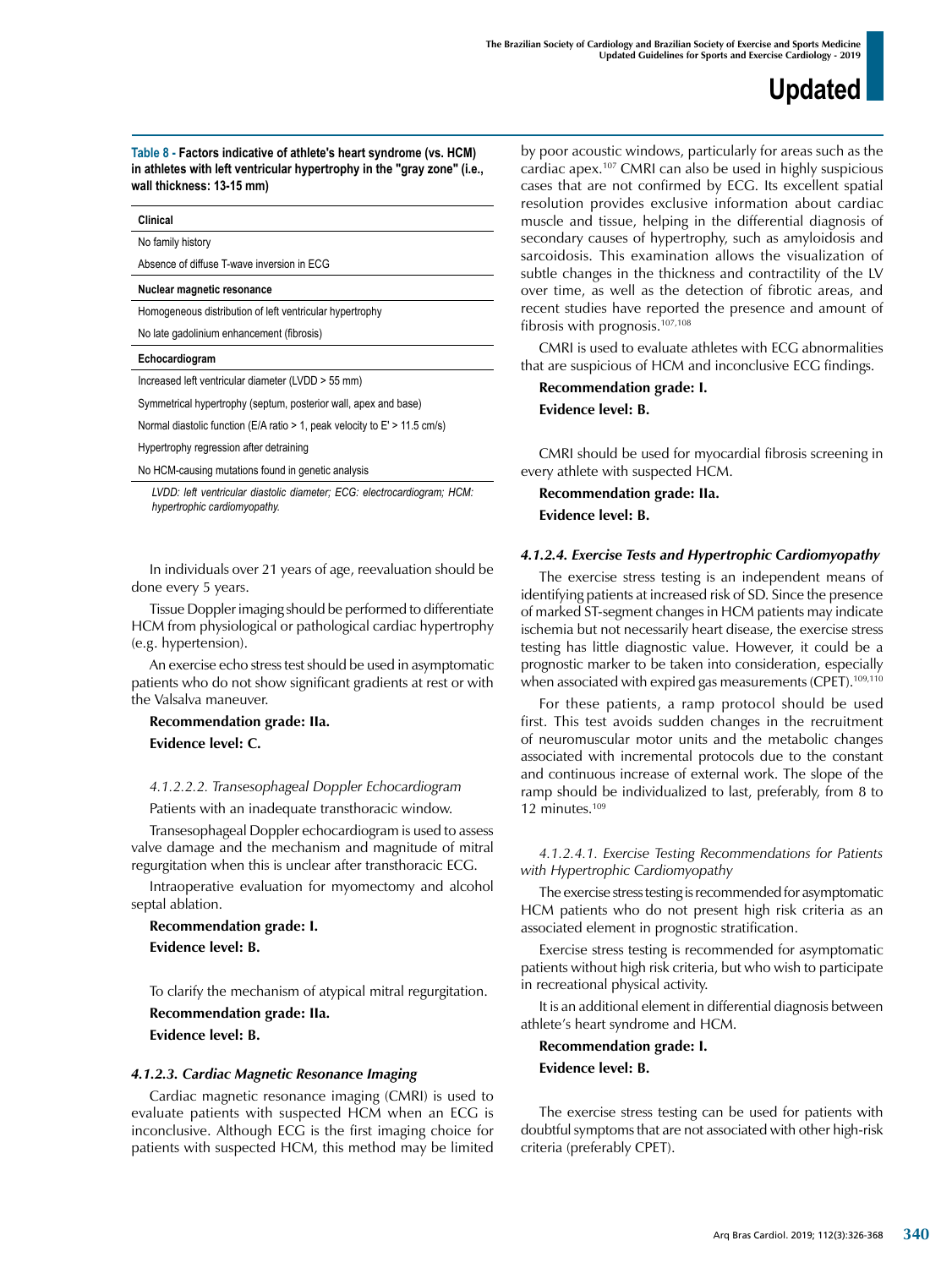**Table 8 - Factors indicative of athlete's heart syndrome (vs. HCM) in athletes with left ventricular hypertrophy in the "gray zone" (i.e., wall thickness: 13-15 mm)**

#### **Clinical**

No family history

Absence of diffuse T-wave inversion in ECG

#### **Nuclear magnetic resonance**

Homogeneous distribution of left ventricular hypertrophy

No late gadolinium enhancement (fibrosis)

#### **Echocardiogram**

Increased left ventricular diameter (LVDD > 55 mm)

Symmetrical hypertrophy (septum, posterior wall, apex and base)

Normal diastolic function (E/A ratio > 1, peak velocity to E' > 11.5 cm/s)

Hypertrophy regression after detraining

No HCM-causing mutations found in genetic analysis

*LVDD: left ventricular diastolic diameter; ECG: electrocardiogram; HCM: hypertrophic cardiomyopathy.*

In individuals over 21 years of age, reevaluation should be done every 5 years.

Tissue Doppler imaging should be performed to differentiate HCM from physiological or pathological cardiac hypertrophy (e.g. hypertension).

An exercise echo stress test should be used in asymptomatic patients who do not show significant gradients at rest or with the Valsalva maneuver.

### **Recommendation grade: IIa. Evidence level: C.**

#### *4.1.2.2.2. Transesophageal Doppler Echocardiogram*

Patients with an inadequate transthoracic window.

Transesophageal Doppler echocardiogram is used to assess valve damage and the mechanism and magnitude of mitral regurgitation when this is unclear after transthoracic ECG.

Intraoperative evaluation for myomectomy and alcohol septal ablation.

**Recommendation grade: I. Evidence level: B.**

To clarify the mechanism of atypical mitral regurgitation.

**Recommendation grade: IIa.**

**Evidence level: B.**

#### *4.1.2.3. Cardiac Magnetic Resonance Imaging*

Cardiac magnetic resonance imaging (CMRI) is used to evaluate patients with suspected HCM when an ECG is inconclusive. Although ECG is the first imaging choice for patients with suspected HCM, this method may be limited by poor acoustic windows, particularly for areas such as the cardiac apex.107 CMRI can also be used in highly suspicious cases that are not confirmed by ECG. Its excellent spatial resolution provides exclusive information about cardiac muscle and tissue, helping in the differential diagnosis of secondary causes of hypertrophy, such as amyloidosis and sarcoidosis. This examination allows the visualization of subtle changes in the thickness and contractility of the LV over time, as well as the detection of fibrotic areas, and recent studies have reported the presence and amount of fibrosis with prognosis.107,108

CMRI is used to evaluate athletes with ECG abnormalities that are suspicious of HCM and inconclusive ECG findings.

**Recommendation grade: I. Evidence level: B.**

CMRI should be used for myocardial fibrosis screening in every athlete with suspected HCM.

**Recommendation grade: IIa. Evidence level: B.**

#### *4.1.2.4. Exercise Tests and Hypertrophic Cardiomyopathy*

The exercise stress testing is an independent means of identifying patients at increased risk of SD. Since the presence of marked ST-segment changes in HCM patients may indicate ischemia but not necessarily heart disease, the exercise stress testing has little diagnostic value. However, it could be a prognostic marker to be taken into consideration, especially when associated with expired gas measurements (CPET).<sup>109,110</sup>

For these patients, a ramp protocol should be used first. This test avoids sudden changes in the recruitment of neuromuscular motor units and the metabolic changes associated with incremental protocols due to the constant and continuous increase of external work. The slope of the ramp should be individualized to last, preferably, from 8 to 12 minutes.109

*4.1.2.4.1. Exercise Testing Recommendations for Patients with Hypertrophic Cardiomyopathy*

The exercise stress testing is recommended for asymptomatic HCM patients who do not present high risk criteria as an associated element in prognostic stratification.

Exercise stress testing is recommended for asymptomatic patients without high risk criteria, but who wish to participate in recreational physical activity.

It is an additional element in differential diagnosis between athlete's heart syndrome and HCM.

**Recommendation grade: I. Evidence level: B.**

The exercise stress testing can be used for patients with doubtful symptoms that are not associated with other high-risk criteria (preferably CPET).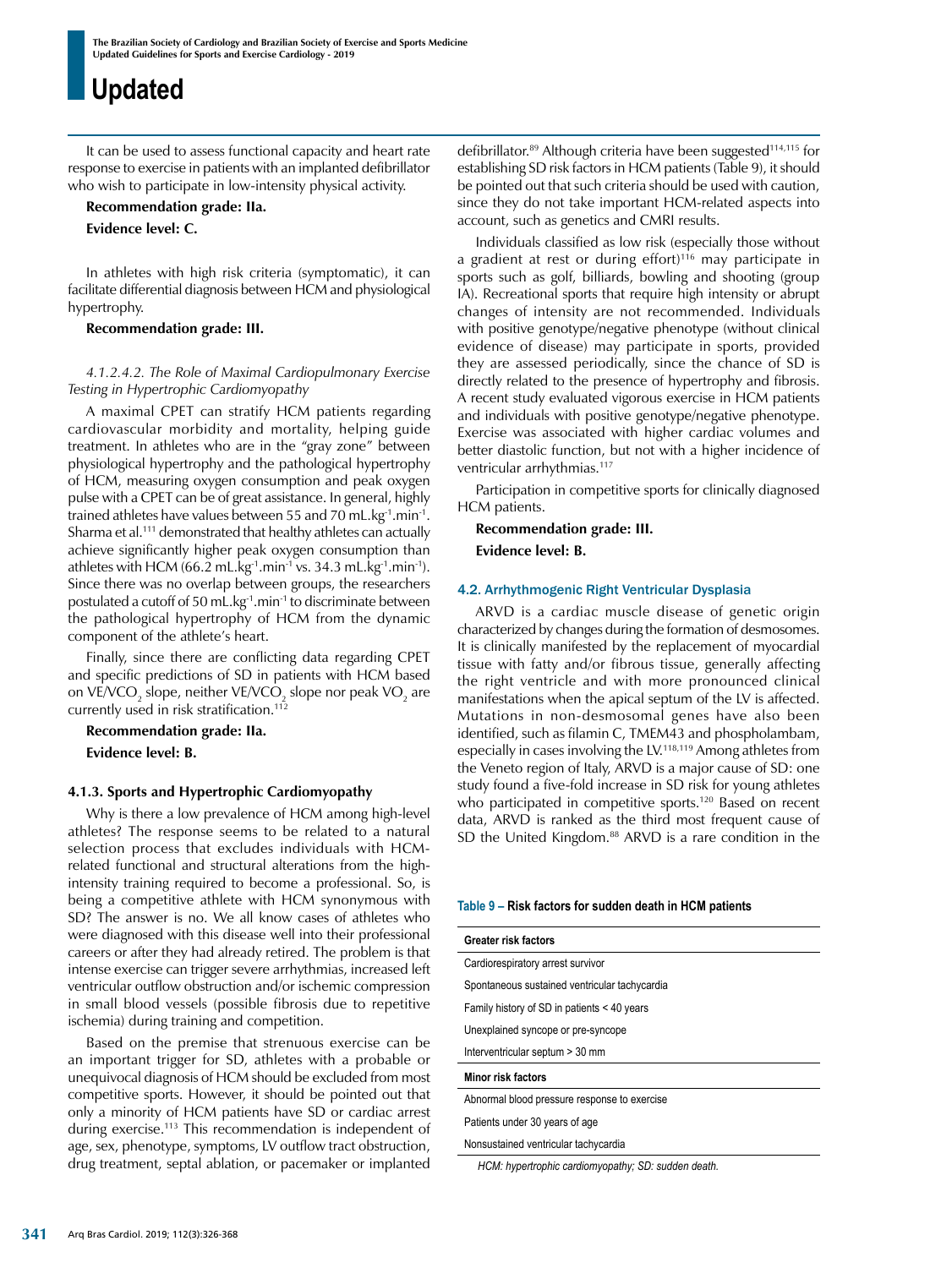It can be used to assess functional capacity and heart rate response to exercise in patients with an implanted defibrillator who wish to participate in low-intensity physical activity.

# **Recommendation grade: IIa.**

#### **Evidence level: C.**

In athletes with high risk criteria (symptomatic), it can facilitate differential diagnosis between HCM and physiological hypertrophy.

#### **Recommendation grade: III.**

### *4.1.2.4.2. The Role of Maximal Cardiopulmonary Exercise Testing in Hypertrophic Cardiomyopathy*

A maximal CPET can stratify HCM patients regarding cardiovascular morbidity and mortality, helping guide treatment. In athletes who are in the "gray zone" between physiological hypertrophy and the pathological hypertrophy of HCM, measuring oxygen consumption and peak oxygen pulse with a CPET can be of great assistance. In general, highly trained athletes have values between 55 and 70 mL.kg<sup>-1</sup>.min<sup>-1</sup>. Sharma et al.111 demonstrated that healthy athletes can actually achieve significantly higher peak oxygen consumption than athletes with HCM (66.2 mL.kg<sup>-1</sup>.min<sup>-1</sup> vs. 34.3 mL.kg<sup>-1</sup>.min<sup>-1</sup>). Since there was no overlap between groups, the researchers postulated a cutoff of 50 mL.kg<sup>-1</sup>.min<sup>-1</sup> to discriminate between the pathological hypertrophy of HCM from the dynamic component of the athlete's heart.

Finally, since there are conflicting data regarding CPET and specific predictions of SD in patients with HCM based on VE/VCO $_{\textrm{\tiny{2}}}$  slope, neither VE/VCO $_{\textrm{\tiny{2}}}$  slope nor peak VO $_{\textrm{\tiny{2}}}$  are currently used in risk stratification.<sup>112</sup>

**Recommendation grade: IIa.**

**Evidence level: B.**

### **4.1.3. Sports and Hypertrophic Cardiomyopathy**

Why is there a low prevalence of HCM among high-level athletes? The response seems to be related to a natural selection process that excludes individuals with HCMrelated functional and structural alterations from the highintensity training required to become a professional. So, is being a competitive athlete with HCM synonymous with SD? The answer is no. We all know cases of athletes who were diagnosed with this disease well into their professional careers or after they had already retired. The problem is that intense exercise can trigger severe arrhythmias, increased left ventricular outflow obstruction and/or ischemic compression in small blood vessels (possible fibrosis due to repetitive ischemia) during training and competition.

Based on the premise that strenuous exercise can be an important trigger for SD, athletes with a probable or unequivocal diagnosis of HCM should be excluded from most competitive sports. However, it should be pointed out that only a minority of HCM patients have SD or cardiac arrest during exercise.113 This recommendation is independent of age, sex, phenotype, symptoms, LV outflow tract obstruction, drug treatment, septal ablation, or pacemaker or implanted defibrillator.<sup>89</sup> Although criteria have been suggested<sup>114,115</sup> for establishing SD risk factors in HCM patients (Table 9), it should be pointed out that such criteria should be used with caution, since they do not take important HCM-related aspects into account, such as genetics and CMRI results.

Individuals classified as low risk (especially those without a gradient at rest or during effort)<sup>116</sup> may participate in sports such as golf, billiards, bowling and shooting (group IA). Recreational sports that require high intensity or abrupt changes of intensity are not recommended. Individuals with positive genotype/negative phenotype (without clinical evidence of disease) may participate in sports, provided they are assessed periodically, since the chance of SD is directly related to the presence of hypertrophy and fibrosis. A recent study evaluated vigorous exercise in HCM patients and individuals with positive genotype/negative phenotype. Exercise was associated with higher cardiac volumes and better diastolic function, but not with a higher incidence of ventricular arrhythmias.<sup>117</sup>

Participation in competitive sports for clinically diagnosed HCM patients.

**Recommendation grade: III. Evidence level: B.**

#### 4.2. Arrhythmogenic Right Ventricular Dysplasia

ARVD is a cardiac muscle disease of genetic origin characterized by changes during the formation of desmosomes. It is clinically manifested by the replacement of myocardial tissue with fatty and/or fibrous tissue, generally affecting the right ventricle and with more pronounced clinical manifestations when the apical septum of the LV is affected. Mutations in non-desmosomal genes have also been identified, such as filamin C, TMEM43 and phospholambam, especially in cases involving the LV.118,119 Among athletes from the Veneto region of Italy, ARVD is a major cause of SD: one study found a five-fold increase in SD risk for young athletes who participated in competitive sports.<sup>120</sup> Based on recent data, ARVD is ranked as the third most frequent cause of SD the United Kingdom.<sup>88</sup> ARVD is a rare condition in the

#### **Table 9 – Risk factors for sudden death in HCM patients**

| Greater risk factors                          |
|-----------------------------------------------|
| Cardiorespiratory arrest survivor             |
| Spontaneous sustained ventricular tachycardia |
| Family history of SD in patients < 40 years   |
| Unexplained syncope or pre-syncope            |
| Interventricular septum > 30 mm               |
| Minor risk factors                            |
| Abnormal blood pressure response to exercise  |
| Patients under 30 years of age                |
| Nonsustained ventricular tachycardia          |

*HCM: hypertrophic cardiomyopathy; SD: sudden death.*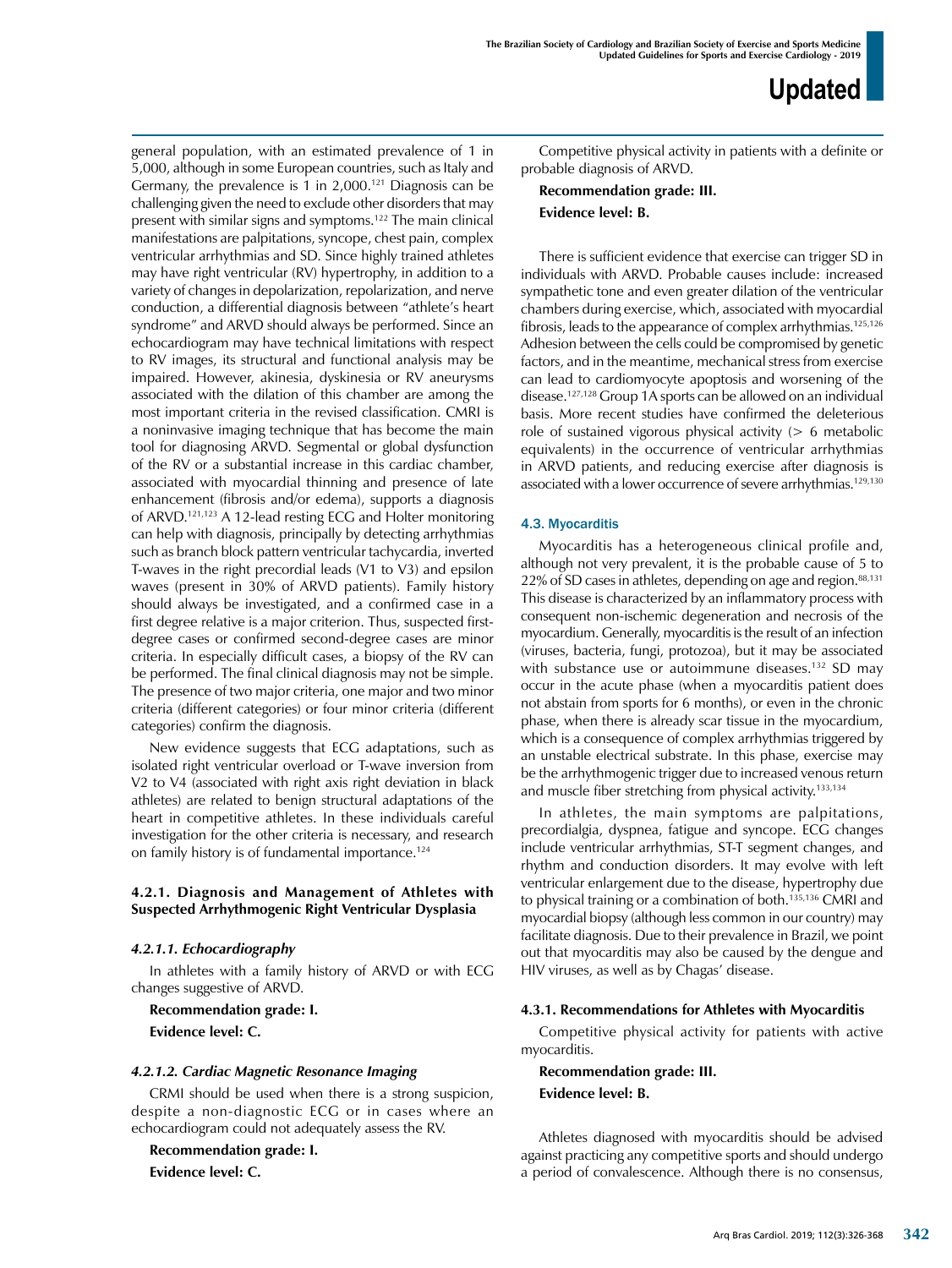general population, with an estimated prevalence of 1 in 5,000, although in some European countries, such as Italy and Germany, the prevalence is 1 in 2,000.121 Diagnosis can be challenging given the need to exclude other disorders that may present with similar signs and symptoms.122 The main clinical manifestations are palpitations, syncope, chest pain, complex ventricular arrhythmias and SD. Since highly trained athletes may have right ventricular (RV) hypertrophy, in addition to a variety of changes in depolarization, repolarization, and nerve conduction, a differential diagnosis between "athlete's heart syndrome" and ARVD should always be performed. Since an echocardiogram may have technical limitations with respect to RV images, its structural and functional analysis may be impaired. However, akinesia, dyskinesia or RV aneurysms associated with the dilation of this chamber are among the most important criteria in the revised classification. CMRI is a noninvasive imaging technique that has become the main tool for diagnosing ARVD. Segmental or global dysfunction of the RV or a substantial increase in this cardiac chamber, associated with myocardial thinning and presence of late enhancement (fibrosis and/or edema), supports a diagnosis of ARVD.121,123 A 12-lead resting ECG and Holter monitoring can help with diagnosis, principally by detecting arrhythmias such as branch block pattern ventricular tachycardia, inverted T-waves in the right precordial leads (V1 to V3) and epsilon waves (present in 30% of ARVD patients). Family history should always be investigated, and a confirmed case in a first degree relative is a major criterion. Thus, suspected firstdegree cases or confirmed second-degree cases are minor criteria. In especially difficult cases, a biopsy of the RV can be performed. The final clinical diagnosis may not be simple. The presence of two major criteria, one major and two minor criteria (different categories) or four minor criteria (different categories) confirm the diagnosis.

New evidence suggests that ECG adaptations, such as isolated right ventricular overload or T-wave inversion from V2 to V4 (associated with right axis right deviation in black athletes) are related to benign structural adaptations of the heart in competitive athletes. In these individuals careful investigation for the other criteria is necessary, and research on family history is of fundamental importance.124

## **4.2.1. Diagnosis and Management of Athletes with Suspected Arrhythmogenic Right Ventricular Dysplasia**

# *4.2.1.1. Echocardiography*

In athletes with a family history of ARVD or with ECG changes suggestive of ARVD.

**Recommendation grade: I.**

**Evidence level: C.**

# *4.2.1.2. Cardiac Magnetic Resonance Imaging*

CRMI should be used when there is a strong suspicion, despite a non-diagnostic ECG or in cases where an echocardiogram could not adequately assess the RV.

**Recommendation grade: I. Evidence level: C.**

Competitive physical activity in patients with a definite or probable diagnosis of ARVD.

# **Recommendation grade: III. Evidence level: B.**

There is sufficient evidence that exercise can trigger SD in individuals with ARVD. Probable causes include: increased sympathetic tone and even greater dilation of the ventricular chambers during exercise, which, associated with myocardial fibrosis, leads to the appearance of complex arrhythmias.125,126 Adhesion between the cells could be compromised by genetic factors, and in the meantime, mechanical stress from exercise can lead to cardiomyocyte apoptosis and worsening of the disease.127,128 Group 1A sports can be allowed on an individual basis. More recent studies have confirmed the deleterious role of sustained vigorous physical activity (> 6 metabolic equivalents) in the occurrence of ventricular arrhythmias in ARVD patients, and reducing exercise after diagnosis is associated with a lower occurrence of severe arrhythmias.129,130

### 4.3. Myocarditis

Myocarditis has a heterogeneous clinical profile and, although not very prevalent, it is the probable cause of 5 to 22% of SD cases in athletes, depending on age and region.<sup>88,131</sup> This disease is characterized by an inflammatory process with consequent non-ischemic degeneration and necrosis of the myocardium. Generally, myocarditis is the result of an infection (viruses, bacteria, fungi, protozoa), but it may be associated with substance use or autoimmune diseases.<sup>132</sup> SD may occur in the acute phase (when a myocarditis patient does not abstain from sports for 6 months), or even in the chronic phase, when there is already scar tissue in the myocardium, which is a consequence of complex arrhythmias triggered by an unstable electrical substrate. In this phase, exercise may be the arrhythmogenic trigger due to increased venous return and muscle fiber stretching from physical activity.133,134

In athletes, the main symptoms are palpitations, precordialgia, dyspnea, fatigue and syncope. ECG changes include ventricular arrhythmias, ST-T segment changes, and rhythm and conduction disorders. It may evolve with left ventricular enlargement due to the disease, hypertrophy due to physical training or a combination of both.<sup>135,136</sup> CMRI and myocardial biopsy (although less common in our country) may facilitate diagnosis. Due to their prevalence in Brazil, we point out that myocarditis may also be caused by the dengue and HIV viruses, as well as by Chagas' disease.

#### **4.3.1. Recommendations for Athletes with Myocarditis**

Competitive physical activity for patients with active myocarditis.

# **Recommendation grade: III. Evidence level: B.**

Athletes diagnosed with myocarditis should be advised against practicing any competitive sports and should undergo a period of convalescence. Although there is no consensus,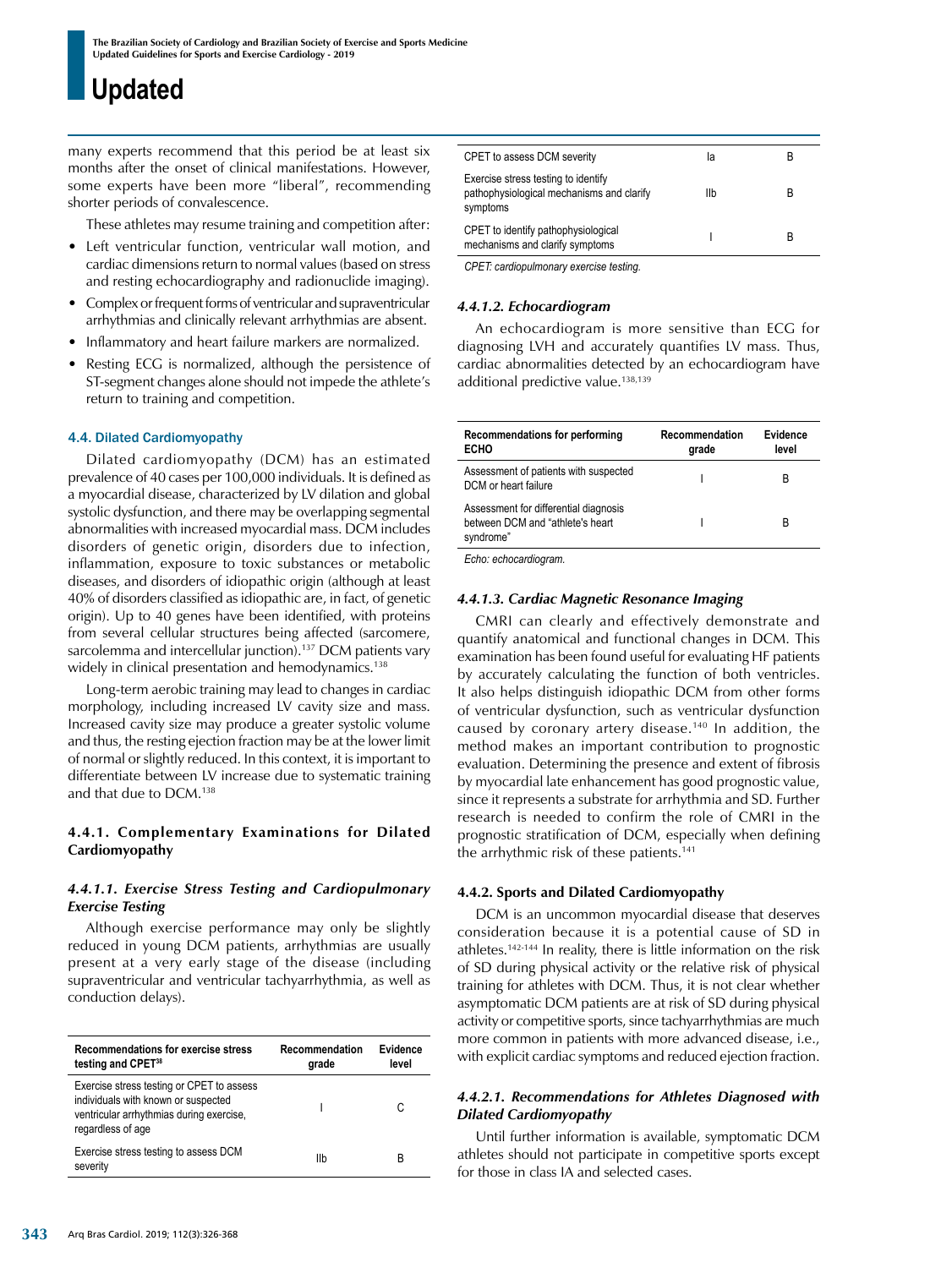many experts recommend that this period be at least six months after the onset of clinical manifestations. However, some experts have been more "liberal", recommending shorter periods of convalescence.

These athletes may resume training and competition after:

- Left ventricular function, ventricular wall motion, and cardiac dimensions return to normal values (based on stress and resting echocardiography and radionuclide imaging).
- Complex or frequent forms of ventricular and supraventricular arrhythmias and clinically relevant arrhythmias are absent.
- Inflammatory and heart failure markers are normalized.
- Resting ECG is normalized, although the persistence of ST-segment changes alone should not impede the athlete's return to training and competition.

### 4.4. Dilated Cardiomyopathy

Dilated cardiomyopathy (DCM) has an estimated prevalence of 40 cases per 100,000 individuals. It is defined as a myocardial disease, characterized by LV dilation and global systolic dysfunction, and there may be overlapping segmental abnormalities with increased myocardial mass. DCM includes disorders of genetic origin, disorders due to infection, inflammation, exposure to toxic substances or metabolic diseases, and disorders of idiopathic origin (although at least 40% of disorders classified as idiopathic are, in fact, of genetic origin). Up to 40 genes have been identified, with proteins from several cellular structures being affected (sarcomere, sarcolemma and intercellular junction).<sup>137</sup> DCM patients vary widely in clinical presentation and hemodynamics.<sup>138</sup>

Long-term aerobic training may lead to changes in cardiac morphology, including increased LV cavity size and mass. Increased cavity size may produce a greater systolic volume and thus, the resting ejection fraction may be at the lower limit of normal or slightly reduced. In this context, it is important to differentiate between LV increase due to systematic training and that due to DCM.138

## **4.4.1. Complementary Examinations for Dilated Cardiomyopathy**

## *4.4.1.1. Exercise Stress Testing and Cardiopulmonary Exercise Testing*

Although exercise performance may only be slightly reduced in young DCM patients, arrhythmias are usually present at a very early stage of the disease (including supraventricular and ventricular tachyarrhythmia, as well as conduction delays).

| <b>Recommendations for exercise stress</b><br>testing and CPET <sup>38</sup>                                                                      | <b>Recommendation</b><br>grade | Evidence<br>level |
|---------------------------------------------------------------------------------------------------------------------------------------------------|--------------------------------|-------------------|
| Exercise stress testing or CPET to assess<br>individuals with known or suspected<br>ventricular arrhythmias during exercise,<br>regardless of age |                                |                   |
| Exercise stress testing to assess DCM<br>severity                                                                                                 | llb                            | R                 |

| la  | R |
|-----|---|
| llb | R |
|     | R |
|     |   |

*CPET: cardiopulmonary exercise testing.*

### *4.4.1.2. Echocardiogram*

An echocardiogram is more sensitive than ECG for diagnosing LVH and accurately quantifies LV mass. Thus, cardiac abnormalities detected by an echocardiogram have additional predictive value.<sup>138,139</sup>

| Recommendations for performing<br><b>ECHO</b>                                          | Recommendation<br>grade | Evidence<br>level |
|----------------------------------------------------------------------------------------|-------------------------|-------------------|
| Assessment of patients with suspected<br>DCM or heart failure                          |                         | R                 |
| Assessment for differential diagnosis<br>between DCM and "athlete's heart<br>syndrome" |                         | R                 |

*Echo: echocardiogram.*

### *4.4.1.3. Cardiac Magnetic Resonance Imaging*

CMRI can clearly and effectively demonstrate and quantify anatomical and functional changes in DCM. This examination has been found useful for evaluating HF patients by accurately calculating the function of both ventricles. It also helps distinguish idiopathic DCM from other forms of ventricular dysfunction, such as ventricular dysfunction caused by coronary artery disease.140 In addition, the method makes an important contribution to prognostic evaluation. Determining the presence and extent of fibrosis by myocardial late enhancement has good prognostic value, since it represents a substrate for arrhythmia and SD. Further research is needed to confirm the role of CMRI in the prognostic stratification of DCM, especially when defining the arrhythmic risk of these patients.<sup>141</sup>

### **4.4.2. Sports and Dilated Cardiomyopathy**

DCM is an uncommon myocardial disease that deserves consideration because it is a potential cause of SD in athletes.142-144 In reality, there is little information on the risk of SD during physical activity or the relative risk of physical training for athletes with DCM. Thus, it is not clear whether asymptomatic DCM patients are at risk of SD during physical activity or competitive sports, since tachyarrhythmias are much more common in patients with more advanced disease, i.e., with explicit cardiac symptoms and reduced ejection fraction.

### *4.4.2.1. Recommendations for Athletes Diagnosed with Dilated Cardiomyopathy*

Until further information is available, symptomatic DCM athletes should not participate in competitive sports except for those in class IA and selected cases.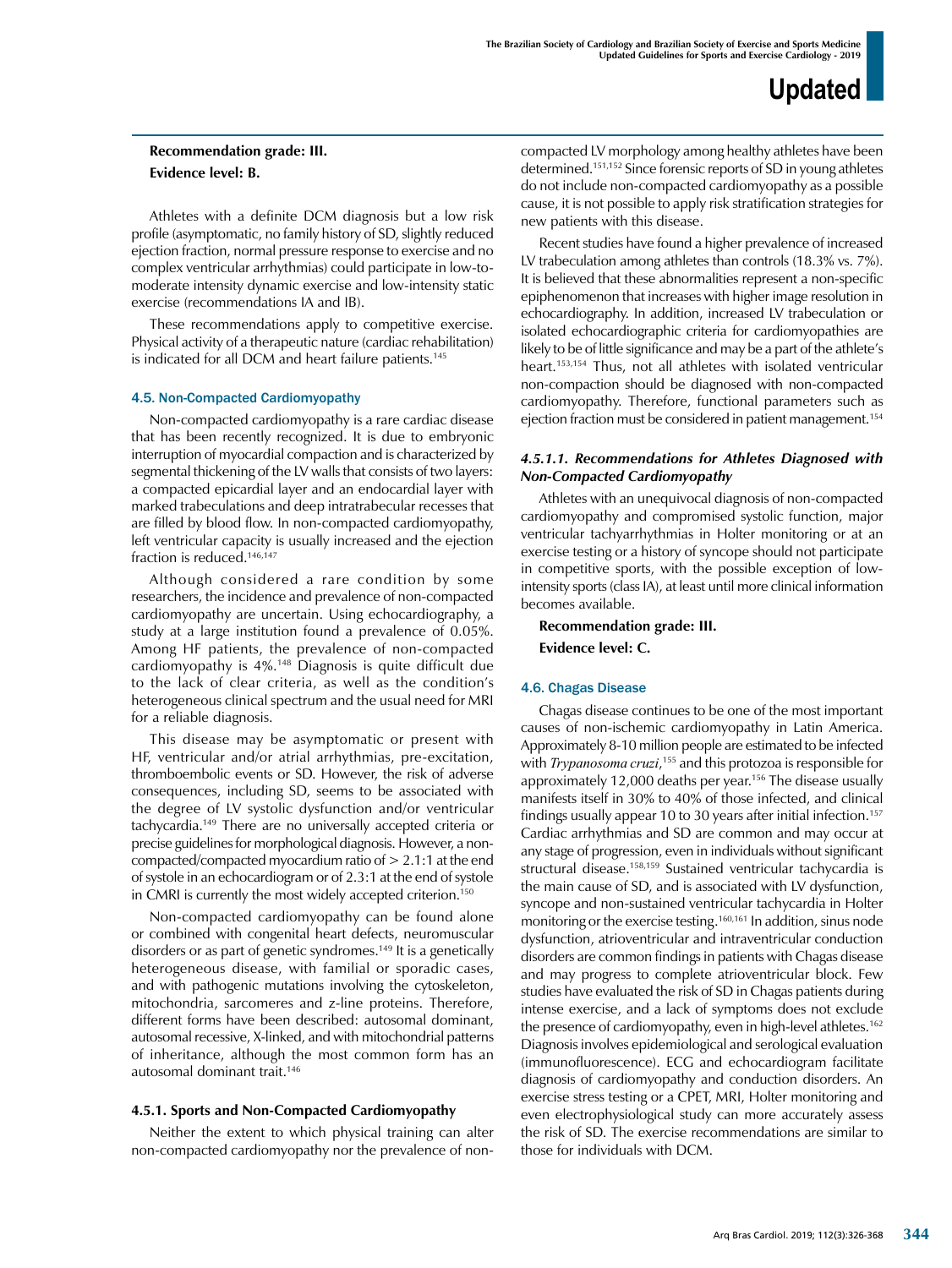## **Recommendation grade: III. Evidence level: B.**

Athletes with a definite DCM diagnosis but a low risk profile (asymptomatic, no family history of SD, slightly reduced ejection fraction, normal pressure response to exercise and no complex ventricular arrhythmias) could participate in low-tomoderate intensity dynamic exercise and low-intensity static exercise (recommendations IA and IB).

These recommendations apply to competitive exercise. Physical activity of a therapeutic nature (cardiac rehabilitation) is indicated for all DCM and heart failure patients.<sup>145</sup>

#### 4.5. Non-Compacted Cardiomyopathy

Non-compacted cardiomyopathy is a rare cardiac disease that has been recently recognized. It is due to embryonic interruption of myocardial compaction and is characterized by segmental thickening of the LV walls that consists of two layers: a compacted epicardial layer and an endocardial layer with marked trabeculations and deep intratrabecular recesses that are filled by blood flow. In non-compacted cardiomyopathy, left ventricular capacity is usually increased and the ejection fraction is reduced.<sup>146,147</sup>

Although considered a rare condition by some researchers, the incidence and prevalence of non-compacted cardiomyopathy are uncertain. Using echocardiography, a study at a large institution found a prevalence of 0.05%. Among HF patients, the prevalence of non-compacted cardiomyopathy is 4%.148 Diagnosis is quite difficult due to the lack of clear criteria, as well as the condition's heterogeneous clinical spectrum and the usual need for MRI for a reliable diagnosis.

This disease may be asymptomatic or present with HF, ventricular and/or atrial arrhythmias, pre-excitation, thromboembolic events or SD. However, the risk of adverse consequences, including SD, seems to be associated with the degree of LV systolic dysfunction and/or ventricular tachycardia.149 There are no universally accepted criteria or precise guidelines for morphological diagnosis. However, a noncompacted/compacted myocardium ratio of > 2.1:1 at the end of systole in an echocardiogram or of 2.3:1 at the end of systole in CMRI is currently the most widely accepted criterion.150

Non-compacted cardiomyopathy can be found alone or combined with congenital heart defects, neuromuscular disorders or as part of genetic syndromes.<sup>149</sup> It is a genetically heterogeneous disease, with familial or sporadic cases, and with pathogenic mutations involving the cytoskeleton, mitochondria, sarcomeres and z-line proteins. Therefore, different forms have been described: autosomal dominant, autosomal recessive, X-linked, and with mitochondrial patterns of inheritance, although the most common form has an autosomal dominant trait.146

#### **4.5.1. Sports and Non-Compacted Cardiomyopathy**

Neither the extent to which physical training can alter non-compacted cardiomyopathy nor the prevalence of noncompacted LV morphology among healthy athletes have been determined.151,152 Since forensic reports of SD in young athletes do not include non-compacted cardiomyopathy as a possible cause, it is not possible to apply risk stratification strategies for new patients with this disease.

Recent studies have found a higher prevalence of increased LV trabeculation among athletes than controls (18.3% vs. 7%). It is believed that these abnormalities represent a non-specific epiphenomenon that increases with higher image resolution in echocardiography. In addition, increased LV trabeculation or isolated echocardiographic criteria for cardiomyopathies are likely to be of little significance and may be a part of the athlete's heart.153,154 Thus, not all athletes with isolated ventricular non-compaction should be diagnosed with non-compacted cardiomyopathy. Therefore, functional parameters such as ejection fraction must be considered in patient management.154

#### *4.5.1.1. Recommendations for Athletes Diagnosed with Non-Compacted Cardiomyopathy*

Athletes with an unequivocal diagnosis of non-compacted cardiomyopathy and compromised systolic function, major ventricular tachyarrhythmias in Holter monitoring or at an exercise testing or a history of syncope should not participate in competitive sports, with the possible exception of lowintensity sports (class IA), at least until more clinical information becomes available.

**Recommendation grade: III.**

**Evidence level: C.**

#### 4.6. Chagas Disease

Chagas disease continues to be one of the most important causes of non-ischemic cardiomyopathy in Latin America. Approximately 8-10 million people are estimated to be infected with *[Trypanosoma cruzi](https://pt.wikipedia.org/wiki/Trypanosoma_cruzi)*, 155 and this protozoa is responsible for approximately 12,000 deaths per year.<sup>156</sup> The disease usually manifests itself in 30% to 40% of those infected, and clinical findings usually appear 10 to 30 years after initial infection.157 Cardiac arrhythmias and SD are common and may occur at any stage of progression, even in individuals without significant structural disease.<sup>158,159</sup> Sustained ventricular tachycardia is the main cause of SD, and is associated with LV dysfunction, syncope and non-sustained ventricular tachycardia in Holter monitoring or the exercise testing.<sup>160,161</sup> In addition, sinus node dysfunction, atrioventricular and intraventricular conduction disorders are common findings in patients with Chagas disease and may progress to complete atrioventricular block. Few studies have evaluated the risk of SD in Chagas patients during intense exercise, and a lack of symptoms does not exclude the presence of cardiomyopathy, even in high-level athletes.<sup>162</sup> Diagnosis involves epidemiological and serological evaluation (immunofluorescence). ECG and echocardiogram facilitate diagnosis of cardiomyopathy and conduction disorders. An exercise stress testing or a CPET, MRI, Holter monitoring and even electrophysiological study can more accurately assess the risk of SD. The exercise recommendations are similar to those for individuals with DCM.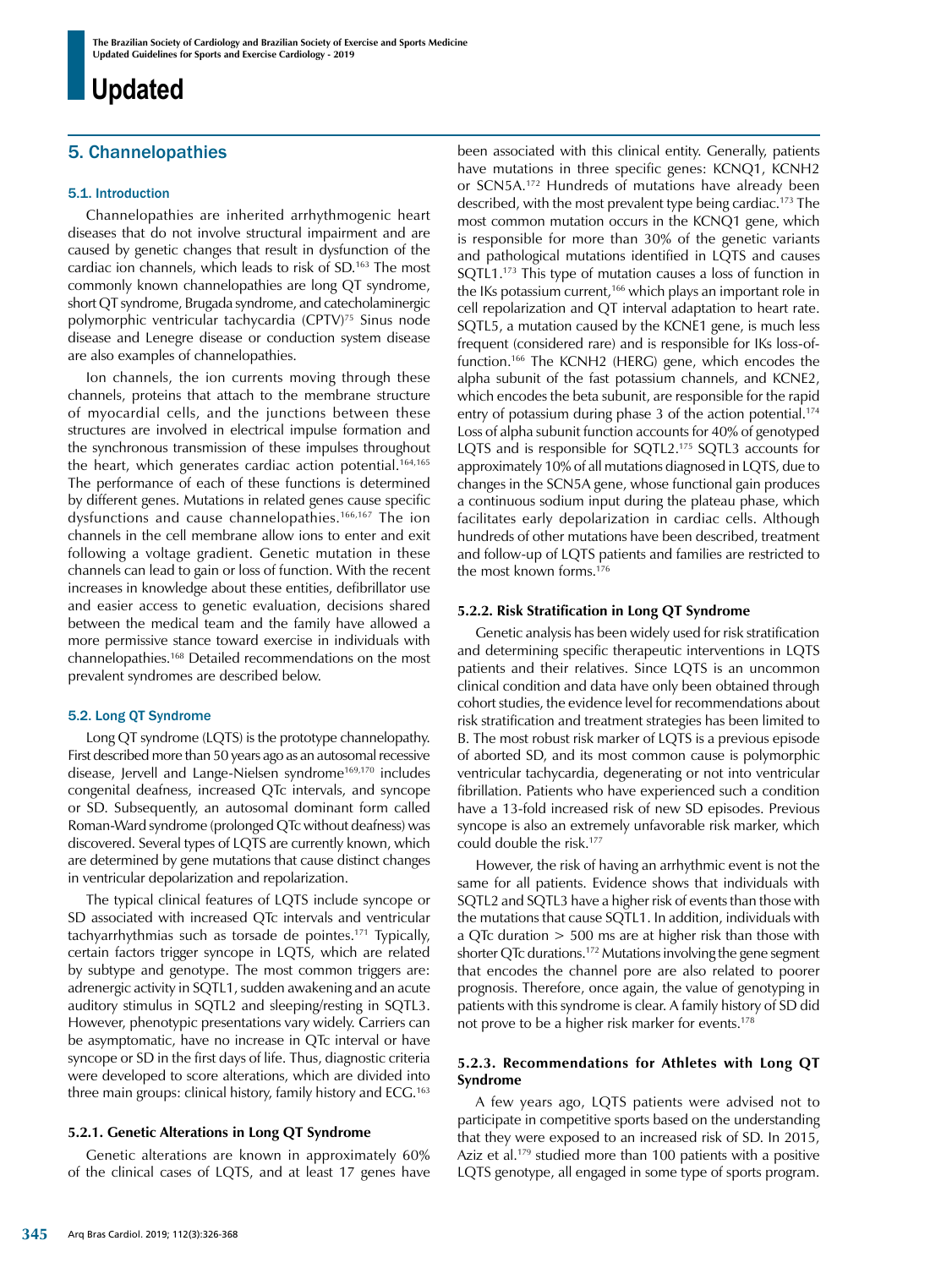# 5. Channelopathies

### 5.1. Introduction

Channelopathies are inherited arrhythmogenic heart diseases that do not involve structural impairment and are caused by genetic changes that result in dysfunction of the cardiac ion channels, which leads to risk of SD.163 The most commonly known channelopathies are long QT syndrome, short QT syndrome, Brugada syndrome, and catecholaminergic polymorphic ventricular tachycardia (CPTV)<sup>75</sup> Sinus node disease and Lenegre disease or conduction system disease are also examples of channelopathies.

Ion channels, the ion currents moving through these channels, proteins that attach to the membrane structure of myocardial cells, and the junctions between these structures are involved in electrical impulse formation and the synchronous transmission of these impulses throughout the heart, which generates cardiac action potential.<sup>164,165</sup> The performance of each of these functions is determined by different genes. Mutations in related genes cause specific dysfunctions and cause channelopathies.166,167 The ion channels in the cell membrane allow ions to enter and exit following a voltage gradient. Genetic mutation in these channels can lead to gain or loss of function. With the recent increases in knowledge about these entities, defibrillator use and easier access to genetic evaluation, decisions shared between the medical team and the family have allowed a more permissive stance toward exercise in individuals with channelopathies.168 Detailed recommendations on the most prevalent syndromes are described below.

### 5.2. Long QT Syndrome

Long QT syndrome (LQTS) is the prototype channelopathy. First described more than 50 years ago as an autosomal recessive disease, Jervell and Lange-Nielsen syndrome<sup>169,170</sup> includes congenital deafness, increased QTc intervals, and syncope or SD. Subsequently, an autosomal dominant form called Roman-Ward syndrome (prolonged QTc without deafness) was discovered. Several types of LQTS are currently known, which are determined by gene mutations that cause distinct changes in ventricular depolarization and repolarization.

The typical clinical features of LQTS include syncope or SD associated with increased QTc intervals and ventricular tachyarrhythmias such as torsade de pointes.171 Typically, certain factors trigger syncope in LQTS, which are related by subtype and genotype. The most common triggers are: adrenergic activity in SQTL1, sudden awakening and an acute auditory stimulus in SQTL2 and sleeping/resting in SQTL3. However, phenotypic presentations vary widely. Carriers can be asymptomatic, have no increase in QTc interval or have syncope or SD in the first days of life. Thus, diagnostic criteria were developed to score alterations, which are divided into three main groups: clinical history, family history and ECG.163

# **5.2.1. Genetic Alterations in Long QT Syndrome**

Genetic alterations are known in approximately 60% of the clinical cases of LQTS, and at least 17 genes have been associated with this clinical entity. Generally, patients have mutations in three specific genes: KCNQ1, KCNH2 or SCN5A.172 Hundreds of mutations have already been described, with the most prevalent type being cardiac.173 The most common mutation occurs in the KCNQ1 gene, which is responsible for more than 30% of the genetic variants and pathological mutations identified in LQTS and causes SQTL1.173 This type of mutation causes a loss of function in the IKs potassium current,<sup>166</sup> which plays an important role in cell repolarization and QT interval adaptation to heart rate. SQTL5, a mutation caused by the KCNE1 gene, is much less frequent (considered rare) and is responsible for IKs loss-offunction.166 The KCNH2 (HERG) gene, which encodes the alpha subunit of the fast potassium channels, and KCNE2, which encodes the beta subunit, are responsible for the rapid entry of potassium during phase 3 of the action potential.<sup>174</sup> Loss of alpha subunit function accounts for 40% of genotyped LQTS and is responsible for SQTL2.175 SQTL3 accounts for approximately 10% of all mutations diagnosed in LQTS, due to changes in the SCN5A gene, whose functional gain produces a continuous sodium input during the plateau phase, which facilitates early depolarization in cardiac cells. Although hundreds of other mutations have been described, treatment and follow-up of LQTS patients and families are restricted to the most known forms.176

### **5.2.2. Risk Stratification in Long QT Syndrome**

Genetic analysis has been widely used for risk stratification and determining specific therapeutic interventions in LQTS patients and their relatives. Since LQTS is an uncommon clinical condition and data have only been obtained through cohort studies, the evidence level for recommendations about risk stratification and treatment strategies has been limited to B. The most robust risk marker of LQTS is a previous episode of aborted SD, and its most common cause is polymorphic ventricular tachycardia, degenerating or not into ventricular fibrillation. Patients who have experienced such a condition have a 13-fold increased risk of new SD episodes. Previous syncope is also an extremely unfavorable risk marker, which could double the risk.177

However, the risk of having an arrhythmic event is not the same for all patients. Evidence shows that individuals with SQTL2 and SQTL3 have a higher risk of events than those with the mutations that cause SQTL1. In addition, individuals with a QTc duration > 500 ms are at higher risk than those with shorter QTc durations.172 Mutations involving the gene segment that encodes the channel pore are also related to poorer prognosis. Therefore, once again, the value of genotyping in patients with this syndrome is clear. A family history of SD did not prove to be a higher risk marker for events.178

## **5.2.3. Recommendations for Athletes with Long QT Syndrome**

A few years ago, LQTS patients were advised not to participate in competitive sports based on the understanding that they were exposed to an increased risk of SD. In 2015, Aziz et al.<sup>179</sup> studied more than 100 patients with a positive LQTS genotype, all engaged in some type of sports program.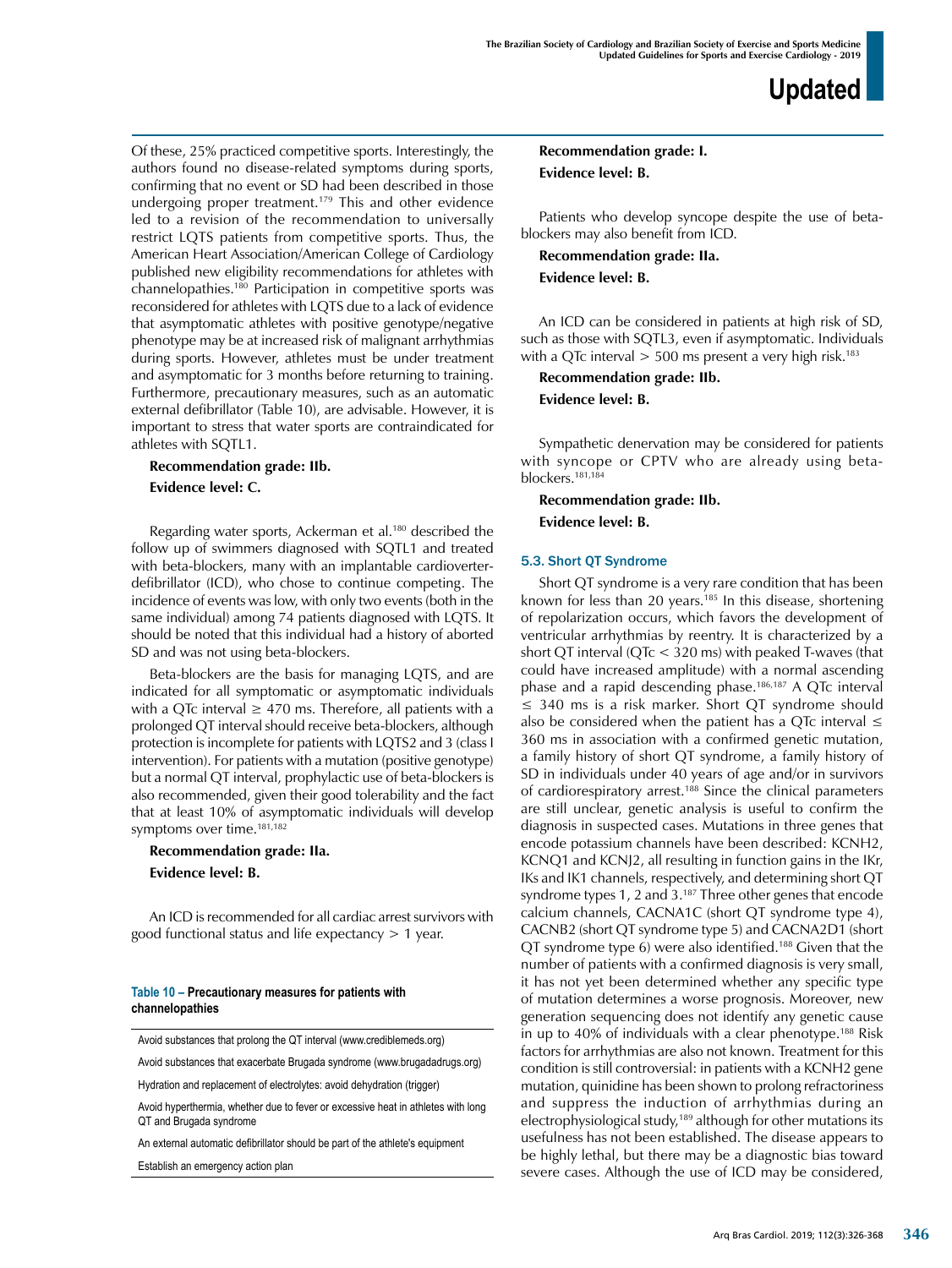Of these, 25% practiced competitive sports. Interestingly, the authors found no disease-related symptoms during sports, confirming that no event or SD had been described in those undergoing proper treatment.179 This and other evidence led to a revision of the recommendation to universally restrict LQTS patients from competitive sports. Thus, the American Heart Association/American College of Cardiology published new eligibility recommendations for athletes with channelopathies.<sup>180</sup> Participation in competitive sports was reconsidered for athletes with LQTS due to a lack of evidence that asymptomatic athletes with positive genotype/negative phenotype may be at increased risk of malignant arrhythmias during sports. However, athletes must be under treatment and asymptomatic for 3 months before returning to training. Furthermore, precautionary measures, such as an automatic external defibrillator (Table 10), are advisable. However, it is important to stress that water sports are contraindicated for athletes with SQTL1.

#### **Recommendation grade: IIb.**

**Evidence level: C.**

Regarding water sports, Ackerman et al.180 described the follow up of swimmers diagnosed with SQTL1 and treated with beta-blockers, many with an implantable cardioverterdefibrillator (ICD), who chose to continue competing. The incidence of events was low, with only two events (both in the same individual) among 74 patients diagnosed with LQTS. It should be noted that this individual had a history of aborted SD and was not using beta-blockers.

Beta-blockers are the basis for managing LQTS, and are indicated for all symptomatic or asymptomatic individuals with a QTc interval  $\geq$  470 ms. Therefore, all patients with a prolonged QT interval should receive beta-blockers, although protection is incomplete for patients with LQTS2 and 3 (class I intervention). For patients with a mutation (positive genotype) but a normal QT interval, prophylactic use of beta-blockers is also recommended, given their good tolerability and the fact that at least 10% of asymptomatic individuals will develop symptoms over time.<sup>181,182</sup>

### **Recommendation grade: IIa. Evidence level: B.**

An ICD is recommended for all cardiac arrest survivors with good functional status and life expectancy > 1 year.

#### **Table 10 – Precautionary measures for patients with channelopathies**

Avoid substances that prolong the QT interval (www.crediblemeds.org)

Avoid substances that exacerbate Brugada syndrome (www.brugadadrugs.org)

Hydration and replacement of electrolytes: avoid dehydration (trigger)

Avoid hyperthermia, whether due to fever or excessive heat in athletes with long QT and Brugada syndrome

An external automatic defibrillator should be part of the athlete's equipment

Establish an emergency action plan

# **Recommendation grade: I. Evidence level: B.**

Patients who develop syncope despite the use of betablockers may also benefit from ICD.

**Recommendation grade: IIa. Evidence level: B.**

An ICD can be considered in patients at high risk of SD, such as those with SQTL3, even if asymptomatic. Individuals with a QTc interval  $> 500$  ms present a very high risk.<sup>183</sup>

**Recommendation grade: IIb. Evidence level: B.**

Sympathetic denervation may be considered for patients with syncope or CPTV who are already using betablockers.181,184

**Recommendation grade: IIb. Evidence level: B.**

#### 5.3. Short QT Syndrome

Short QT syndrome is a very rare condition that has been known for less than 20 years.<sup>185</sup> In this disease, shortening of repolarization occurs, which favors the development of ventricular arrhythmias by reentry. It is characterized by a short QT interval (QTc < 320 ms) with peaked T-waves (that could have increased amplitude) with a normal ascending phase and a rapid descending phase.<sup>186,187</sup> A QTc interval  $\leq$  340 ms is a risk marker. Short QT syndrome should also be considered when the patient has a QTc interval  $\leq$ 360 ms in association with a confirmed genetic mutation, a family history of short QT syndrome, a family history of SD in individuals under 40 years of age and/or in survivors of cardiorespiratory arrest.<sup>188</sup> Since the clinical parameters are still unclear, genetic analysis is useful to confirm the diagnosis in suspected cases. Mutations in three genes that encode potassium channels have been described: KCNH2, KCNQ1 and KCNJ2, all resulting in function gains in the IKr, IKs and IK1 channels, respectively, and determining short QT syndrome types 1, 2 and 3.187 Three other genes that encode calcium channels, CACNA1C (short QT syndrome type 4), CACNB2 (short QT syndrome type 5) and CACNA2D1 (short QT syndrome type 6) were also identified.188 Given that the number of patients with a confirmed diagnosis is very small, it has not yet been determined whether any specific type of mutation determines a worse prognosis. Moreover, new generation sequencing does not identify any genetic cause in up to 40% of individuals with a clear phenotype.188 Risk factors for arrhythmias are also not known. Treatment for this condition is still controversial: in patients with a KCNH2 gene mutation, quinidine has been shown to prolong refractoriness and suppress the induction of arrhythmias during an electrophysiological study,<sup>189</sup> although for other mutations its usefulness has not been established. The disease appears to be highly lethal, but there may be a diagnostic bias toward severe cases. Although the use of ICD may be considered,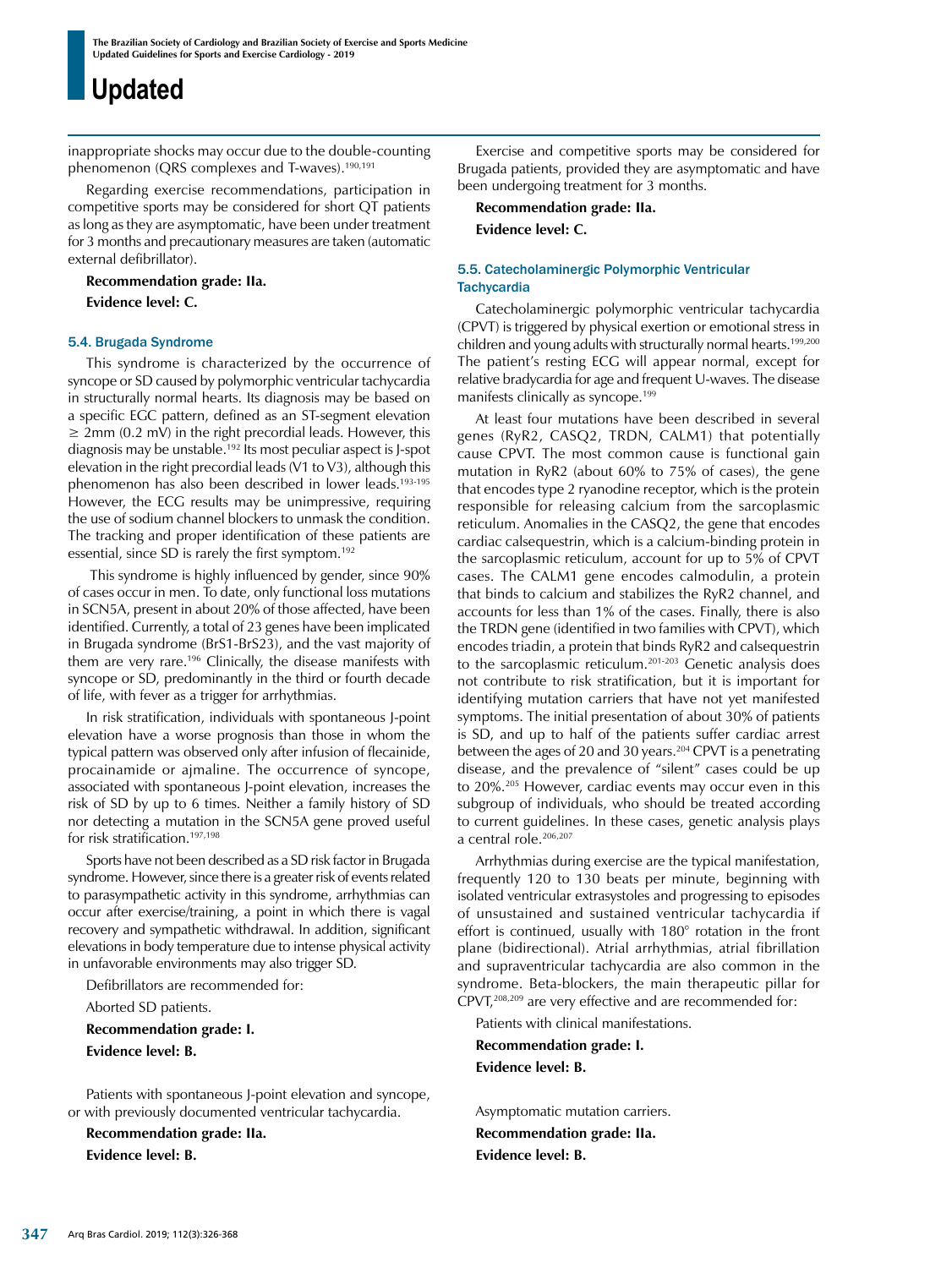inappropriate shocks may occur due to the double-counting phenomenon (QRS complexes and T-waves).<sup>190,191</sup>

Regarding exercise recommendations, participation in competitive sports may be considered for short QT patients as long as they are asymptomatic, have been under treatment for 3 months and precautionary measures are taken (automatic external defibrillator).

**Recommendation grade: IIa.**

**Evidence level: C.**

### 5.4. Brugada Syndrome

This syndrome is characterized by the occurrence of syncope or SD caused by polymorphic ventricular tachycardia in structurally normal hearts. Its diagnosis may be based on a specific EGC pattern, defined as an ST-segment elevation ≥ 2mm (0.2 mV) in the right precordial leads. However, this diagnosis may be unstable.192 Its most peculiar aspect is J-spot elevation in the right precordial leads (V1 to V3), although this phenomenon has also been described in lower leads.193-195 However, the ECG results may be unimpressive, requiring the use of sodium channel blockers to unmask the condition. The tracking and proper identification of these patients are essential, since SD is rarely the first symptom.<sup>192</sup>

 This syndrome is highly influenced by gender, since 90% of cases occur in men. To date, only functional loss mutations in SCN5A, present in about 20% of those affected, have been identified. Currently, a total of 23 genes have been implicated in Brugada syndrome (BrS1-BrS23), and the vast majority of them are very rare.196 Clinically, the disease manifests with syncope or SD, predominantly in the third or fourth decade of life, with fever as a trigger for arrhythmias.

In risk stratification, individuals with spontaneous J-point elevation have a worse prognosis than those in whom the typical pattern was observed only after infusion of flecainide, procainamide or ajmaline. The occurrence of syncope, associated with spontaneous J-point elevation, increases the risk of SD by up to 6 times. Neither a family history of SD nor detecting a mutation in the SCN5A gene proved useful for risk stratification.197,198

Sports have not been described as a SD risk factor in Brugada syndrome. However, since there is a greater risk of events related to parasympathetic activity in this syndrome, arrhythmias can occur after exercise/training, a point in which there is vagal recovery and sympathetic withdrawal. In addition, significant elevations in body temperature due to intense physical activity in unfavorable environments may also trigger SD.

Defibrillators are recommended for:

Aborted SD patients.

**Recommendation grade: I. Evidence level: B.**

Patients with spontaneous J-point elevation and syncope, or with previously documented ventricular tachycardia.

**Recommendation grade: IIa. Evidence level: B.**

Exercise and competitive sports may be considered for Brugada patients, provided they are asymptomatic and have been undergoing treatment for 3 months.

**Recommendation grade: IIa. Evidence level: C.**

#### 5.5. Catecholaminergic Polymorphic Ventricular **Tachycardia**

Catecholaminergic polymorphic ventricular tachycardia (CPVT) is triggered by physical exertion or emotional stress in children and young adults with structurally normal hearts.199,200 The patient's resting ECG will appear normal, except for relative bradycardia for age and frequent U-waves. The disease manifests clinically as syncope.<sup>199</sup>

At least four mutations have been described in several genes (RyR2, CASQ2, TRDN, CALM1) that potentially cause CPVT. The most common cause is functional gain mutation in RyR2 (about 60% to 75% of cases), the gene that encodes type 2 ryanodine receptor, which is the protein responsible for releasing calcium from the sarcoplasmic reticulum. Anomalies in the CASQ2, the gene that encodes cardiac calsequestrin, which is a calcium-binding protein in the sarcoplasmic reticulum, account for up to 5% of CPVT cases. The CALM1 gene encodes calmodulin, a protein that binds to calcium and stabilizes the RyR2 channel, and accounts for less than 1% of the cases. Finally, there is also the TRDN gene (identified in two families with CPVT), which encodes triadin, a protein that binds RyR2 and calsequestrin to the sarcoplasmic reticulum.201-203 Genetic analysis does not contribute to risk stratification, but it is important for identifying mutation carriers that have not yet manifested symptoms. The initial presentation of about 30% of patients is SD, and up to half of the patients suffer cardiac arrest between the ages of 20 and 30 years.<sup>204</sup> CPVT is a penetrating disease, and the prevalence of "silent" cases could be up to 20%.205 However, cardiac events may occur even in this subgroup of individuals, who should be treated according to current guidelines. In these cases, genetic analysis plays a central role.206,207

Arrhythmias during exercise are the typical manifestation, frequently 120 to 130 beats per minute, beginning with isolated ventricular extrasystoles and progressing to episodes of unsustained and sustained ventricular tachycardia if effort is continued, usually with 180° rotation in the front plane (bidirectional). Atrial arrhythmias, atrial fibrillation and supraventricular tachycardia are also common in the syndrome. Beta-blockers, the main therapeutic pillar for CPVT,208,209 are very effective and are recommended for:

Patients with clinical manifestations.

**Recommendation grade: I. Evidence level: B.**

Asymptomatic mutation carriers.

**Recommendation grade: IIa. Evidence level: B.**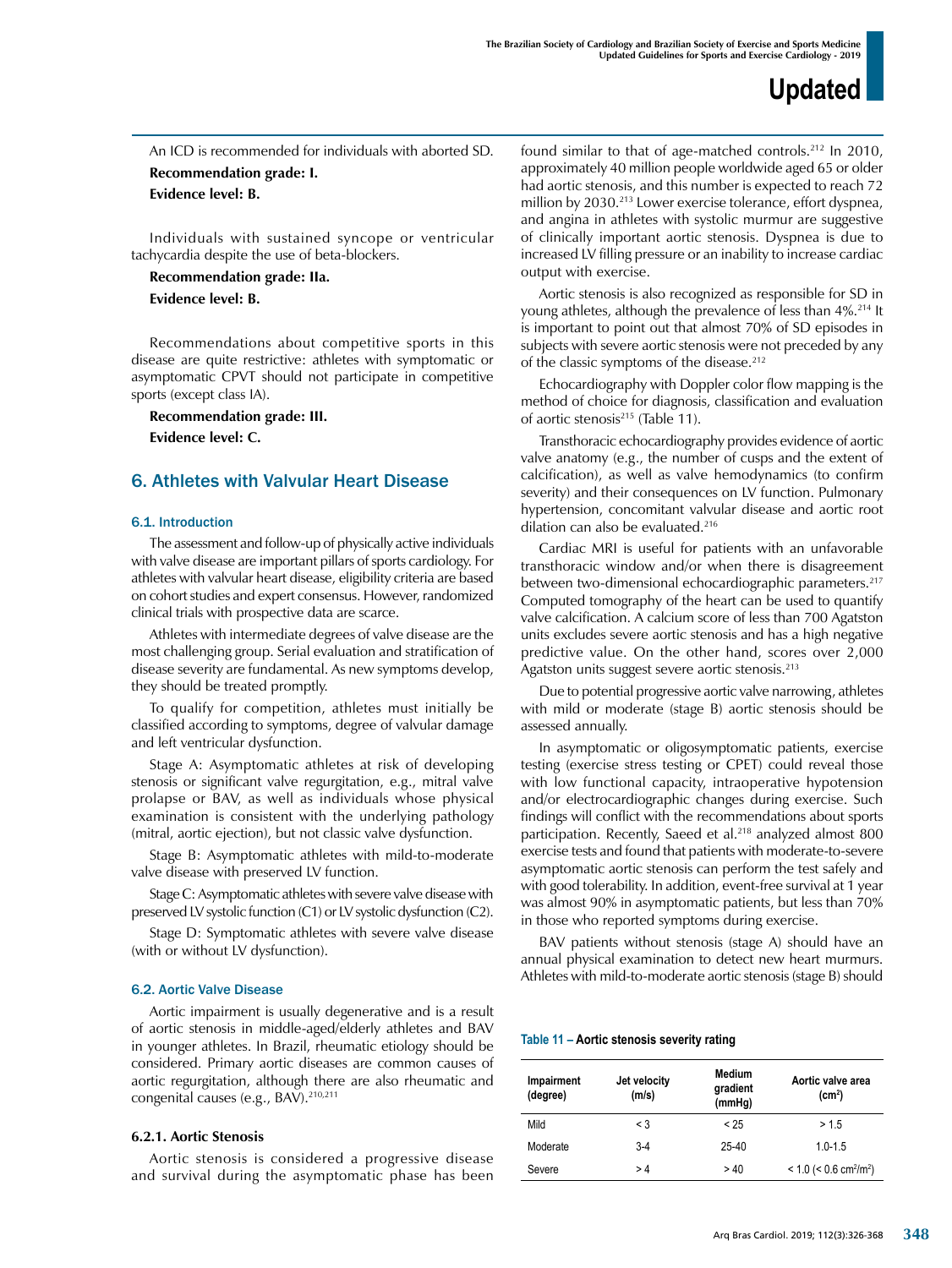An ICD is recommended for individuals with aborted SD. **Recommendation grade: I.**

**Evidence level: B.**

Individuals with sustained syncope or ventricular tachycardia despite the use of beta-blockers.

**Recommendation grade: IIa. Evidence level: B.**

Recommendations about competitive sports in this disease are quite restrictive: athletes with symptomatic or asymptomatic CPVT should not participate in competitive sports (except class IA).

**Recommendation grade: III. Evidence level: C.**

# 6. Athletes with Valvular Heart Disease

#### 6.1. Introduction

The assessment and follow-up of physically active individuals with valve disease are important pillars of sports cardiology. For athletes with valvular heart disease, eligibility criteria are based on cohort studies and expert consensus. However, randomized clinical trials with prospective data are scarce.

Athletes with intermediate degrees of valve disease are the most challenging group. Serial evaluation and stratification of disease severity are fundamental. As new symptoms develop, they should be treated promptly.

To qualify for competition, athletes must initially be classified according to symptoms, degree of valvular damage and left ventricular dysfunction.

Stage A: Asymptomatic athletes at risk of developing stenosis or significant valve regurgitation, e.g., mitral valve prolapse or BAV, as well as individuals whose physical examination is consistent with the underlying pathology (mitral, aortic ejection), but not classic valve dysfunction.

Stage B: Asymptomatic athletes with mild-to-moderate valve disease with preserved LV function.

Stage C: Asymptomatic athletes with severe valve disease with preserved LV systolic function (C1) or LV systolic dysfunction (C2).

Stage D: Symptomatic athletes with severe valve disease (with or without LV dysfunction).

#### 6.2. Aortic Valve Disease

Aortic impairment is usually degenerative and is a result of aortic stenosis in middle-aged/elderly athletes and BAV in younger athletes. In Brazil, rheumatic etiology should be considered. Primary aortic diseases are common causes of aortic regurgitation, although there are also rheumatic and congenital causes (e.g., BAV).<sup>210,211</sup>

#### **6.2.1. Aortic Stenosis**

Aortic stenosis is considered a progressive disease and survival during the asymptomatic phase has been found similar to that of age-matched controls.212 In 2010, approximately 40 million people worldwide aged 65 or older had aortic stenosis, and this number is expected to reach 72 million by 2030.<sup>213</sup> Lower exercise tolerance, effort dyspnea, and angina in athletes with systolic murmur are suggestive of clinically important aortic stenosis. Dyspnea is due to increased LV filling pressure or an inability to increase cardiac output with exercise.

Aortic stenosis is also recognized as responsible for SD in young athletes, although the prevalence of less than 4%.<sup>214</sup> It is important to point out that almost 70% of SD episodes in subjects with severe aortic stenosis were not preceded by any of the classic symptoms of the disease.<sup>212</sup>

Echocardiography with Doppler color flow mapping is the method of choice for diagnosis, classification and evaluation of aortic stenosis<sup>215</sup> (Table 11).

Transthoracic echocardiography provides evidence of aortic valve anatomy (e.g., the number of cusps and the extent of calcification), as well as valve hemodynamics (to confirm severity) and their consequences on LV function. Pulmonary hypertension, concomitant valvular disease and aortic root dilation can also be evaluated.<sup>216</sup>

Cardiac MRI is useful for patients with an unfavorable transthoracic window and/or when there is disagreement between two-dimensional echocardiographic parameters.<sup>217</sup> Computed tomography of the heart can be used to quantify valve calcification. A calcium score of less than 700 Agatston units excludes severe aortic stenosis and has a high negative predictive value. On the other hand, scores over 2,000 Agatston units suggest severe aortic stenosis.<sup>213</sup>

Due to potential progressive aortic valve narrowing, athletes with mild or moderate (stage B) aortic stenosis should be assessed annually.

In asymptomatic or oligosymptomatic patients, exercise testing (exercise stress testing or CPET) could reveal those with low functional capacity, intraoperative hypotension and/or electrocardiographic changes during exercise. Such findings will conflict with the recommendations about sports participation. Recently, Saeed et al.<sup>218</sup> analyzed almost 800 exercise tests and found that patients with moderate-to-severe asymptomatic aortic stenosis can perform the test safely and with good tolerability. In addition, event-free survival at 1 year was almost 90% in asymptomatic patients, but less than 70% in those who reported symptoms during exercise.

BAV patients without stenosis (stage A) should have an annual physical examination to detect new heart murmurs. Athletes with mild-to-moderate aortic stenosis (stage B) should

#### **Table 11 – Aortic stenosis severity rating**

| Impairment<br>(degree) | Jet velocity<br>(m/s) | Medium<br>gradient<br>(mmHg) | Aortic valve area<br>(cm <sup>2</sup> )             |
|------------------------|-----------------------|------------------------------|-----------------------------------------------------|
| Mild                   | $\leq 3$              | < 25                         | > 1.5                                               |
| Moderate               | $3-4$                 | 25-40                        | $1.0 - 1.5$                                         |
| Severe                 | > 4                   | >40                          | $< 1.0$ ( $< 0.6$ cm <sup>2</sup> /m <sup>2</sup> ) |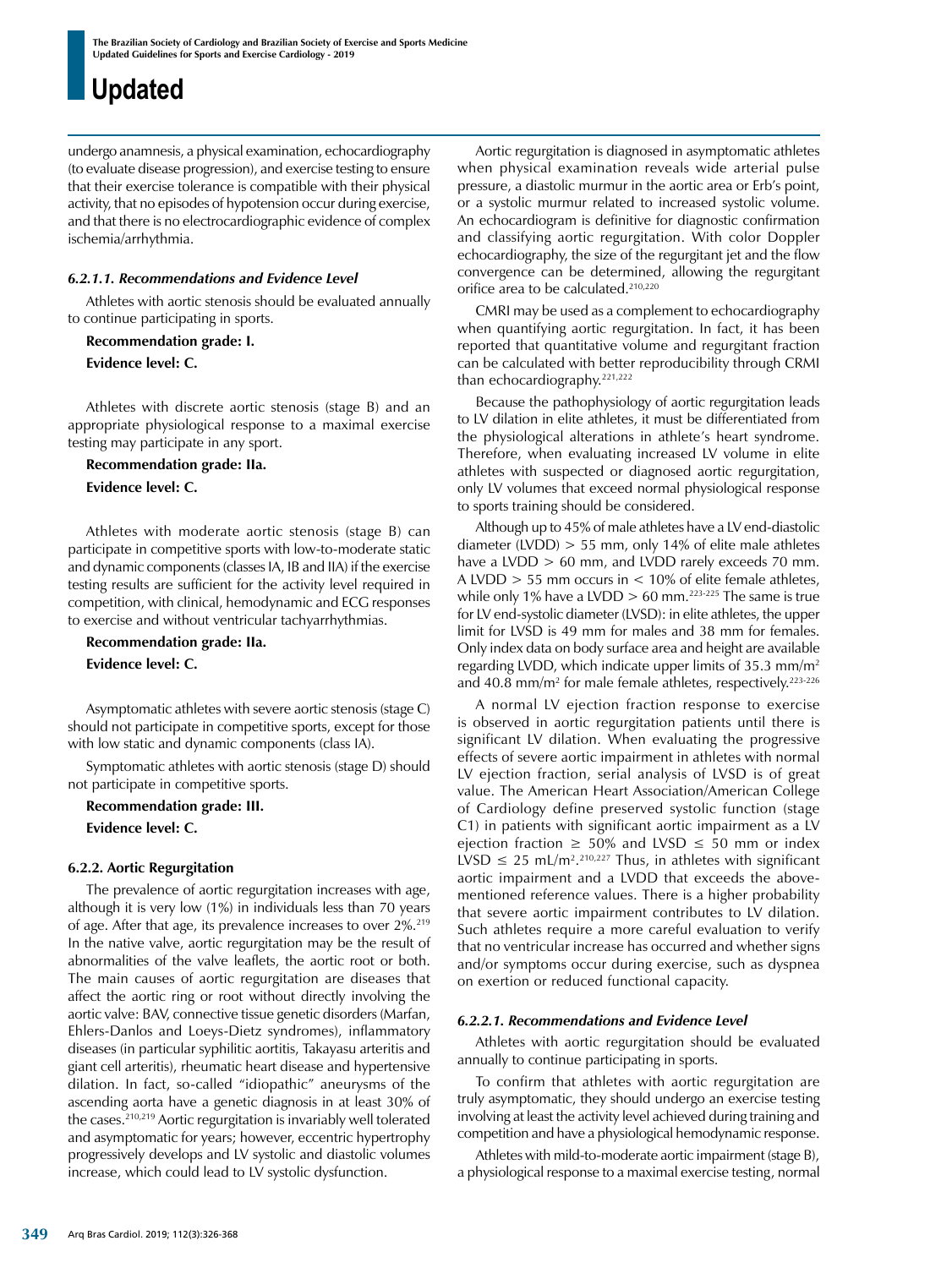undergo anamnesis, a physical examination, echocardiography (to evaluate disease progression), and exercise testing to ensure that their exercise tolerance is compatible with their physical activity, that no episodes of hypotension occur during exercise, and that there is no electrocardiographic evidence of complex ischemia/arrhythmia.

#### *6.2.1.1. Recommendations and Evidence Level*

Athletes with aortic stenosis should be evaluated annually to continue participating in sports.

**Recommendation grade: I. Evidence level: C.**

Athletes with discrete aortic stenosis (stage B) and an appropriate physiological response to a maximal exercise testing may participate in any sport.

**Recommendation grade: IIa.**

**Evidence level: C.**

Athletes with moderate aortic stenosis (stage B) can participate in competitive sports with low-to-moderate static and dynamic components (classes IA, IB and IIA) if the exercise testing results are sufficient for the activity level required in competition, with clinical, hemodynamic and ECG responses to exercise and without ventricular tachyarrhythmias.

**Recommendation grade: IIa.**

**Evidence level: C.**

Asymptomatic athletes with severe aortic stenosis (stage C) should not participate in competitive sports, except for those with low static and dynamic components (class IA).

Symptomatic athletes with aortic stenosis (stage D) should not participate in competitive sports.

#### **Recommendation grade: III.**

**Evidence level: C.**

### **6.2.2. Aortic Regurgitation**

The prevalence of aortic regurgitation increases with age, although it is very low (1%) in individuals less than 70 years of age. After that age, its prevalence increases to over 2%.219 In the native valve, aortic regurgitation may be the result of abnormalities of the valve leaflets, the aortic root or both. The main causes of aortic regurgitation are diseases that affect the aortic ring or root without directly involving the aortic valve: BAV, connective tissue genetic disorders (Marfan, Ehlers-Danlos and Loeys-Dietz syndromes), inflammatory diseases (in particular syphilitic aortitis, Takayasu arteritis and giant cell arteritis), rheumatic heart disease and hypertensive dilation. In fact, so-called "idiopathic" aneurysms of the ascending aorta have a genetic diagnosis in at least 30% of the cases.210,219 Aortic regurgitation is invariably well tolerated and asymptomatic for years; however, eccentric hypertrophy progressively develops and LV systolic and diastolic volumes increase, which could lead to LV systolic dysfunction.

Aortic regurgitation is diagnosed in asymptomatic athletes when physical examination reveals wide arterial pulse pressure, a diastolic murmur in the aortic area or Erb's point, or a systolic murmur related to increased systolic volume. An echocardiogram is definitive for diagnostic confirmation and classifying aortic regurgitation. With color Doppler echocardiography, the size of the regurgitant jet and the flow convergence can be determined, allowing the regurgitant orifice area to be calculated.210,220

CMRI may be used as a complement to echocardiography when quantifying aortic regurgitation. In fact, it has been reported that quantitative volume and regurgitant fraction can be calculated with better reproducibility through CRMI than echocardiography.221,222

Because the pathophysiology of aortic regurgitation leads to LV dilation in elite athletes, it must be differentiated from the physiological alterations in athlete's heart syndrome. Therefore, when evaluating increased LV volume in elite athletes with suspected or diagnosed aortic regurgitation, only LV volumes that exceed normal physiological response to sports training should be considered.

Although up to 45% of male athletes have a LV end-diastolic diameter (LVDD) > 55 mm, only 14% of elite male athletes have a LVDD  $> 60$  mm, and LVDD rarely exceeds 70 mm. A LVDD > 55 mm occurs in < 10% of elite female athletes, while only 1% have a LVDD  $> 60$  mm.<sup>223-225</sup> The same is true for LV end-systolic diameter (LVSD): in elite athletes, the upper limit for LVSD is 49 mm for males and 38 mm for females. Only index data on body surface area and height are available regarding LVDD, which indicate upper limits of 35.3 mm/m2 and 40.8 mm/m<sup>2</sup> for male female athletes, respectively.<sup>223-226</sup>

A normal LV ejection fraction response to exercise is observed in aortic regurgitation patients until there is significant LV dilation. When evaluating the progressive effects of severe aortic impairment in athletes with normal LV ejection fraction, serial analysis of LVSD is of great value. The American Heart Association/American College of Cardiology define preserved systolic function (stage C1) in patients with significant aortic impairment as a LV ejection fraction  $\geq$  50% and LVSD  $\leq$  50 mm or index LVSD  $\leq$  25 mL/m<sup>2</sup>.<sup>210,227</sup> Thus, in athletes with significant aortic impairment and a LVDD that exceeds the abovementioned reference values. There is a higher probability that severe aortic impairment contributes to LV dilation. Such athletes require a more careful evaluation to verify that no ventricular increase has occurred and whether signs and/or symptoms occur during exercise, such as dyspnea on exertion or reduced functional capacity.

### *6.2.2.1. Recommendations and Evidence Level*

Athletes with aortic regurgitation should be evaluated annually to continue participating in sports.

To confirm that athletes with aortic regurgitation are truly asymptomatic, they should undergo an exercise testing involving at least the activity level achieved during training and competition and have a physiological hemodynamic response.

Athletes with mild-to-moderate aortic impairment (stage B), a physiological response to a maximal exercise testing, normal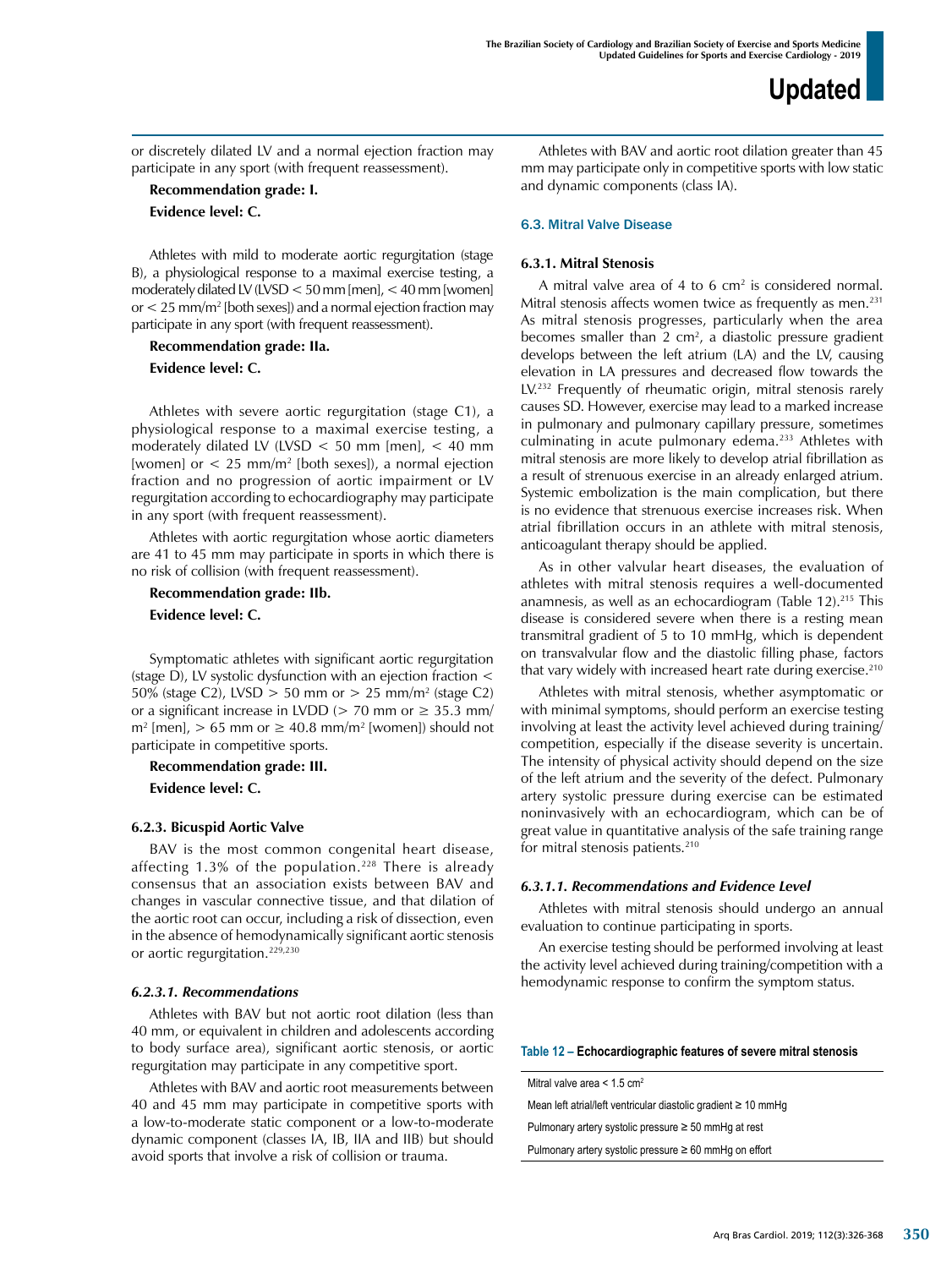or discretely dilated LV and a normal ejection fraction may participate in any sport (with frequent reassessment).

### **Recommendation grade: I. Evidence level: C.**

Athletes with mild to moderate aortic regurgitation (stage B), a physiological response to a maximal exercise testing, a moderately dilated LV (LVSD < 50 mm [men], < 40 mm [women] or  $<$  25 mm/m<sup>2</sup> [both sexes]) and a normal ejection fraction may participate in any sport (with frequent reassessment).

# **Recommendation grade: IIa. Evidence level: C.**

Athletes with severe aortic regurgitation (stage C1), a physiological response to a maximal exercise testing, a moderately dilated LV (LVSD  $<$  50 mm [men],  $<$  40 mm [women] or  $\lt 25$  mm/m<sup>2</sup> [both sexes]), a normal ejection fraction and no progression of aortic impairment or LV regurgitation according to echocardiography may participate in any sport (with frequent reassessment).

Athletes with aortic regurgitation whose aortic diameters are 41 to 45 mm may participate in sports in which there is no risk of collision (with frequent reassessment).

### **Recommendation grade: IIb. Evidence level: C.**

Symptomatic athletes with significant aortic regurgitation (stage D), LV systolic dysfunction with an ejection fraction < 50% (stage C2), LVSD > 50 mm or > 25 mm/m2 (stage C2) or a significant increase in LVDD ( $>$  70 mm or  $\geq$  35.3 mm/  $m^2$  [men],  $> 65$  mm or  $\geq 40.8$  mm/m<sup>2</sup> [women]) should not participate in competitive sports.

# **Recommendation grade: III. Evidence level: C.**

#### **6.2.3. Bicuspid Aortic Valve**

BAV is the most common congenital heart disease, affecting 1.3% of the population.<sup>228</sup> There is already consensus that an association exists between BAV and changes in vascular connective tissue, and that dilation of the aortic root can occur, including a risk of dissection, even in the absence of hemodynamically significant aortic stenosis or aortic regurgitation.<sup>229,230</sup>

#### *6.2.3.1. Recommendations*

Athletes with BAV but not aortic root dilation (less than 40 mm, or equivalent in children and adolescents according to body surface area), significant aortic stenosis, or aortic regurgitation may participate in any competitive sport.

Athletes with BAV and aortic root measurements between 40 and 45 mm may participate in competitive sports with a low-to-moderate static component or a low-to-moderate dynamic component (classes IA, IB, IIA and IIB) but should avoid sports that involve a risk of collision or trauma.

Athletes with BAV and aortic root dilation greater than 45 mm may participate only in competitive sports with low static and dynamic components (class IA).

#### 6.3. Mitral Valve Disease

#### **6.3.1. Mitral Stenosis**

A mitral valve area of 4 to 6 cm<sup>2</sup> is considered normal. Mitral stenosis affects women twice as frequently as men.<sup>231</sup> As mitral stenosis progresses, particularly when the area becomes smaller than  $2 \text{ cm}^2$ , a diastolic pressure gradient develops between the left atrium (LA) and the LV, causing elevation in LA pressures and decreased flow towards the LV.<sup>232</sup> Frequently of rheumatic origin, mitral stenosis rarely causes SD. However, exercise may lead to a marked increase in pulmonary and pulmonary capillary pressure, sometimes culminating in acute pulmonary edema.233 Athletes with mitral stenosis are more likely to develop atrial fibrillation as a result of strenuous exercise in an already enlarged atrium. Systemic embolization is the main complication, but there is no evidence that strenuous exercise increases risk. When atrial fibrillation occurs in an athlete with mitral stenosis, anticoagulant therapy should be applied.

As in other valvular heart diseases, the evaluation of athletes with mitral stenosis requires a well-documented anamnesis, as well as an echocardiogram (Table 12).<sup>215</sup> This disease is considered severe when there is a resting mean transmitral gradient of 5 to 10 mmHg, which is dependent on transvalvular flow and the diastolic filling phase, factors that vary widely with increased heart rate during exercise.<sup>210</sup>

Athletes with mitral stenosis, whether asymptomatic or with minimal symptoms, should perform an exercise testing involving at least the activity level achieved during training/ competition, especially if the disease severity is uncertain. The intensity of physical activity should depend on the size of the left atrium and the severity of the defect. Pulmonary artery systolic pressure during exercise can be estimated noninvasively with an echocardiogram, which can be of great value in quantitative analysis of the safe training range for mitral stenosis patients.<sup>210</sup>

#### *6.3.1.1. Recommendations and Evidence Level*

Athletes with mitral stenosis should undergo an annual evaluation to continue participating in sports.

An exercise testing should be performed involving at least the activity level achieved during training/competition with a hemodynamic response to confirm the symptom status.

#### **Table 12 – Echocardiographic features of severe mitral stenosis**

| Mitral valve area $< 1.5$ cm <sup>2</sup>                      |
|----------------------------------------------------------------|
| Mean left atrial/left ventricular diastolic gradient ≥ 10 mmHg |
| Pulmonary artery systolic pressure $\geq$ 50 mmHg at rest      |
| Pulmonary artery systolic pressure $\geq 60$ mmHg on effort    |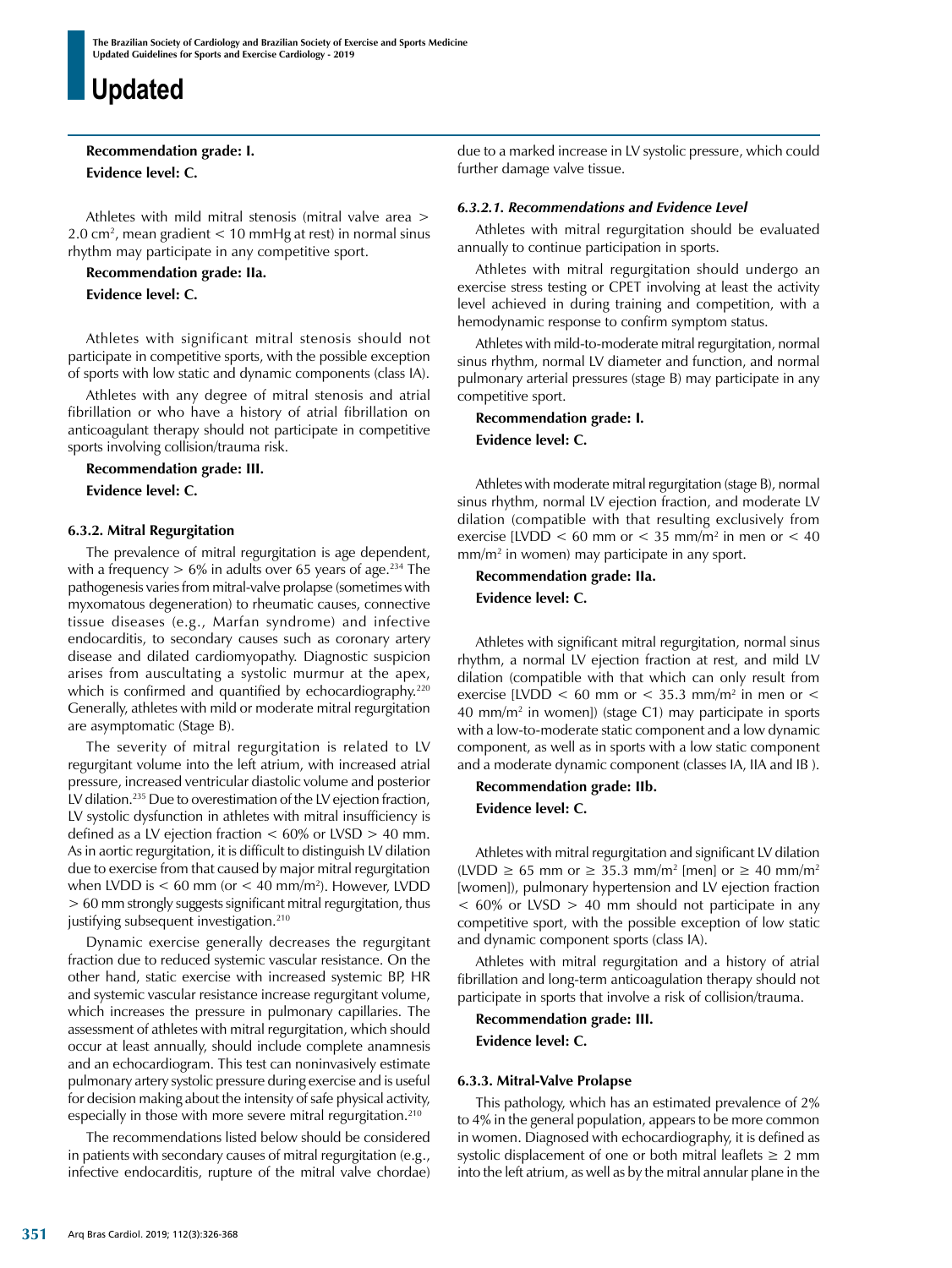**Recommendation grade: I. Evidence level: C.**

Athletes with mild mitral stenosis (mitral valve area > 2.0 cm<sup>2</sup>, mean gradient  $< 10$  mmHg at rest) in normal sinus rhythm may participate in any competitive sport.

**Recommendation grade: IIa.**

**Evidence level: C.**

Athletes with significant mitral stenosis should not participate in competitive sports, with the possible exception of sports with low static and dynamic components (class IA).

Athletes with any degree of mitral stenosis and atrial fibrillation or who have a history of atrial fibrillation on anticoagulant therapy should not participate in competitive sports involving collision/trauma risk.

**Recommendation grade: III.**

**Evidence level: C.**

### **6.3.2. Mitral Regurgitation**

The prevalence of mitral regurgitation is age dependent, with a frequency  $> 6\%$  in adults over 65 years of age.<sup>234</sup> The pathogenesis varies from mitral-valve prolapse (sometimes with myxomatous degeneration) to rheumatic causes, connective tissue diseases (e.g., Marfan syndrome) and infective endocarditis, to secondary causes such as coronary artery disease and dilated cardiomyopathy. Diagnostic suspicion arises from auscultating a systolic murmur at the apex, which is confirmed and quantified by echocardiography.<sup>220</sup> Generally, athletes with mild or moderate mitral regurgitation are asymptomatic (Stage B).

The severity of mitral regurgitation is related to LV regurgitant volume into the left atrium, with increased atrial pressure, increased ventricular diastolic volume and posterior LV dilation.235 Due to overestimation of the LV ejection fraction, LV systolic dysfunction in athletes with mitral insufficiency is defined as a LV ejection fraction < 60% or LVSD > 40 mm. As in aortic regurgitation, it is difficult to distinguish LV dilation due to exercise from that caused by major mitral regurgitation when LVDD is  $< 60$  mm (or  $< 40$  mm/m<sup>2</sup>). However, LVDD > 60 mm strongly suggests significant mitral regurgitation, thus justifying subsequent investigation.<sup>210</sup>

Dynamic exercise generally decreases the regurgitant fraction due to reduced systemic vascular resistance. On the other hand, static exercise with increased systemic BP, HR and systemic vascular resistance increase regurgitant volume, which increases the pressure in pulmonary capillaries. The assessment of athletes with mitral regurgitation, which should occur at least annually, should include complete anamnesis and an echocardiogram. This test can noninvasively estimate pulmonary artery systolic pressure during exercise and is useful for decision making about the intensity of safe physical activity, especially in those with more severe mitral regurgitation.<sup>210</sup>

The recommendations listed below should be considered in patients with secondary causes of mitral regurgitation (e.g., infective endocarditis, rupture of the mitral valve chordae) due to a marked increase in LV systolic pressure, which could further damage valve tissue.

#### *6.3.2.1. Recommendations and Evidence Level*

Athletes with mitral regurgitation should be evaluated annually to continue participation in sports.

Athletes with mitral regurgitation should undergo an exercise stress testing or CPET involving at least the activity level achieved in during training and competition, with a hemodynamic response to confirm symptom status.

Athletes with mild-to-moderate mitral regurgitation, normal sinus rhythm, normal LV diameter and function, and normal pulmonary arterial pressures (stage B) may participate in any competitive sport.

**Recommendation grade: I. Evidence level: C.**

Athletes with moderate mitral regurgitation (stage B), normal sinus rhythm, normal LV ejection fraction, and moderate LV dilation (compatible with that resulting exclusively from exercise [LVDD  $< 60$  mm or  $< 35$  mm/m<sup>2</sup> in men or  $< 40$ mm/m2 in women) may participate in any sport.

# **Recommendation grade: IIa.**

**Evidence level: C.**

Athletes with significant mitral regurgitation, normal sinus rhythm, a normal LV ejection fraction at rest, and mild LV dilation (compatible with that which can only result from exercise [LVDD < 60 mm or < 35.3 mm/m<sup>2</sup> in men or < 40 mm/m2 in women]) (stage C1) may participate in sports with a low-to-moderate static component and a low dynamic component, as well as in sports with a low static component and a moderate dynamic component (classes IA, IIA and IB ).

## **Recommendation grade: IIb. Evidence level: C.**

Athletes with mitral regurgitation and significant LV dilation  $(LVDD \geq 65$  mm or  $\geq 35.3$  mm/m<sup>2</sup> [men] or  $\geq 40$  mm/m<sup>2</sup> [women]), pulmonary hypertension and LV ejection fraction  $< 60\%$  or LVSD  $> 40$  mm should not participate in any competitive sport, with the possible exception of low static and dynamic component sports (class IA).

Athletes with mitral regurgitation and a history of atrial fibrillation and long-term anticoagulation therapy should not participate in sports that involve a risk of collision/trauma.

**Recommendation grade: III.**

**Evidence level: C.**

#### **6.3.3. Mitral-Valve Prolapse**

This pathology, which has an estimated prevalence of 2% to 4% in the general population, appears to be more common in women. Diagnosed with echocardiography, it is defined as systolic displacement of one or both mitral leaflets  $\geq 2$  mm into the left atrium, as well as by the mitral annular plane in the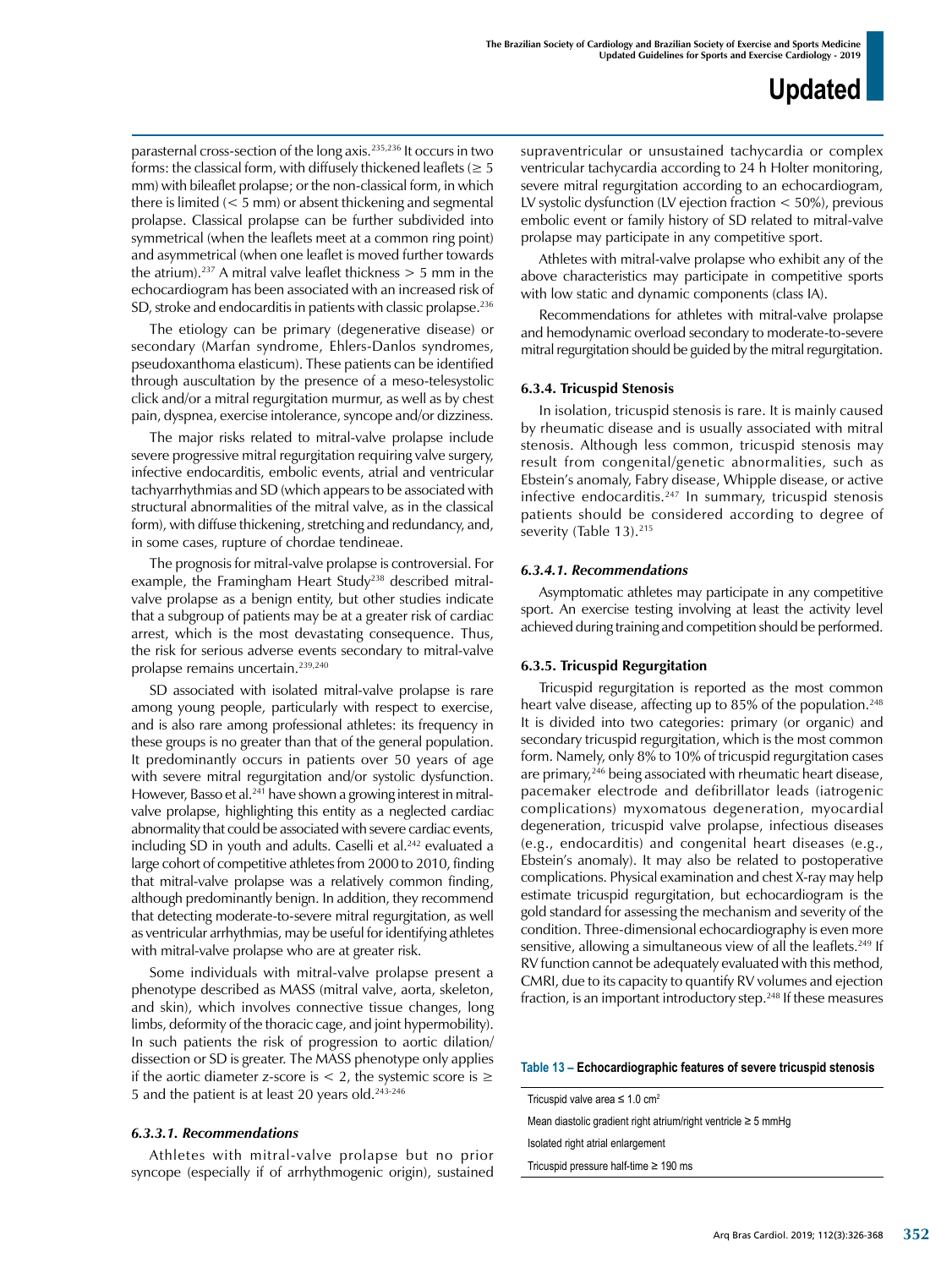parasternal cross-section of the long axis.235,236 It occurs in two forms: the classical form, with diffusely thickened leaflets ( $\geq 5$ mm) with bileaflet prolapse; or the non-classical form, in which there is limited  $(< 5$  mm) or absent thickening and segmental prolapse. Classical prolapse can be further subdivided into symmetrical (when the leaflets meet at a common ring point) and asymmetrical (when one leaflet is moved further towards the atrium).<sup>237</sup> A mitral valve leaflet thickness  $> 5$  mm in the echocardiogram has been associated with an increased risk of SD, stroke and endocarditis in patients with classic prolapse.<sup>236</sup>

The etiology can be primary (degenerative disease) or secondary (Marfan syndrome, Ehlers-Danlos syndromes, pseudoxanthoma elasticum). These patients can be identified through auscultation by the presence of a meso-telesystolic click and/or a mitral regurgitation murmur, as well as by chest pain, dyspnea, exercise intolerance, syncope and/or dizziness.

The major risks related to mitral-valve prolapse include severe progressive mitral regurgitation requiring valve surgery, infective endocarditis, embolic events, atrial and ventricular tachyarrhythmias and SD (which appears to be associated with structural abnormalities of the mitral valve, as in the classical form), with diffuse thickening, stretching and redundancy, and, in some cases, rupture of chordae tendineae.

The prognosis for mitral-valve prolapse is controversial. For example, the Framingham Heart Study<sup>238</sup> described mitralvalve prolapse as a benign entity, but other studies indicate that a subgroup of patients may be at a greater risk of cardiac arrest, which is the most devastating consequence. Thus, the risk for serious adverse events secondary to mitral-valve prolapse remains uncertain.<sup>239,240</sup>

SD associated with isolated mitral-valve prolapse is rare among young people, particularly with respect to exercise, and is also rare among professional athletes: its frequency in these groups is no greater than that of the general population. It predominantly occurs in patients over 50 years of age with severe mitral regurgitation and/or systolic dysfunction. However, Basso et al.<sup>241</sup> have shown a growing interest in mitralvalve prolapse, highlighting this entity as a neglected cardiac abnormality that could be associated with severe cardiac events, including SD in youth and adults. Caselli et al.<sup>242</sup> evaluated a large cohort of competitive athletes from 2000 to 2010, finding that mitral-valve prolapse was a relatively common finding, although predominantly benign. In addition, they recommend that detecting moderate-to-severe mitral regurgitation, as well as ventricular arrhythmias, may be useful for identifying athletes with mitral-valve prolapse who are at greater risk.

Some individuals with mitral-valve prolapse present a phenotype described as MASS (mitral valve, aorta, skeleton, and skin), which involves connective tissue changes, long limbs, deformity of the thoracic cage, and joint hypermobility). In such patients the risk of progression to aortic dilation/ dissection or SD is greater. The MASS phenotype only applies if the aortic diameter z-score is  $\leq$  2, the systemic score is ≥ 5 and the patient is at least 20 years old.243-246

### *6.3.3.1. Recommendations*

Athletes with mitral-valve prolapse but no prior syncope (especially if of arrhythmogenic origin), sustained supraventricular or unsustained tachycardia or complex ventricular tachycardia according to 24 h Holter monitoring, severe mitral regurgitation according to an echocardiogram, LV systolic dysfunction (LV ejection fraction < 50%), previous embolic event or family history of SD related to mitral-valve prolapse may participate in any competitive sport.

Athletes with mitral-valve prolapse who exhibit any of the above characteristics may participate in competitive sports with low static and dynamic components (class IA).

Recommendations for athletes with mitral-valve prolapse and hemodynamic overload secondary to moderate-to-severe mitral regurgitation should be guided by the mitral regurgitation.

#### **6.3.4. Tricuspid Stenosis**

In isolation, tricuspid stenosis is rare. It is mainly caused by rheumatic disease and is usually associated with mitral stenosis. Although less common, tricuspid stenosis may result from congenital/genetic abnormalities, such as Ebstein's anomaly, Fabry disease, Whipple disease, or active infective endocarditis.247 In summary, tricuspid stenosis patients should be considered according to degree of severity (Table 13).<sup>215</sup>

#### *6.3.4.1. Recommendations*

Asymptomatic athletes may participate in any competitive sport. An exercise testing involving at least the activity level achieved during training and competition should be performed.

#### **6.3.5. Tricuspid Regurgitation**

Tricuspid regurgitation is reported as the most common heart valve disease, affecting up to 85% of the population.<sup>248</sup> It is divided into two categories: primary (or organic) and secondary tricuspid regurgitation, which is the most common form. Namely, only 8% to 10% of tricuspid regurgitation cases are primary,<sup>246</sup> being associated with rheumatic heart disease, pacemaker electrode and defibrillator leads (iatrogenic complications) myxomatous degeneration, myocardial degeneration, tricuspid valve prolapse, infectious diseases (e.g., endocarditis) and congenital heart diseases (e.g., Ebstein's anomaly). It may also be related to postoperative complications. Physical examination and chest X-ray may help estimate tricuspid regurgitation, but echocardiogram is the gold standard for assessing the mechanism and severity of the condition. Three-dimensional echocardiography is even more sensitive, allowing a simultaneous view of all the leaflets.<sup>249</sup> If RV function cannot be adequately evaluated with this method, CMRI, due to its capacity to quantify RV volumes and ejection fraction, is an important introductory step.<sup>248</sup> If these measures

#### **Table 13 – Echocardiographic features of severe tricuspid stenosis**

Tricuspid valve area  $\leq 1.0$  cm<sup>2</sup> Mean diastolic gradient right atrium/right ventricle ≥ 5 mmHg Isolated right atrial enlargement Tricuspid pressure half-time ≥ 190 ms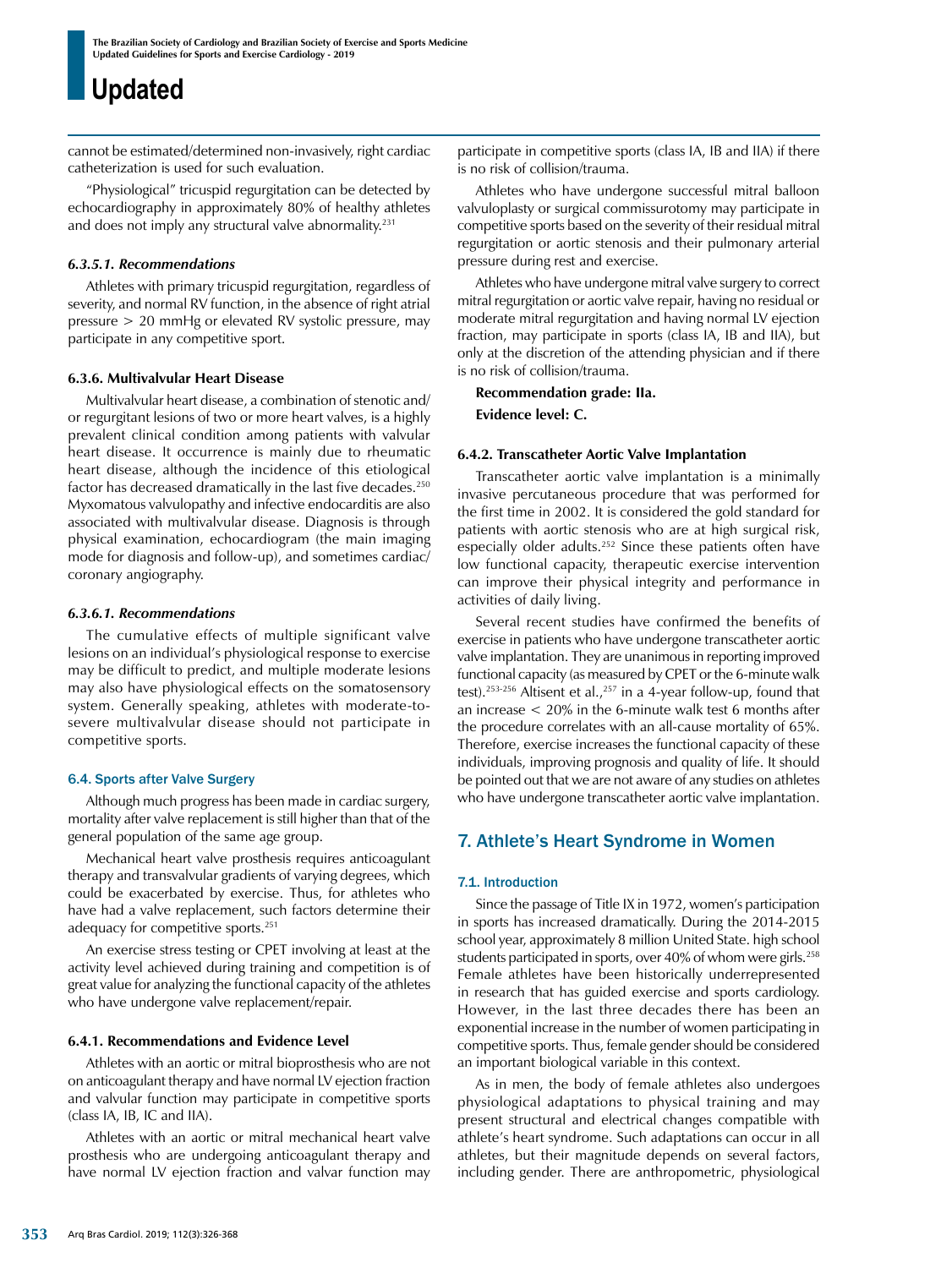cannot be estimated/determined non-invasively, right cardiac catheterization is used for such evaluation.

"Physiological" tricuspid regurgitation can be detected by echocardiography in approximately 80% of healthy athletes and does not imply any structural valve abnormality.<sup>231</sup>

### *6.3.5.1. Recommendations*

Athletes with primary tricuspid regurgitation, regardless of severity, and normal RV function, in the absence of right atrial pressure > 20 mmHg or elevated RV systolic pressure, may participate in any competitive sport.

### **6.3.6. Multivalvular Heart Disease**

Multivalvular heart disease, a combination of stenotic and/ or regurgitant lesions of two or more heart valves, is a highly prevalent clinical condition among patients with valvular heart disease. It occurrence is mainly due to rheumatic heart disease, although the incidence of this etiological factor has decreased dramatically in the last five decades.<sup>250</sup> Myxomatous valvulopathy and infective endocarditis are also associated with multivalvular disease. Diagnosis is through physical examination, echocardiogram (the main imaging mode for diagnosis and follow-up), and sometimes cardiac/ coronary angiography.

## *6.3.6.1. Recommendations*

The cumulative effects of multiple significant valve lesions on an individual's physiological response to exercise may be difficult to predict, and multiple moderate lesions may also have physiological effects on the somatosensory system. Generally speaking, athletes with moderate-tosevere multivalvular disease should not participate in competitive sports.

# 6.4. Sports after Valve Surgery

Although much progress has been made in cardiac surgery, mortality after valve replacement is still higher than that of the general population of the same age group.

Mechanical heart valve prosthesis requires anticoagulant therapy and transvalvular gradients of varying degrees, which could be exacerbated by exercise. Thus, for athletes who have had a valve replacement, such factors determine their adequacy for competitive sports.<sup>251</sup>

An exercise stress testing or CPET involving at least at the activity level achieved during training and competition is of great value for analyzing the functional capacity of the athletes who have undergone valve replacement/repair.

# **6.4.1. Recommendations and Evidence Level**

Athletes with an aortic or mitral bioprosthesis who are not on anticoagulant therapy and have normal LV ejection fraction and valvular function may participate in competitive sports (class IA, IB, IC and IIA).

Athletes with an aortic or mitral mechanical heart valve prosthesis who are undergoing anticoagulant therapy and have normal LV ejection fraction and valvar function may participate in competitive sports (class IA, IB and IIA) if there is no risk of collision/trauma.

Athletes who have undergone successful mitral balloon valvuloplasty or surgical commissurotomy may participate in competitive sports based on the severity of their residual mitral regurgitation or aortic stenosis and their pulmonary arterial pressure during rest and exercise.

Athletes who have undergone mitral valve surgery to correct mitral regurgitation or aortic valve repair, having no residual or moderate mitral regurgitation and having normal LV ejection fraction, may participate in sports (class IA, IB and IIA), but only at the discretion of the attending physician and if there is no risk of collision/trauma.

**Recommendation grade: IIa. Evidence level: C.**

## **6.4.2. Transcatheter Aortic Valve Implantation**

Transcatheter aortic valve implantation is a minimally invasive percutaneous procedure that was performed for the first time in 2002. It is considered the gold standard for patients with aortic stenosis who are at high surgical risk, especially older adults.<sup>252</sup> Since these patients often have low functional capacity, therapeutic exercise intervention can improve their physical integrity and performance in activities of daily living.

Several recent studies have confirmed the benefits of exercise in patients who have undergone transcatheter aortic valve implantation. They are unanimous in reporting improved functional capacity (as measured by CPET or the 6-minute walk test).253-256 Altisent et al.,257 in a 4-year follow-up, found that an increase < 20% in the 6-minute walk test 6 months after the procedure correlates with an all-cause mortality of 65%. Therefore, exercise increases the functional capacity of these individuals, improving prognosis and quality of life. It should be pointed out that we are not aware of any studies on athletes who have undergone transcatheter aortic valve implantation.

# 7. Athlete's Heart Syndrome in Women

### 7.1. Introduction

Since the passage of Title IX in 1972, women's participation in sports has increased dramatically. During the 2014-2015 school year, approximately 8 million United State. high school students participated in sports, over 40% of whom were girls.<sup>258</sup> Female athletes have been historically underrepresented in research that has guided exercise and sports cardiology. However, in the last three decades there has been an exponential increase in the number of women participating in competitive sports. Thus, female gender should be considered an important biological variable in this context.

As in men, the body of female athletes also undergoes physiological adaptations to physical training and may present structural and electrical changes compatible with athlete's heart syndrome. Such adaptations can occur in all athletes, but their magnitude depends on several factors, including gender. There are anthropometric, physiological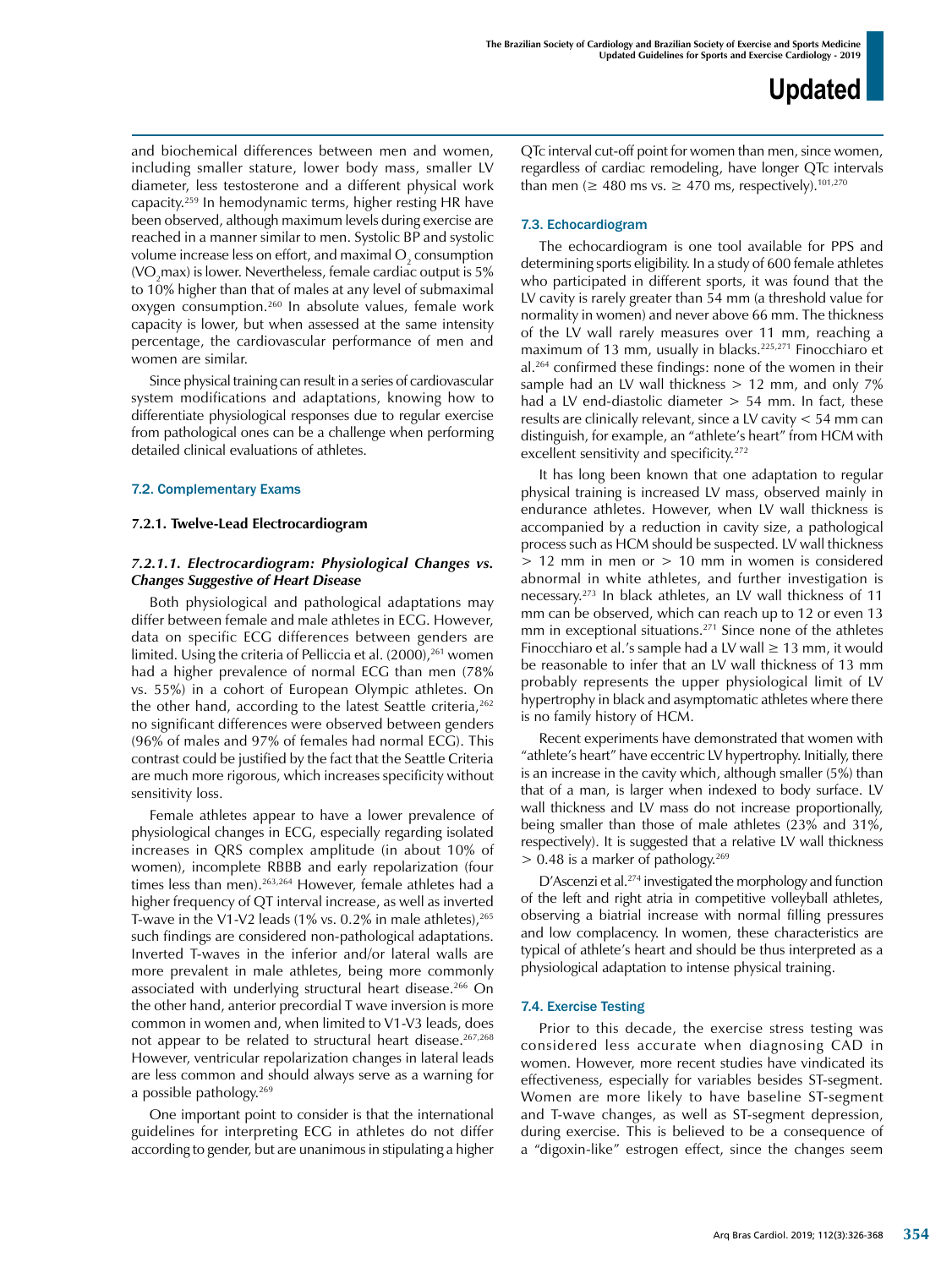and biochemical differences between men and women, including smaller stature, lower body mass, smaller LV diameter, less testosterone and a different physical work capacity.259 In hemodynamic terms, higher resting HR have been observed, although maximum levels during exercise are reached in a manner similar to men. Systolic BP and systolic volume increase less on effort, and maximal  $\mathrm{O}_2$  consumption (VO<sub>2</sub>max) is lower. Nevertheless, female cardiac output is 5% to 10% higher than that of males at any level of submaximal oxygen consumption.<sup>260</sup> In absolute values, female work capacity is lower, but when assessed at the same intensity percentage, the cardiovascular performance of men and women are similar.

Since physical training can result in a series of cardiovascular system modifications and adaptations, knowing how to differentiate physiological responses due to regular exercise from pathological ones can be a challenge when performing detailed clinical evaluations of athletes.

#### 7.2. Complementary Exams

#### **7.2.1. Twelve-Lead Electrocardiogram**

#### *7.2.1.1. Electrocardiogram: Physiological Changes vs. Changes Suggestive of Heart Disease*

Both physiological and pathological adaptations may differ between female and male athletes in ECG. However, data on specific ECG differences between genders are limited. Using the criteria of Pelliccia et al.  $(2000)$ ,  $^{261}$  women had a higher prevalence of normal ECG than men (78% vs. 55%) in a cohort of European Olympic athletes. On the other hand, according to the latest Seattle criteria,<sup>262</sup> no significant differences were observed between genders (96% of males and 97% of females had normal ECG). This contrast could be justified by the fact that the Seattle Criteria are much more rigorous, which increases specificity without sensitivity loss.

Female athletes appear to have a lower prevalence of physiological changes in ECG, especially regarding isolated increases in QRS complex amplitude (in about 10% of women), incomplete RBBB and early repolarization (four times less than men).<sup>263,264</sup> However, female athletes had a higher frequency of QT interval increase, as well as inverted T-wave in the V1-V2 leads  $(1\% \text{ vs. } 0.2\% \text{ in male athletes})^{265}$ such findings are considered non-pathological adaptations. Inverted T-waves in the inferior and/or lateral walls are more prevalent in male athletes, being more commonly associated with underlying structural heart disease.<sup>266</sup> On the other hand, anterior precordial T wave inversion is more common in women and, when limited to V1-V3 leads, does not appear to be related to structural heart disease.<sup>267,268</sup> However, ventricular repolarization changes in lateral leads are less common and should always serve as a warning for a possible pathology.269

One important point to consider is that the international guidelines for interpreting ECG in athletes do not differ according to gender, but are unanimous in stipulating a higher QTc interval cut-off point for women than men, since women, regardless of cardiac remodeling, have longer QTc intervals than men ( $\geq 480$  ms vs.  $\geq 470$  ms, respectively).<sup>101,270</sup>

#### 7.3. Echocardiogram

The echocardiogram is one tool available for PPS and determining sports eligibility. In a study of 600 female athletes who participated in different sports, it was found that the LV cavity is rarely greater than 54 mm (a threshold value for normality in women) and never above 66 mm. The thickness of the LV wall rarely measures over 11 mm, reaching a maximum of 13 mm, usually in blacks.<sup>225,271</sup> Finocchiaro et al.264 confirmed these findings: none of the women in their sample had an LV wall thickness  $> 12$  mm, and only 7% had a LV end-diastolic diameter  $> 54$  mm. In fact, these results are clinically relevant, since a LV cavity < 54 mm can distinguish, for example, an "athlete's heart" from HCM with excellent sensitivity and specificity.<sup>272</sup>

It has long been known that one adaptation to regular physical training is increased LV mass, observed mainly in endurance athletes. However, when LV wall thickness is accompanied by a reduction in cavity size, a pathological process such as HCM should be suspected. LV wall thickness  $> 12$  mm in men or  $> 10$  mm in women is considered abnormal in white athletes, and further investigation is necessary.273 In black athletes, an LV wall thickness of 11 mm can be observed, which can reach up to 12 or even 13 mm in exceptional situations.271 Since none of the athletes Finocchiaro et al.'s sample had a LV wall ≥ 13 mm, it would be reasonable to infer that an LV wall thickness of 13 mm probably represents the upper physiological limit of LV hypertrophy in black and asymptomatic athletes where there is no family history of HCM.

Recent experiments have demonstrated that women with "athlete's heart" have eccentric LV hypertrophy. Initially, there is an increase in the cavity which, although smaller (5%) than that of a man, is larger when indexed to body surface. LV wall thickness and LV mass do not increase proportionally, being smaller than those of male athletes (23% and 31%, respectively). It is suggested that a relative LV wall thickness  $> 0.48$  is a marker of pathology.<sup>269</sup>

D'Ascenzi et al.<sup>274</sup> investigated the morphology and function of the left and right atria in competitive volleyball athletes, observing a biatrial increase with normal filling pressures and low complacency. In women, these characteristics are typical of athlete's heart and should be thus interpreted as a physiological adaptation to intense physical training.

#### 7.4. Exercise Testing

Prior to this decade, the exercise stress testing was considered less accurate when diagnosing CAD in women. However, more recent studies have vindicated its effectiveness, especially for variables besides ST-segment. Women are more likely to have baseline ST-segment and T-wave changes, as well as ST-segment depression, during exercise. This is believed to be a consequence of a "digoxin-like" estrogen effect, since the changes seem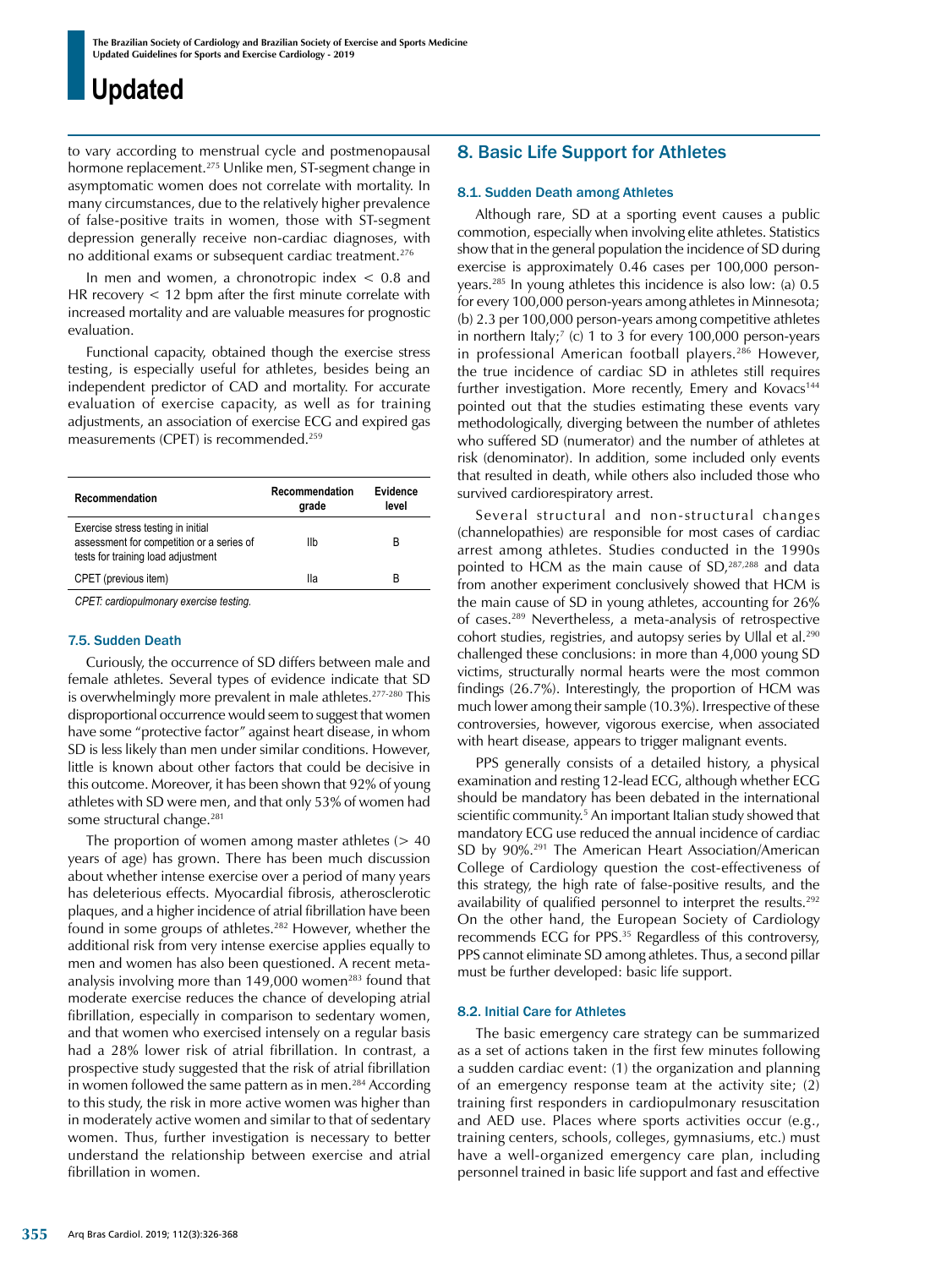to vary according to menstrual cycle and postmenopausal hormone replacement.275 Unlike men, ST-segment change in asymptomatic women does not correlate with mortality. In many circumstances, due to the relatively higher prevalence of false-positive traits in women, those with ST-segment depression generally receive non-cardiac diagnoses, with no additional exams or subsequent cardiac treatment.276

In men and women, a chronotropic index  $< 0.8$  and HR recovery < 12 bpm after the first minute correlate with increased mortality and are valuable measures for prognostic evaluation.

Functional capacity, obtained though the exercise stress testing, is especially useful for athletes, besides being an independent predictor of CAD and mortality. For accurate evaluation of exercise capacity, as well as for training adjustments, an association of exercise ECG and expired gas measurements (CPET) is recommended.259

| Recommendation                                                                                                        | Recommendation<br>grade | Evidence<br>level |
|-----------------------------------------------------------------------------------------------------------------------|-------------------------|-------------------|
| Exercise stress testing in initial<br>assessment for competition or a series of<br>tests for training load adjustment | llb                     | R                 |
| CPET (previous item)                                                                                                  | lla                     | R                 |
|                                                                                                                       |                         |                   |

*CPET: cardiopulmonary exercise testing.*

### 7.5. Sudden Death

Curiously, the occurrence of SD differs between male and female athletes. Several types of evidence indicate that SD is overwhelmingly more prevalent in male athletes.<sup>277-280</sup> This disproportional occurrence would seem to suggest that women have some "protective factor" against heart disease, in whom SD is less likely than men under similar conditions. However, little is known about other factors that could be decisive in this outcome. Moreover, it has been shown that 92% of young athletes with SD were men, and that only 53% of women had some structural change.<sup>281</sup>

The proportion of women among master athletes  $(> 40$ years of age) has grown. There has been much discussion about whether intense exercise over a period of many years has deleterious effects. Myocardial fibrosis, atherosclerotic plaques, and a higher incidence of atrial fibrillation have been found in some groups of athletes.282 However, whether the additional risk from very intense exercise applies equally to men and women has also been questioned. A recent metaanalysis involving more than  $149,000$  women<sup>283</sup> found that moderate exercise reduces the chance of developing atrial fibrillation, especially in comparison to sedentary women, and that women who exercised intensely on a regular basis had a 28% lower risk of atrial fibrillation. In contrast, a prospective study suggested that the risk of atrial fibrillation in women followed the same pattern as in men.<sup>284</sup> According to this study, the risk in more active women was higher than in moderately active women and similar to that of sedentary women. Thus, further investigation is necessary to better understand the relationship between exercise and atrial fibrillation in women.

# 8. Basic Life Support for Athletes

#### 8.1. Sudden Death among Athletes

Although rare, SD at a sporting event causes a public commotion, especially when involving elite athletes. Statistics show that in the general population the incidence of SD during exercise is approximately 0.46 cases per 100,000 personyears.285 In young athletes this incidence is also low: (a) 0.5 for every 100,000 person-years among athletes in Minnesota; (b) 2.3 per 100,000 person-years among competitive athletes in northern Italy; $^7$  (c) 1 to 3 for every 100,000 person-years in professional American football players.<sup>286</sup> However, the true incidence of cardiac SD in athletes still requires further investigation. More recently, Emery and Kovacs<sup>144</sup> pointed out that the studies estimating these events vary methodologically, diverging between the number of athletes who suffered SD (numerator) and the number of athletes at risk (denominator). In addition, some included only events that resulted in death, while others also included those who survived cardiorespiratory arrest.

Several structural and non-structural changes (channelopathies) are responsible for most cases of cardiac arrest among athletes. Studies conducted in the 1990s pointed to HCM as the main cause of SD,<sup>287,288</sup> and data from another experiment conclusively showed that HCM is the main cause of SD in young athletes, accounting for 26% of cases.289 Nevertheless, a meta-analysis of retrospective cohort studies, registries, and autopsy series by Ullal et al.290 challenged these conclusions: in more than 4,000 young SD victims, structurally normal hearts were the most common findings (26.7%). Interestingly, the proportion of HCM was much lower among their sample (10.3%). Irrespective of these controversies, however, vigorous exercise, when associated with heart disease, appears to trigger malignant events.

PPS generally consists of a detailed history, a physical examination and resting 12-lead ECG, although whether ECG should be mandatory has been debated in the international scientific community.<sup>5</sup> An important Italian study showed that mandatory ECG use reduced the annual incidence of cardiac SD by 90%.291 The American Heart Association/American College of Cardiology question the cost-effectiveness of this strategy, the high rate of false-positive results, and the availability of qualified personnel to interpret the results.<sup>292</sup> On the other hand, the European Society of Cardiology recommends ECG for PPS.<sup>35</sup> Regardless of this controversy, PPS cannot eliminate SD among athletes. Thus, a second pillar must be further developed: basic life support.

#### 8.2. Initial Care for Athletes

The basic emergency care strategy can be summarized as a set of actions taken in the first few minutes following a sudden cardiac event: (1) the organization and planning of an emergency response team at the activity site; (2) training first responders in cardiopulmonary resuscitation and AED use. Places where sports activities occur (e.g., training centers, schools, colleges, gymnasiums, etc.) must have a well-organized emergency care plan, including personnel trained in basic life support and fast and effective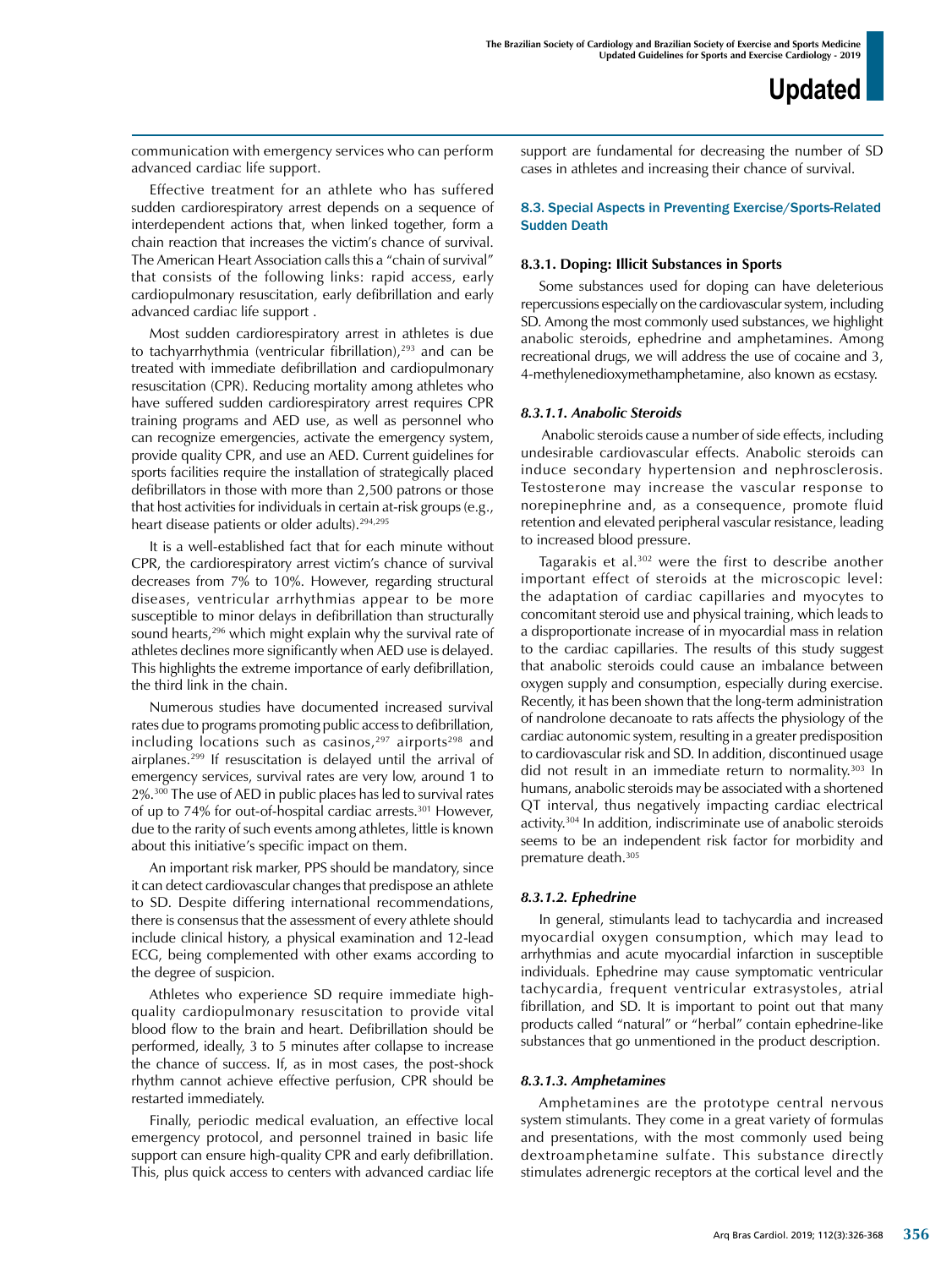communication with emergency services who can perform advanced cardiac life support.

Effective treatment for an athlete who has suffered sudden cardiorespiratory arrest depends on a sequence of interdependent actions that, when linked together, form a chain reaction that increases the victim's chance of survival. The American Heart Association calls this a "chain of survival" that consists of the following links: rapid access, early cardiopulmonary resuscitation, early defibrillation and early advanced cardiac life support .

Most sudden cardiorespiratory arrest in athletes is due to tachyarrhythmia (ventricular fibrillation),<sup>293</sup> and can be treated with immediate defibrillation and cardiopulmonary resuscitation (CPR). Reducing mortality among athletes who have suffered sudden cardiorespiratory arrest requires CPR training programs and AED use, as well as personnel who can recognize emergencies, activate the emergency system, provide quality CPR, and use an AED. Current guidelines for sports facilities require the installation of strategically placed defibrillators in those with more than 2,500 patrons or those that host activities for individuals in certain at-risk groups (e.g., heart disease patients or older adults).294,295

It is a well-established fact that for each minute without CPR, the cardiorespiratory arrest victim's chance of survival decreases from 7% to 10%. However, regarding structural diseases, ventricular arrhythmias appear to be more susceptible to minor delays in defibrillation than structurally sound hearts,<sup>296</sup> which might explain why the survival rate of athletes declines more significantly when AED use is delayed. This highlights the extreme importance of early defibrillation, the third link in the chain.

Numerous studies have documented increased survival rates due to programs promoting public access to defibrillation, including locations such as casinos,<sup>297</sup> airports<sup>298</sup> and airplanes.299 If resuscitation is delayed until the arrival of emergency services, survival rates are very low, around 1 to 2%.300 The use of AED in public places has led to survival rates of up to 74% for out-of-hospital cardiac arrests.<sup>301</sup> However, due to the rarity of such events among athletes, little is known about this initiative's specific impact on them.

An important risk marker, PPS should be mandatory, since it can detect cardiovascular changes that predispose an athlete to SD. Despite differing international recommendations, there is consensus that the assessment of every athlete should include clinical history, a physical examination and 12-lead ECG, being complemented with other exams according to the degree of suspicion.

Athletes who experience SD require immediate highquality cardiopulmonary resuscitation to provide vital blood flow to the brain and heart. Defibrillation should be performed, ideally, 3 to 5 minutes after collapse to increase the chance of success. If, as in most cases, the post-shock rhythm cannot achieve effective perfusion, CPR should be restarted immediately.

Finally, periodic medical evaluation, an effective local emergency protocol, and personnel trained in basic life support can ensure high-quality CPR and early defibrillation. This, plus quick access to centers with advanced cardiac life support are fundamental for decreasing the number of SD cases in athletes and increasing their chance of survival.

#### 8.3. Special Aspects in Preventing Exercise/Sports-Related Sudden Death

### **8.3.1. Doping: Illicit Substances in Sports**

Some substances used for doping can have deleterious repercussions especially on the cardiovascular system, including SD. Among the most commonly used substances, we highlight anabolic steroids, ephedrine and amphetamines. Among recreational drugs, we will address the use of cocaine and 3, 4-methylenedioxymethamphetamine, also known as ecstasy.

#### *8.3.1.1. Anabolic Steroids*

 Anabolic steroids cause a number of side effects, including undesirable cardiovascular effects. Anabolic steroids can induce secondary hypertension and nephrosclerosis. Testosterone may increase the vascular response to norepinephrine and, as a consequence, promote fluid retention and elevated peripheral vascular resistance, leading to increased blood pressure.

Tagarakis et al.302 were the first to describe another important effect of steroids at the microscopic level: the adaptation of cardiac capillaries and myocytes to concomitant steroid use and physical training, which leads to a disproportionate increase of in myocardial mass in relation to the cardiac capillaries. The results of this study suggest that anabolic steroids could cause an imbalance between oxygen supply and consumption, especially during exercise. Recently, it has been shown that the long-term administration of nandrolone decanoate to rats affects the physiology of the cardiac autonomic system, resulting in a greater predisposition to cardiovascular risk and SD. In addition, discontinued usage did not result in an immediate return to normality.<sup>303</sup> In humans, anabolic steroids may be associated with a shortened QT interval, thus negatively impacting cardiac electrical activity.304 In addition, indiscriminate use of anabolic steroids seems to be an independent risk factor for morbidity and premature death.305

### *8.3.1.2. Ephedrine*

In general, stimulants lead to tachycardia and increased myocardial oxygen consumption, which may lead to arrhythmias and acute myocardial infarction in susceptible individuals. Ephedrine may cause symptomatic ventricular tachycardia, frequent ventricular extrasystoles, atrial fibrillation, and SD. It is important to point out that many products called "natural" or "herbal" contain ephedrine-like substances that go unmentioned in the product description.

#### *8.3.1.3. Amphetamines*

Amphetamines are the prototype central nervous system stimulants. They come in a great variety of formulas and presentations, with the most commonly used being dextroamphetamine sulfate. This substance directly stimulates adrenergic receptors at the cortical level and the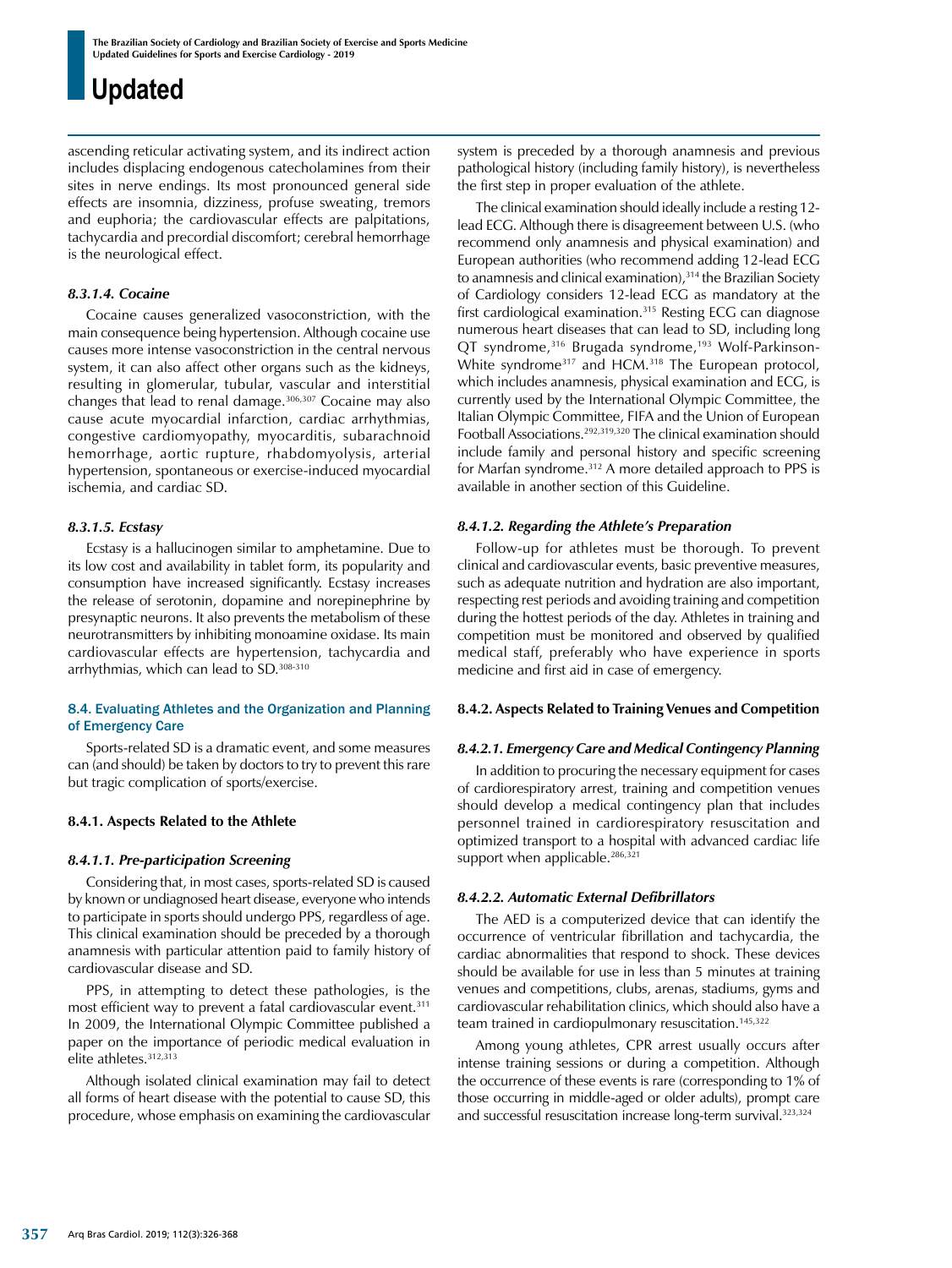ascending reticular activating system, and its indirect action includes displacing endogenous catecholamines from their sites in nerve endings. Its most pronounced general side effects are insomnia, dizziness, profuse sweating, tremors and euphoria; the cardiovascular effects are palpitations, tachycardia and precordial discomfort; cerebral hemorrhage is the neurological effect.

### *8.3.1.4. Cocaine*

Cocaine causes generalized vasoconstriction, with the main consequence being hypertension. Although cocaine use causes more intense vasoconstriction in the central nervous system, it can also affect other organs such as the kidneys, resulting in glomerular, tubular, vascular and interstitial changes that lead to renal damage.<sup>306,307</sup> Cocaine may also cause acute myocardial infarction, cardiac arrhythmias, congestive cardiomyopathy, myocarditis, subarachnoid hemorrhage, aortic rupture, rhabdomyolysis, arterial hypertension, spontaneous or exercise-induced myocardial ischemia, and cardiac SD.

# *8.3.1.5. Ecstasy*

Ecstasy is a hallucinogen similar to amphetamine. Due to its low cost and availability in tablet form, its popularity and consumption have increased significantly. Ecstasy increases the release of serotonin, dopamine and norepinephrine by presynaptic neurons. It also prevents the metabolism of these neurotransmitters by inhibiting monoamine oxidase. Its main cardiovascular effects are hypertension, tachycardia and arrhythmias, which can lead to SD.308-310

### 8.4. Evaluating Athletes and the Organization and Planning of Emergency Care

Sports-related SD is a dramatic event, and some measures can (and should) be taken by doctors to try to prevent this rare but tragic complication of sports/exercise.

### **8.4.1. Aspects Related to the Athlete**

### *8.4.1.1. Pre-participation Screening*

Considering that, in most cases, sports-related SD is caused by known or undiagnosed heart disease, everyone who intends to participate in sports should undergo PPS, regardless of age. This clinical examination should be preceded by a thorough anamnesis with particular attention paid to family history of cardiovascular disease and SD.

PPS, in attempting to detect these pathologies, is the most efficient way to prevent a fatal cardiovascular event.311 In 2009, the International Olympic Committee published a paper on the importance of periodic medical evaluation in elite athletes.312,313

Although isolated clinical examination may fail to detect all forms of heart disease with the potential to cause SD, this procedure, whose emphasis on examining the cardiovascular system is preceded by a thorough anamnesis and previous pathological history (including family history), is nevertheless the first step in proper evaluation of the athlete.

The clinical examination should ideally include a resting 12 lead ECG. Although there is disagreement between U.S. (who recommend only anamnesis and physical examination) and European authorities (who recommend adding 12-lead ECG to anamnesis and clinical examination),<sup>314</sup> the Brazilian Society of Cardiology considers 12-lead ECG as mandatory at the first cardiological examination.<sup>315</sup> Resting ECG can diagnose numerous heart diseases that can lead to SD, including long QT syndrome,<sup>316</sup> Brugada syndrome,<sup>193</sup> Wolf-Parkinson-White syndrome<sup>317</sup> and HCM.<sup>318</sup> The European protocol, which includes anamnesis, physical examination and ECG, is currently used by the International Olympic Committee, the Italian Olympic Committee, FIFA and the Union of European Football Associations.292,319,320 The clinical examination should include family and personal history and specific screening for Marfan syndrome.312 A more detailed approach to PPS is available in another section of this Guideline.

## *8.4.1.2. Regarding the Athlete's Preparation*

Follow-up for athletes must be thorough. To prevent clinical and cardiovascular events, basic preventive measures, such as adequate nutrition and hydration are also important, respecting rest periods and avoiding training and competition during the hottest periods of the day. Athletes in training and competition must be monitored and observed by qualified medical staff, preferably who have experience in sports medicine and first aid in case of emergency.

### **8.4.2. Aspects Related to Training Venues and Competition**

### *8.4.2.1. Emergency Care and Medical Contingency Planning*

In addition to procuring the necessary equipment for cases of cardiorespiratory arrest, training and competition venues should develop a medical contingency plan that includes personnel trained in cardiorespiratory resuscitation and optimized transport to a hospital with advanced cardiac life support when applicable.<sup>286,321</sup>

### *8.4.2.2. Automatic External Defibrillators*

The AED is a computerized device that can identify the occurrence of ventricular fibrillation and tachycardia, the cardiac abnormalities that respond to shock. These devices should be available for use in less than 5 minutes at training venues and competitions, clubs, arenas, stadiums, gyms and cardiovascular rehabilitation clinics, which should also have a team trained in cardiopulmonary resuscitation.<sup>145,322</sup>

Among young athletes, CPR arrest usually occurs after intense training sessions or during a competition. Although the occurrence of these events is rare (corresponding to 1% of those occurring in middle-aged or older adults), prompt care and successful resuscitation increase long-term survival.<sup>323,324</sup>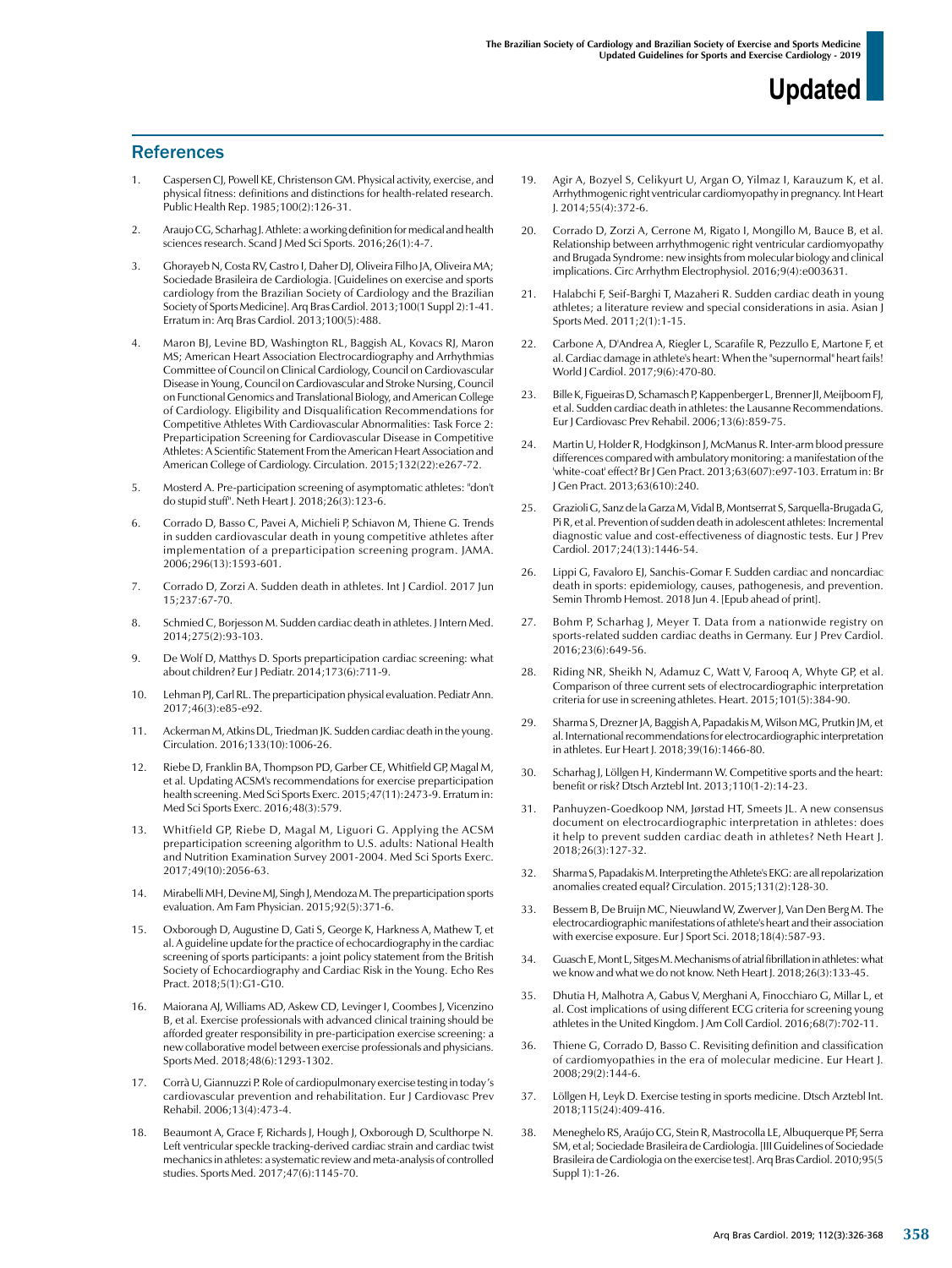# **References**

- 1. Caspersen CJ, Powell KE, Christenson GM. Physical activity, exercise, and physical fitness: definitions and distinctions for health-related research. Public Health Rep. 1985;100(2):126-31.
- 2. Araujo CG, Scharhag J. Athlete: a working definition for medical and health sciences research. Scand J Med Sci Sports. 2016;26(1):4-7.
- 3. Ghorayeb N, Costa RV, Castro I, Daher DJ, Oliveira Filho JA, Oliveira MA; Sociedade Brasileira de Cardiologia. [Guidelines on exercise and sports cardiology from the Brazilian Society of Cardiology and the Brazilian Society of Sports Medicine]. Arq Bras Cardiol. 2013;100(1 Suppl 2):1-41. Erratum in: Arq Bras Cardiol. 2013;100(5):488.
- 4. Maron BJ, Levine BD, Washington RL, Baggish AL, Kovacs RJ, Maron MS; American Heart Association Electrocardiography and Arrhythmias Committee of Council on Clinical Cardiology, Council on Cardiovascular Disease in Young, Council on Cardiovascular and Stroke Nursing, Council on Functional Genomics and Translational Biology, and American College of Cardiology. Eligibility and Disqualification Recommendations for Competitive Athletes With Cardiovascular Abnormalities: Task Force 2: Preparticipation Screening for Cardiovascular Disease in Competitive Athletes: A Scientific Statement From the American Heart Association and American College of Cardiology. Circulation. 2015;132(22):e267-72.
- 5. Mosterd A. Pre-participation screening of asymptomatic athletes: "don't do stupid stuff". Neth Heart J. 2018;26(3):123-6.
- 6. Corrado D, Basso C, Pavei A, Michieli P, Schiavon M, Thiene G. Trends in sudden cardiovascular death in young competitive athletes after implementation of a preparticipation screening program. JAMA. 2006;296(13):1593-601.
- 7. Corrado D, Zorzi A. Sudden death in athletes. Int J Cardiol. 2017 Jun 15;237:67-70.
- 8. Schmied C, Borjesson M. Sudden cardiac death in athletes. J Intern Med. 2014;275(2):93-103.
- 9. De Wolf D, Matthys D. Sports preparticipation cardiac screening: what about children? Eur J Pediatr. 2014;173(6):711-9.
- 10. Lehman PJ, Carl RL. The preparticipation physical evaluation. Pediatr Ann. 2017;46(3):e85-e92.
- 11. Ackerman M, Atkins DL, Triedman JK. Sudden cardiac death in the young. Circulation. 2016;133(10):1006-26.
- 12. Riebe D, Franklin BA, Thompson PD, Garber CE, Whitfield GP, Magal M, et al. Updating ACSM's recommendations for exercise preparticipation health screening. Med Sci Sports Exerc. 2015;47(11):2473-9. Erratum in: Med Sci Sports Exerc. 2016;48(3):579.
- 13. Whitfield GP, Riebe D, Magal M, Liguori G. Applying the ACSM preparticipation screening algorithm to U.S. adults: National Health and Nutrition Examination Survey 2001-2004. Med Sci Sports Exerc. 2017;49(10):2056-63.
- 14. Mirabelli MH, Devine MJ, Singh J, Mendoza M. The preparticipation sports evaluation. Am Fam Physician. 2015;92(5):371-6.
- 15. Oxborough D, Augustine D, Gati S, George K, Harkness A, Mathew T, et al. A guideline update for the practice of echocardiography in the cardiac screening of sports participants: a joint policy statement from the British Society of Echocardiography and Cardiac Risk in the Young. Echo Res Pract. 2018;5(1):G1-G10.
- 16. Maiorana AJ, Williams AD, Askew CD, Levinger I, Coombes J, Vicenzino B, et al. Exercise professionals with advanced clinical training should be afforded greater responsibility in pre-participation exercise screening: a new collaborative model between exercise professionals and physicians. Sports Med. 2018;48(6):1293-1302.
- 17. Corrà U, Giannuzzi P. Role of cardiopulmonary exercise testing in today's cardiovascular prevention and rehabilitation. Eur J Cardiovasc Prev Rehabil. 2006;13(4):473-4.
- 18. Beaumont A, Grace F, Richards J, Hough J, Oxborough D, Sculthorpe N. Left ventricular speckle tracking-derived cardiac strain and cardiac twist mechanics in athletes: a systematic review and meta-analysis of controlled studies. Sports Med. 2017;47(6):1145-70.
- 19. Agir A, Bozyel S, Celikyurt U, Argan O, Yilmaz I, Karauzum K, et al. Arrhythmogenic right ventricular cardiomyopathy in pregnancy. Int Heart J. 2014;55(4):372-6.
- 20. Corrado D, Zorzi A, Cerrone M, Rigato I, Mongillo M, Bauce B, et al. Relationship between arrhythmogenic right ventricular cardiomyopathy and Brugada Syndrome: new insights from molecular biology and clinical implications. Circ Arrhythm Electrophysiol. 2016;9(4):e003631.
- 21. Halabchi F, Seif-Barghi T, Mazaheri R. Sudden cardiac death in young athletes; a literature review and special considerations in asia. Asian J Sports Med. 2011;2(1):1-15.
- 22. Carbone A, D'Andrea A, Riegler L, Scarafile R, Pezzullo E, Martone F, et al. Cardiac damage in athlete's heart: When the "supernormal" heart fails! World J Cardiol. 2017;9(6):470-80.
- 23. Bille K, Figueiras D, Schamasch P, Kappenberger L, Brenner JI, Meijboom FJ, et al. Sudden cardiac death in athletes: the Lausanne Recommendations. Eur J Cardiovasc Prev Rehabil. 2006;13(6):859-75.
- 24. Martin U, Holder R, Hodgkinson J, McManus R. Inter-arm blood pressure differences compared with ambulatory monitoring: a manifestation of the 'white-coat' effect? Br J Gen Pract. 2013;63(607):e97-103. Erratum in: Br J Gen Pract. 2013;63(610):240.
- 25. Grazioli G, Sanz de la Garza M, Vidal B, Montserrat S, Sarquella-Brugada G, Pi R, et al. Prevention of sudden death in adolescent athletes: Incremental diagnostic value and cost-effectiveness of diagnostic tests. Eur J Prev Cardiol. 2017;24(13):1446-54.
- 26. Lippi G, Favaloro EJ, Sanchis-Gomar F. Sudden cardiac and noncardiac death in sports: epidemiology, causes, pathogenesis, and prevention. Semin Thromb Hemost. 2018 Jun 4. [Epub ahead of print].
- 27. Bohm P, Scharhag J, Meyer T. Data from a nationwide registry on sports-related sudden cardiac deaths in Germany. Eur J Prev Cardiol. 2016;23(6):649-56.
- 28. Riding NR, Sheikh N, Adamuz C, Watt V, Farooq A, Whyte GP, et al. Comparison of three current sets of electrocardiographic interpretation criteria for use in screening athletes. Heart. 2015;101(5):384-90.
- 29. Sharma S, Drezner JA, Baggish A, Papadakis M, Wilson MG, Prutkin JM, et al. International recommendations for electrocardiographic interpretation in athletes. Eur Heart J. 2018;39(16):1466-80.
- 30. Scharhag J, Löllgen H, Kindermann W. Competitive sports and the heart: benefit or risk? Dtsch Arztebl Int. 2013;110(1-2):14-23.
- 31. Panhuyzen-Goedkoop NM, Jørstad HT, Smeets JL. A new consensus document on electrocardiographic interpretation in athletes: does it help to prevent sudden cardiac death in athletes? Neth Heart J. 2018;26(3):127-32.
- 32. Sharma S, Papadakis M. Interpreting the Athlete's EKG: are all repolarization anomalies created equal? Circulation. 2015;131(2):128-30.
- 33. Bessem B, De Bruijn MC, Nieuwland W, Zwerver J, Van Den Berg M. The electrocardiographic manifestations of athlete's heart and their association with exercise exposure. Eur J Sport Sci. 2018;18(4):587-93.
- 34. Guasch E, Mont L, Sitges M. Mechanisms of atrial fibrillation in athletes: what we know and what we do not know. Neth Heart J. 2018;26(3):133-45.
- 35. Dhutia H, Malhotra A, Gabus V, Merghani A, Finocchiaro G, Millar L, et al. Cost implications of using different ECG criteria for screening young athletes in the United Kingdom. J Am Coll Cardiol. 2016;68(7):702-11.
- 36. Thiene G, Corrado D, Basso C. Revisiting definition and classification of cardiomyopathies in the era of molecular medicine. Eur Heart J. 2008;29(2):144-6.
- 37. Löllgen H, Leyk D. Exercise testing in sports medicine. Dtsch Arztebl Int. 2018;115(24):409-416.
- 38. Meneghelo RS, Araújo CG, Stein R, Mastrocolla LE, Albuquerque PF, Serra SM, et al; Sociedade Brasileira de Cardiologia. [III Guidelines of Sociedade Brasileira de Cardiologia on the exercise test]. Arq Bras Cardiol. 2010;95(5 Suppl 1):1-26.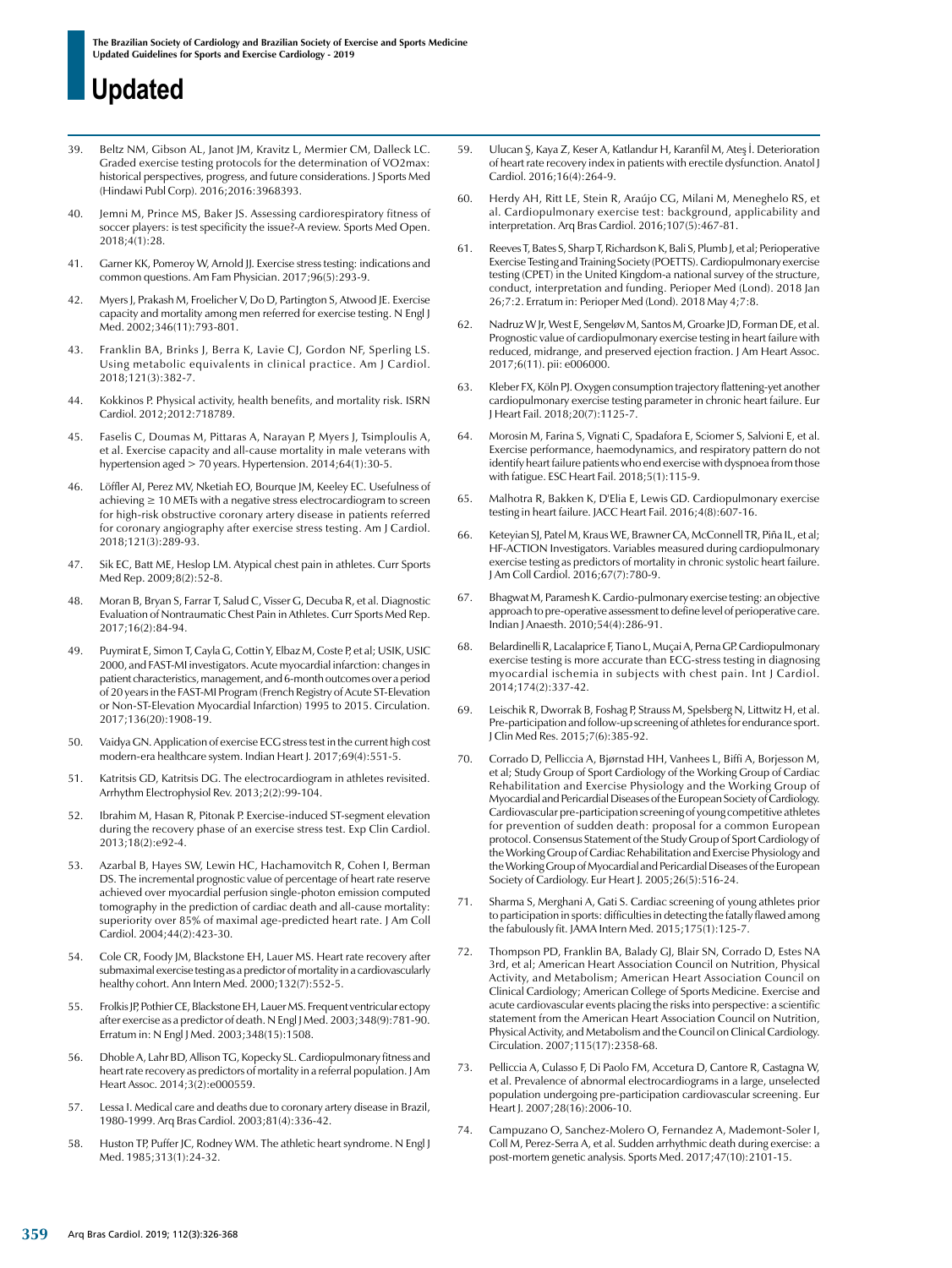- 39. Beltz NM, Gibson AL, Janot JM, Kravitz L, Mermier CM, Dalleck LC. Graded exercise testing protocols for the determination of VO2max: historical perspectives, progress, and future considerations. J Sports Med (Hindawi Publ Corp). 2016;2016:3968393.
- 40. Jemni M, Prince MS, Baker JS. Assessing cardiorespiratory fitness of soccer players: is test specificity the issue?-A review. Sports Med Open.  $2018 \cdot 4(1) \cdot 28$
- 41. Garner KK, Pomeroy W, Arnold JJ. Exercise stress testing: indications and common questions. Am Fam Physician. 2017;96(5):293-9.
- 42. Myers J, Prakash M, Froelicher V, Do D, Partington S, Atwood JE. Exercise capacity and mortality among men referred for exercise testing. N Engl J Med. 2002;346(11):793-801.
- 43. Franklin BA, Brinks J, Berra K, Lavie CJ, Gordon NF, Sperling LS. Using metabolic equivalents in clinical practice. Am J Cardiol. 2018;121(3):382-7.
- Kokkinos P. Physical activity, health benefits, and mortality risk. ISRN Cardiol. 2012;2012:718789.
- 45. Faselis C, Doumas M, Pittaras A, Narayan P, Myers J, Tsimploulis A, et al. Exercise capacity and all-cause mortality in male veterans with hypertension aged > 70 years. Hypertension. 2014;64(1):30-5.
- 46. Löffler AI, Perez MV, Nketiah EO, Bourque JM, Keeley EC. Usefulness of achieving ≥ 10 METs with a negative stress electrocardiogram to screen for high-risk obstructive coronary artery disease in patients referred for coronary angiography after exercise stress testing. Am J Cardiol. 2018;121(3):289-93.
- 47. Sik EC, Batt ME, Heslop LM. Atypical chest pain in athletes. Curr Sports Med Rep. 2009;8(2):52-8.
- 48. Moran B, Bryan S, Farrar T, Salud C, Visser G, Decuba R, et al. Diagnostic Evaluation of Nontraumatic Chest Pain in Athletes. Curr Sports Med Rep. 2017;16(2):84-94.
- 49. Puymirat E, Simon T, Cayla G, Cottin Y, Elbaz M, Coste P, et al; USIK, USIC 2000, and FAST-MI investigators. Acute myocardial infarction: changes in patient characteristics, management, and 6-month outcomes over a period of 20 years in the FAST-MI Program (French Registry of Acute ST-Elevation or Non-ST-Elevation Myocardial Infarction) 1995 to 2015. Circulation. 2017;136(20):1908-19.
- 50. Vaidya GN. Application of exercise ECG stress test in the current high cost modern-era healthcare system. Indian Heart J. 2017;69(4):551-5.
- 51. Katritsis GD, Katritsis DG. The electrocardiogram in athletes revisited. Arrhythm Electrophysiol Rev. 2013;2(2):99-104.
- 52. Ibrahim M, Hasan R, Pitonak P. Exercise-induced ST-segment elevation during the recovery phase of an exercise stress test. Exp Clin Cardiol. 2013;18(2):e92-4.
- 53. Azarbal B, Hayes SW, Lewin HC, Hachamovitch R, Cohen I, Berman DS. The incremental prognostic value of percentage of heart rate reserve achieved over myocardial perfusion single-photon emission computed tomography in the prediction of cardiac death and all-cause mortality: superiority over 85% of maximal age-predicted heart rate. J Am Coll Cardiol. 2004;44(2):423-30.
- 54. Cole CR, Foody JM, Blackstone EH, Lauer MS. Heart rate recovery after submaximal exercise testing as a predictor of mortality in a cardiovascularly healthy cohort. Ann Intern Med. 2000;132(7):552-5.
- 55. Frolkis JP, Pothier CE, Blackstone EH, Lauer MS. Frequent ventricular ectopy after exercise as a predictor of death. N Engl J Med. 2003;348(9):781-90. Erratum in: N Engl J Med. 2003;348(15):1508.
- 56. Dhoble A, Lahr BD, Allison TG, Kopecky SL. Cardiopulmonary fitness and heart rate recovery as predictors of mortality in a referral population. J Am Heart Assoc. 2014;3(2):e000559.
- 57. Lessa I. Medical care and deaths due to coronary artery disease in Brazil, 1980-1999. Arq Bras Cardiol. 2003;81(4):336-42.
- 58. Huston TP, Puffer JC, Rodney WM. The athletic heart syndrome. N Engl J Med. 1985;313(1):24-32.
- 59. Ulucan Ş, Kaya Z, Keser A, Katlandur H, Karanfil M, Ateş İ. Deterioration of heart rate recovery index in patients with erectile dysfunction. Anatol J Cardiol. 2016;16(4):264-9.
- 60. Herdy AH, Ritt LE, Stein R, Araújo CG, Milani M, Meneghelo RS, et al. Cardiopulmonary exercise test: background, applicability and interpretation. Arq Bras Cardiol. 2016;107(5):467-81.
- 61. Reeves T, Bates S, Sharp T, Richardson K, Bali S, Plumb J, et al; Perioperative Exercise Testing and Training Society (POETTS). Cardiopulmonary exercise testing (CPET) in the United Kingdom-a national survey of the structure, conduct, interpretation and funding. Perioper Med (Lond). 2018 Jan 26;7:2. Erratum in: Perioper Med (Lond). 2018 May 4;7:8.
- 62. Nadruz W Jr, West E, Sengeløv M, Santos M, Groarke JD, Forman DE, et al. Prognostic value of cardiopulmonary exercise testing in heart failure with reduced, midrange, and preserved ejection fraction. J Am Heart Assoc. 2017;6(11). pii: e006000.
- 63. Kleber FX, Köln PJ. Oxygen consumption trajectory flattening-yet another cardiopulmonary exercise testing parameter in chronic heart failure. Eur J Heart Fail. 2018;20(7):1125-7.
- 64. Morosin M, Farina S, Vignati C, Spadafora E, Sciomer S, Salvioni E, et al. Exercise performance, haemodynamics, and respiratory pattern do not identify heart failure patients who end exercise with dyspnoea from those with fatigue. ESC Heart Fail. 2018;5(1):115-9.
- 65. Malhotra R, Bakken K, D'Elia E, Lewis GD. Cardiopulmonary exercise testing in heart failure. JACC Heart Fail. 2016;4(8):607-16.
- 66. Keteyian SJ, Patel M, Kraus WE, Brawner CA, McConnell TR, Piña IL, et al; HF-ACTION Investigators. Variables measured during cardiopulmonary exercise testing as predictors of mortality in chronic systolic heart failure. J Am Coll Cardiol. 2016;67(7):780-9.
- 67. Bhagwat M, Paramesh K. Cardio-pulmonary exercise testing: an objective approach to pre-operative assessment to define level of perioperative care. Indian J Anaesth. 2010;54(4):286-91.
- 68. Belardinelli R, Lacalaprice F, Tiano L, Muçai A, Perna GP. Cardiopulmonary exercise testing is more accurate than ECG-stress testing in diagnosing myocardial ischemia in subjects with chest pain. Int J Cardiol. 2014;174(2):337-42.
- 69. Leischik R, Dworrak B, Foshag P, Strauss M, Spelsberg N, Littwitz H, et al. Pre-participation and follow-up screening of athletes for endurance sport. J Clin Med Res. 2015;7(6):385-92.
- 70. Corrado D, Pelliccia A, Bjørnstad HH, Vanhees L, Biffi A, Borjesson M, et al; Study Group of Sport Cardiology of the Working Group of Cardiac Rehabilitation and Exercise Physiology and the Working Group of Myocardial and Pericardial Diseases of the European Society of Cardiology. Cardiovascular pre-participation screening of young competitive athletes for prevention of sudden death: proposal for a common European protocol. Consensus Statement of the Study Group of Sport Cardiology of the Working Group of Cardiac Rehabilitation and Exercise Physiology and the Working Group of Myocardial and Pericardial Diseases of the European Society of Cardiology. Eur Heart J. 2005;26(5):516-24.
- 71. Sharma S, Merghani A, Gati S. Cardiac screening of young athletes prior to participation in sports: difficulties in detecting the fatally flawed among the fabulously fit. JAMA Intern Med. 2015;175(1):125-7.
- 72. Thompson PD, Franklin BA, Balady GJ, Blair SN, Corrado D, Estes NA 3rd, et al; American Heart Association Council on Nutrition, Physical Activity, and Metabolism; American Heart Association Council on Clinical Cardiology; American College of Sports Medicine. Exercise and acute cardiovascular events placing the risks into perspective: a scientific statement from the American Heart Association Council on Nutrition, Physical Activity, and Metabolism and the Council on Clinical Cardiology. Circulation. 2007;115(17):2358-68.
- 73. Pelliccia A, Culasso F, Di Paolo FM, Accetura D, Cantore R, Castagna W, et al. Prevalence of abnormal electrocardiograms in a large, unselected population undergoing pre-participation cardiovascular screening. Eur Heart J. 2007;28(16):2006-10.
- 74. Campuzano O, Sanchez-Molero O, Fernandez A, Mademont-Soler I, Coll M, Perez-Serra A, et al. Sudden arrhythmic death during exercise: a post-mortem genetic analysis. Sports Med. 2017;47(10):2101-15.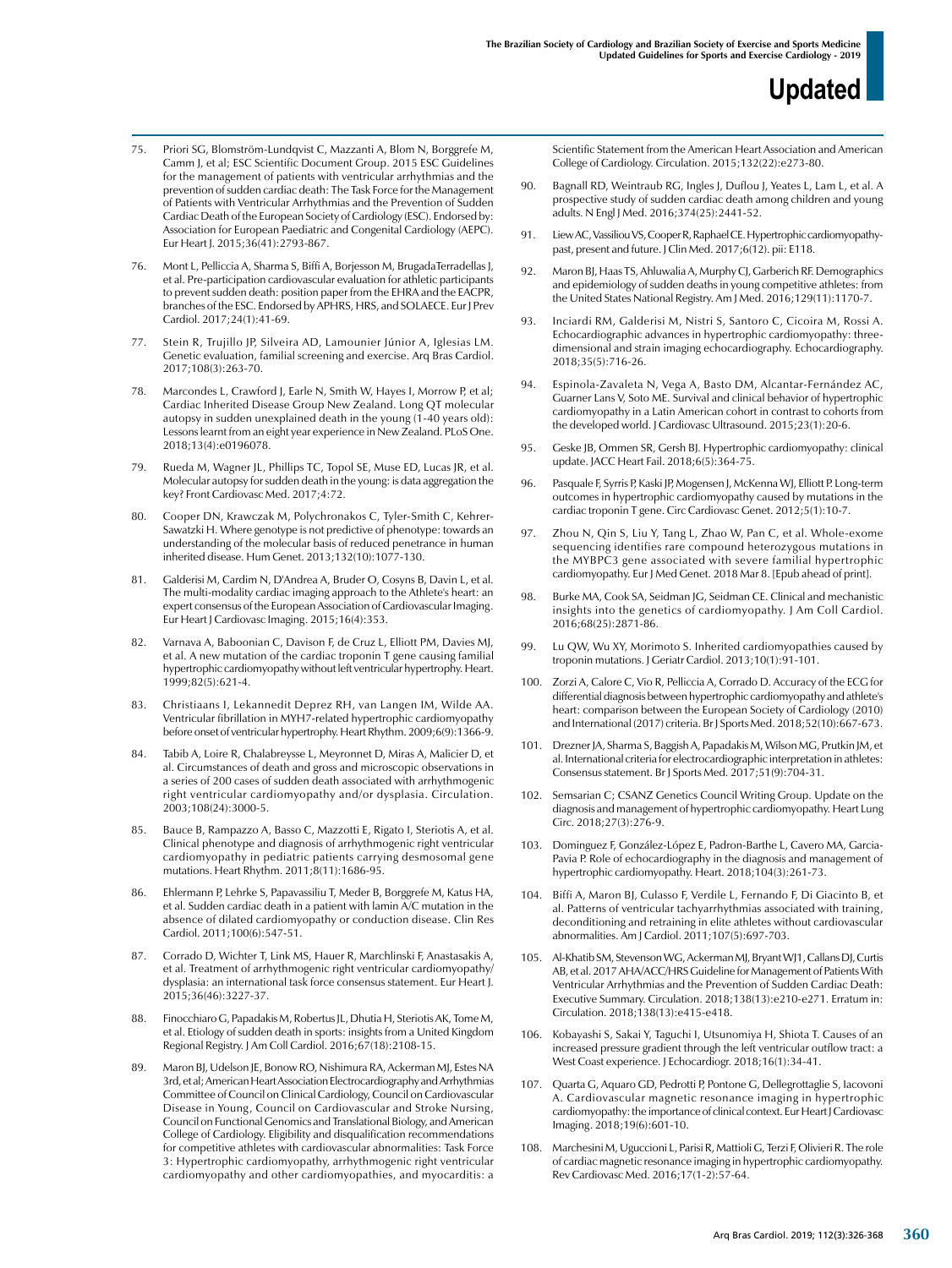- 75. Priori SG, Blomström-Lundqvist C, Mazzanti A, Blom N, Borggrefe M, Camm J, et al; ESC Scientific Document Group. 2015 ESC Guidelines for the management of patients with ventricular arrhythmias and the prevention of sudden cardiac death: The Task Force for the Management of Patients with Ventricular Arrhythmias and the Prevention of Sudden Cardiac Death of the European Society of Cardiology (ESC). Endorsed by: Association for European Paediatric and Congenital Cardiology (AEPC). Eur Heart J. 2015;36(41):2793-867.
- 76. Mont L, Pelliccia A, Sharma S, Biffi A, Borjesson M, BrugadaTerradellas J, et al. Pre-participation cardiovascular evaluation for athletic participants to prevent sudden death: position paper from the EHRA and the EACPR, branches of the ESC. Endorsed by APHRS, HRS, and SOLAECE. Eur J Prev Cardiol. 2017;24(1):41-69.
- 77. Stein R, Trujillo JP, Silveira AD, Lamounier Júnior A, Iglesias LM. Genetic evaluation, familial screening and exercise. Arq Bras Cardiol. 2017;108(3):263-70.
- 78. Marcondes L, Crawford J, Earle N, Smith W, Hayes I, Morrow P, et al; Cardiac Inherited Disease Group New Zealand. Long QT molecular autopsy in sudden unexplained death in the young (1-40 years old): Lessons learnt from an eight year experience in New Zealand. PLoS One. 2018;13(4):e0196078.
- 79. Rueda M, Wagner JL, Phillips TC, Topol SE, Muse ED, Lucas JR, et al. Molecular autopsy for sudden death in the young: is data aggregation the key? Front Cardiovasc Med. 2017;4:72.
- 80. Cooper DN, Krawczak M, Polychronakos C, Tyler-Smith C, Kehrer-Sawatzki H. Where genotype is not predictive of phenotype: towards an understanding of the molecular basis of reduced penetrance in human inherited disease. Hum Genet. 2013;132(10):1077-130.
- 81. Galderisi M, Cardim N, D'Andrea A, Bruder O, Cosyns B, Davin L, et al. The multi-modality cardiac imaging approach to the Athlete's heart: an expert consensus of the European Association of Cardiovascular Imaging. Eur Heart J Cardiovasc Imaging. 2015;16(4):353.
- 82. Varnava A, Baboonian C, Davison F, de Cruz L, Elliott PM, Davies MJ, et al. A new mutation of the cardiac troponin T gene causing familial hypertrophic cardiomyopathy without left ventricular hypertrophy. Heart. 1999;82(5):621-4.
- 83. Christiaans I, Lekannedit Deprez RH, van Langen IM, Wilde AA. Ventricular fibrillation in MYH7-related hypertrophic cardiomyopathy before onset of ventricular hypertrophy. Heart Rhythm. 2009;6(9):1366-9.
- 84. Tabib A, Loire R, Chalabreysse L, Meyronnet D, Miras A, Malicier D, et al. Circumstances of death and gross and microscopic observations in a series of 200 cases of sudden death associated with arrhythmogenic right ventricular cardiomyopathy and/or dysplasia. Circulation. 2003;108(24):3000-5.
- 85. Bauce B, Rampazzo A, Basso C, Mazzotti E, Rigato I, Steriotis A, et al. Clinical phenotype and diagnosis of arrhythmogenic right ventricular cardiomyopathy in pediatric patients carrying desmosomal gene mutations. Heart Rhythm. 2011;8(11):1686-95.
- 86. Ehlermann P, Lehrke S, Papavassiliu T, Meder B, Borggrefe M, Katus HA, et al. Sudden cardiac death in a patient with lamin A/C mutation in the absence of dilated cardiomyopathy or conduction disease. Clin Res Cardiol. 2011;100(6):547-51.
- 87. Corrado D, Wichter T, Link MS, Hauer R, Marchlinski F, Anastasakis A, et al. Treatment of arrhythmogenic right ventricular cardiomyopathy/ dysplasia: an international task force consensus statement. Eur Heart J. 2015;36(46):3227-37.
- 88. Finocchiaro G, Papadakis M, Robertus JL, Dhutia H, Steriotis AK, Tome M, et al. Etiology of sudden death in sports: insights from a United Kingdom Regional Registry. J Am Coll Cardiol. 2016;67(18):2108-15.
- 89. Maron BJ, Udelson JE, Bonow RO, Nishimura RA, Ackerman MJ, Estes NA 3rd, et al; American Heart Association Electrocardiography and Arrhythmias Committee of Council on Clinical Cardiology, Council on Cardiovascular Disease in Young, Council on Cardiovascular and Stroke Nursing, Council on Functional Genomics and Translational Biology, and American College of Cardiology. Eligibility and disqualification recommendations for competitive athletes with cardiovascular abnormalities: Task Force 3: Hypertrophic cardiomyopathy, arrhythmogenic right ventricular cardiomyopathy and other cardiomyopathies, and myocarditis: a

Scientific Statement from the American Heart Association and American College of Cardiology. Circulation. 2015;132(22):e273-80.

- 90. Bagnall RD, Weintraub RG, Ingles J, Duflou J, Yeates L, Lam L, et al. A prospective study of sudden cardiac death among children and young adults. N Engl J Med. 2016;374(25):2441-52.
- 91. Liew AC, Vassiliou VS, Cooper R, Raphael CE. Hypertrophic cardiomyopathypast, present and future. J Clin Med. 2017;6(12). pii: E118.
- 92. Maron BJ, Haas TS, Ahluwalia A, Murphy CJ, Garberich RF. Demographics and epidemiology of sudden deaths in young competitive athletes: from the United States National Registry. Am J Med. 2016;129(11):1170-7.
- 93. Inciardi RM, Galderisi M, Nistri S, Santoro C, Cicoira M, Rossi A. Echocardiographic advances in hypertrophic cardiomyopathy: threedimensional and strain imaging echocardiography. Echocardiography. 2018;35(5):716-26.
- 94. Espinola-Zavaleta N, Vega A, Basto DM, Alcantar-Fernández AC, Guarner Lans V, Soto ME. Survival and clinical behavior of hypertrophic cardiomyopathy in a Latin American cohort in contrast to cohorts from the developed world. J Cardiovasc Ultrasound. 2015;23(1):20-6.
- 95. Geske JB, Ommen SR, Gersh BJ. Hypertrophic cardiomyopathy: clinical update. JACC Heart Fail. 2018;6(5):364-75.
- 96. Pasquale F, Syrris P, Kaski JP, Mogensen J, McKenna WJ, Elliott P. Long-term outcomes in hypertrophic cardiomyopathy caused by mutations in the cardiac troponin T gene. Circ Cardiovasc Genet. 2012;5(1):10-7.
- 97. Zhou N, Qin S, Liu Y, Tang L, Zhao W, Pan C, et al. Whole-exome sequencing identifies rare compound heterozygous mutations in the MYBPC3 gene associated with severe familial hypertrophic cardiomyopathy. Eur J Med Genet. 2018 Mar 8. [Epub ahead of print].
- 98. Burke MA, Cook SA, Seidman JG, Seidman CE. Clinical and mechanistic insights into the genetics of cardiomyopathy. J Am Coll Cardiol. 2016;68(25):2871-86.
- 99. Lu QW, Wu XY, Morimoto S. Inherited cardiomyopathies caused by troponin mutations. J Geriatr Cardiol. 2013;10(1):91-101.
- 100. Zorzi A, Calore C, Vio R, Pelliccia A, Corrado D. Accuracy of the ECG for differential diagnosis between hypertrophic cardiomyopathy and athlete's heart: comparison between the European Society of Cardiology (2010) and International (2017) criteria. Br J Sports Med. 2018;52(10):667-673.
- 101. Drezner JA, Sharma S, Baggish A, Papadakis M, Wilson MG, Prutkin JM, et al. International criteria for electrocardiographic interpretation in athletes: Consensus statement. Br J Sports Med. 2017;51(9):704-31.
- 102. Semsarian C; CSANZ Genetics Council Writing Group. Update on the diagnosis and management of hypertrophic cardiomyopathy. Heart Lung Circ. 2018;27(3):276-9.
- 103. Dominguez F, González-López E, Padron-Barthe L, Cavero MA, Garcia-Pavia P. Role of echocardiography in the diagnosis and management of hypertrophic cardiomyopathy. Heart. 2018;104(3):261-73.
- 104. Biffi A, Maron BJ, Culasso F, Verdile L, Fernando F, Di Giacinto B, et al. Patterns of ventricular tachyarrhythmias associated with training, deconditioning and retraining in elite athletes without cardiovascular abnormalities. Am J Cardiol. 2011;107(5):697-703.
- 105. Al-Khatib SM, Stevenson WG, Ackerman MJ, Bryant WJ1, Callans DJ, Curtis AB, et al. 2017 AHA/ACC/HRS Guideline for Management of Patients With Ventricular Arrhythmias and the Prevention of Sudden Cardiac Death: Executive Summary. Circulation. 2018;138(13):e210-e271. Erratum in: Circulation. 2018;138(13):e415-e418.
- 106. Kobayashi S, Sakai Y, Taguchi I, Utsunomiya H, Shiota T. Causes of an increased pressure gradient through the left ventricular outflow tract: a West Coast experience. J Echocardiogr. 2018;16(1):34-41.
- 107. Quarta G, Aquaro GD, Pedrotti P, Pontone G, Dellegrottaglie S, Iacovoni A. Cardiovascular magnetic resonance imaging in hypertrophic cardiomyopathy: the importance of clinical context. Eur Heart J Cardiovasc Imaging. 2018;19(6):601-10.
- 108. Marchesini M, Uguccioni L, Parisi R, Mattioli G, Terzi F, Olivieri R. The role of cardiac magnetic resonance imaging in hypertrophic cardiomyopathy. Rev Cardiovasc Med. 2016;17(1-2):57-64.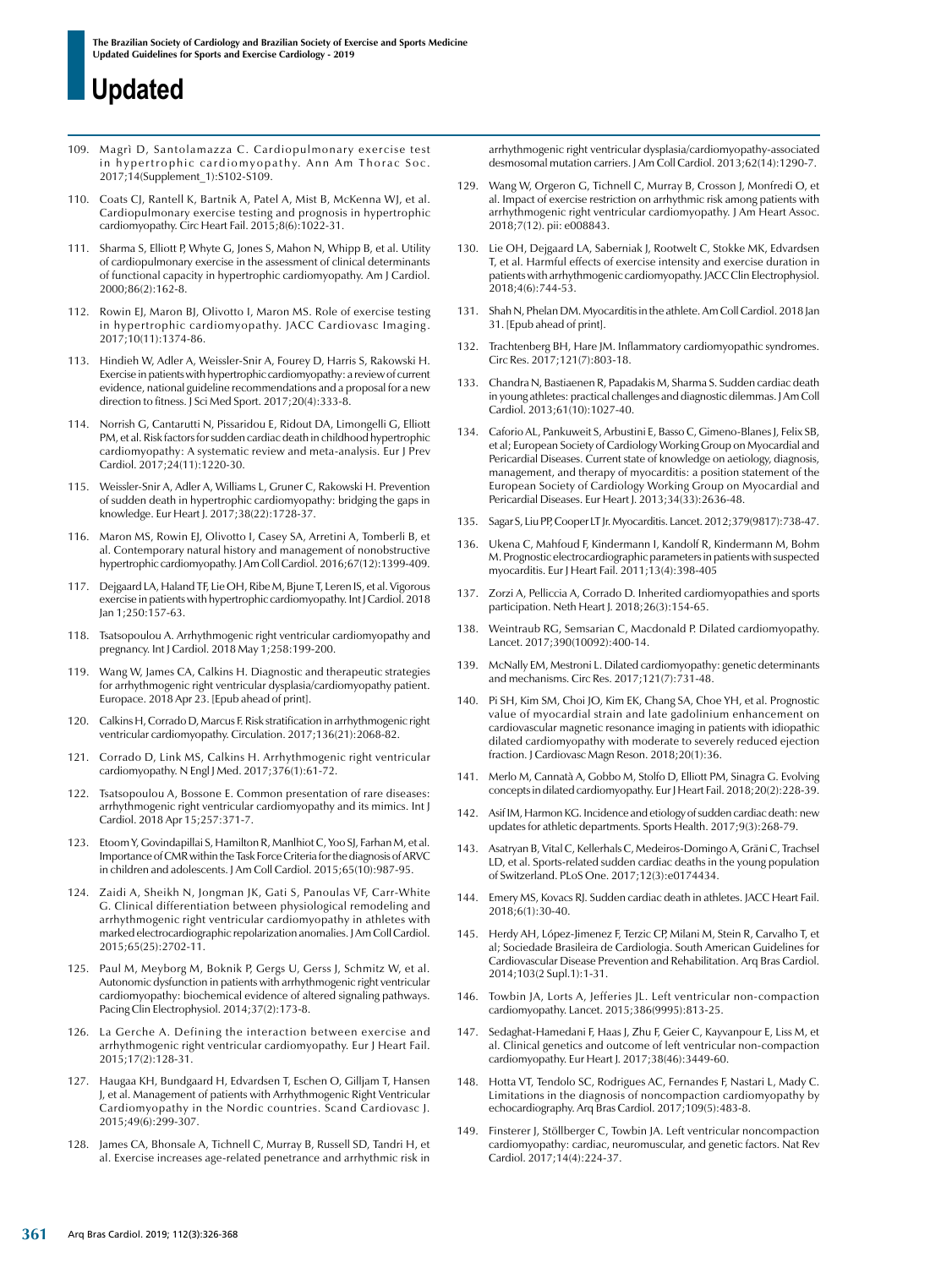- 109. Magrì D, Santolamazza C. Cardiopulmonary exercise test in hypertrophic cardiomyopathy. Ann Am Thorac Soc. 2017;14(Supplement\_1):S102-S109.
- 110. Coats CJ, Rantell K, Bartnik A, Patel A, Mist B, McKenna WJ, et al. Cardiopulmonary exercise testing and prognosis in hypertrophic cardiomyopathy. Circ Heart Fail. 2015;8(6):1022-31.
- 111. Sharma S, Elliott P, Whyte G, Jones S, Mahon N, Whipp B, et al. Utility of cardiopulmonary exercise in the assessment of clinical determinants of functional capacity in hypertrophic cardiomyopathy. Am J Cardiol. 2000;86(2):162-8.
- 112. Rowin EJ, Maron BJ, Olivotto I, Maron MS. Role of exercise testing in hypertrophic cardiomyopathy. JACC Cardiovasc Imaging . 2017;10(11):1374-86.
- 113. Hindieh W, Adler A, Weissler-Snir A, Fourey D, Harris S, Rakowski H. Exercise in patients with hypertrophic cardiomyopathy: a review of current evidence, national guideline recommendations and a proposal for a new direction to fitness. J Sci Med Sport. 2017;20(4):333-8.
- 114. Norrish G, Cantarutti N, Pissaridou E, Ridout DA, Limongelli G, Elliott PM, et al. Risk factors for sudden cardiac death in childhood hypertrophic cardiomyopathy: A systematic review and meta-analysis. Eur J Prev Cardiol. 2017;24(11):1220-30.
- 115. Weissler-Snir A, Adler A, Williams L, Gruner C, Rakowski H. Prevention of sudden death in hypertrophic cardiomyopathy: bridging the gaps in knowledge. Eur Heart J. 2017;38(22):1728-37.
- 116. Maron MS, Rowin EJ, Olivotto I, Casey SA, Arretini A, Tomberli B, et al. Contemporary natural history and management of nonobstructive hypertrophic cardiomyopathy. J Am Coll Cardiol. 2016;67(12):1399-409.
- 117. Dejgaard LA, Haland TF, Lie OH, Ribe M, Bjune T, Leren IS, et al. Vigorous exercise in patients with hypertrophic cardiomyopathy. Int J Cardiol. 2018 Jan 1;250:157-63.
- 118. Tsatsopoulou A. Arrhythmogenic right ventricular cardiomyopathy and pregnancy. Int J Cardiol. 2018 May 1;258:199-200.
- 119. Wang W, James CA, Calkins H. Diagnostic and therapeutic strategies for arrhythmogenic right ventricular dysplasia/cardiomyopathy patient. Europace. 2018 Apr 23. [Epub ahead of print].
- 120. Calkins H, Corrado D, Marcus F. Risk stratification in arrhythmogenic right ventricular cardiomyopathy. Circulation. 2017;136(21):2068-82.
- 121. Corrado D, Link MS, Calkins H. Arrhythmogenic right ventricular cardiomyopathy. N Engl J Med. 2017;376(1):61-72.
- 122. Tsatsopoulou A, Bossone E. Common presentation of rare diseases: arrhythmogenic right ventricular cardiomyopathy and its mimics. Int J Cardiol. 2018 Apr 15;257:371-7.
- 123. Etoom Y, Govindapillai S, Hamilton R, Manlhiot C, Yoo SJ, Farhan M, et al. Importance of CMR within the Task Force Criteria for the diagnosis of ARVC in children and adolescents. J Am Coll Cardiol. 2015;65(10):987-95.
- 124. Zaidi A, Sheikh N, Jongman JK, Gati S, Panoulas VF, Carr-White G. Clinical differentiation between physiological remodeling and arrhythmogenic right ventricular cardiomyopathy in athletes with marked electrocardiographic repolarization anomalies. J Am Coll Cardiol. 2015;65(25):2702-11.
- 125. Paul M, Meyborg M, Boknik P, Gergs U, Gerss J, Schmitz W, et al. Autonomic dysfunction in patients with arrhythmogenic right ventricular cardiomyopathy: biochemical evidence of altered signaling pathways. Pacing Clin Electrophysiol. 2014;37(2):173-8.
- 126. La Gerche A. Defining the interaction between exercise and arrhythmogenic right ventricular cardiomyopathy. Eur J Heart Fail. 2015;17(2):128-31.
- 127. Haugaa KH, Bundgaard H, Edvardsen T, Eschen O, Gilljam T, Hansen J, et al. Management of patients with Arrhythmogenic Right Ventricular Cardiomyopathy in the Nordic countries. Scand Cardiovasc J. 2015;49(6):299-307.
- 128. James CA, Bhonsale A, Tichnell C, Murray B, Russell SD, Tandri H, et al. Exercise increases age-related penetrance and arrhythmic risk in

arrhythmogenic right ventricular dysplasia/cardiomyopathy-associated desmosomal mutation carriers. J Am Coll Cardiol. 2013;62(14):1290-7.

- 129. Wang W, Orgeron G, Tichnell C, Murray B, Crosson J, Monfredi O, et al. Impact of exercise restriction on arrhythmic risk among patients with arrhythmogenic right ventricular cardiomyopathy. J Am Heart Assoc. 2018;7(12). pii: e008843.
- 130. Lie OH, Dejgaard LA, Saberniak J, Rootwelt C, Stokke MK, Edvardsen T, et al. Harmful effects of exercise intensity and exercise duration in patients with arrhythmogenic cardiomyopathy. JACC Clin Electrophysiol. 2018;4(6):744-53.
- 131. Shah N, Phelan DM. Myocarditis in the athlete. Am Coll Cardiol. 2018 Jan 31. [Epub ahead of print].
- 132. Trachtenberg BH, Hare JM. Inflammatory cardiomyopathic syndromes. Circ Res. 2017;121(7):803-18.
- 133. Chandra N, Bastiaenen R, Papadakis M, Sharma S. Sudden cardiac death in young athletes: practical challenges and diagnostic dilemmas. J Am Coll Cardiol. 2013;61(10):1027-40.
- 134. Caforio AL, Pankuweit S, Arbustini E, Basso C, Gimeno-Blanes J, Felix SB, et al; European Society of Cardiology Working Group on Myocardial and Pericardial Diseases. Current state of knowledge on aetiology, diagnosis, management, and therapy of myocarditis: a position statement of the European Society of Cardiology Working Group on Myocardial and Pericardial Diseases. Eur Heart J. 2013;34(33):2636-48.
- 135. Sagar S, Liu PP, Cooper LT Jr. Myocarditis. Lancet. 2012;379(9817):738-47.
- 136. Ukena C, Mahfoud F, Kindermann I, Kandolf R, Kindermann M, Bohm M. Prognostic electrocardiographic parameters in patients with suspected myocarditis. Eur J Heart Fail. 2011;13(4):398-405
- 137. Zorzi A, Pelliccia A, Corrado D. Inherited cardiomyopathies and sports participation. Neth Heart J. 2018;26(3):154-65.
- 138. Weintraub RG, Semsarian C, Macdonald P. Dilated cardiomyopathy. Lancet. 2017;390(10092):400-14.
- 139. McNally EM, Mestroni L. Dilated cardiomyopathy: genetic determinants and mechanisms. Circ Res. 2017;121(7):731-48.
- 140. Pi SH, Kim SM, Choi JO, Kim EK, Chang SA, Choe YH, et al. Prognostic value of myocardial strain and late gadolinium enhancement on cardiovascular magnetic resonance imaging in patients with idiopathic dilated cardiomyopathy with moderate to severely reduced ejection fraction. J Cardiovasc Magn Reson. 2018;20(1):36.
- 141. Merlo M, Cannatà A, Gobbo M, Stolfo D, Elliott PM, Sinagra G. Evolving concepts in dilated cardiomyopathy. Eur J Heart Fail. 2018;20(2):228-39.
- 142. Asif IM, Harmon KG. Incidence and etiology of sudden cardiac death: new updates for athletic departments. Sports Health. 2017;9(3):268-79.
- 143. Asatryan B, Vital C, Kellerhals C, Medeiros-Domingo A, Gräni C, Trachsel LD, et al. Sports-related sudden cardiac deaths in the young population of Switzerland. PLoS One. 2017;12(3):e0174434.
- 144. Emery MS, Kovacs RJ. Sudden cardiac death in athletes. JACC Heart Fail. 2018;6(1):30-40.
- 145. Herdy AH, López-Jimenez F, Terzic CP, Milani M, Stein R, Carvalho T, et al; Sociedade Brasileira de Cardiologia. South American Guidelines for Cardiovascular Disease Prevention and Rehabilitation. Arq Bras Cardiol. 2014;103(2 Supl.1):1-31.
- 146. Towbin JA, Lorts A, Jefferies JL. Left ventricular non-compaction cardiomyopathy. Lancet. 2015;386(9995):813-25.
- 147. Sedaghat-Hamedani F, Haas J, Zhu F, Geier C, Kayvanpour E, Liss M, et al. Clinical genetics and outcome of left ventricular non-compaction cardiomyopathy. Eur Heart J. 2017;38(46):3449-60.
- 148. Hotta VT, Tendolo SC, Rodrigues AC, Fernandes F, Nastari L, Mady C. Limitations in the diagnosis of noncompaction cardiomyopathy by echocardiography. Arq Bras Cardiol. 2017;109(5):483-8.
- Finsterer J, Stöllberger C, Towbin JA. Left ventricular noncompaction cardiomyopathy: cardiac, neuromuscular, and genetic factors. Nat Rev Cardiol. 2017;14(4):224-37.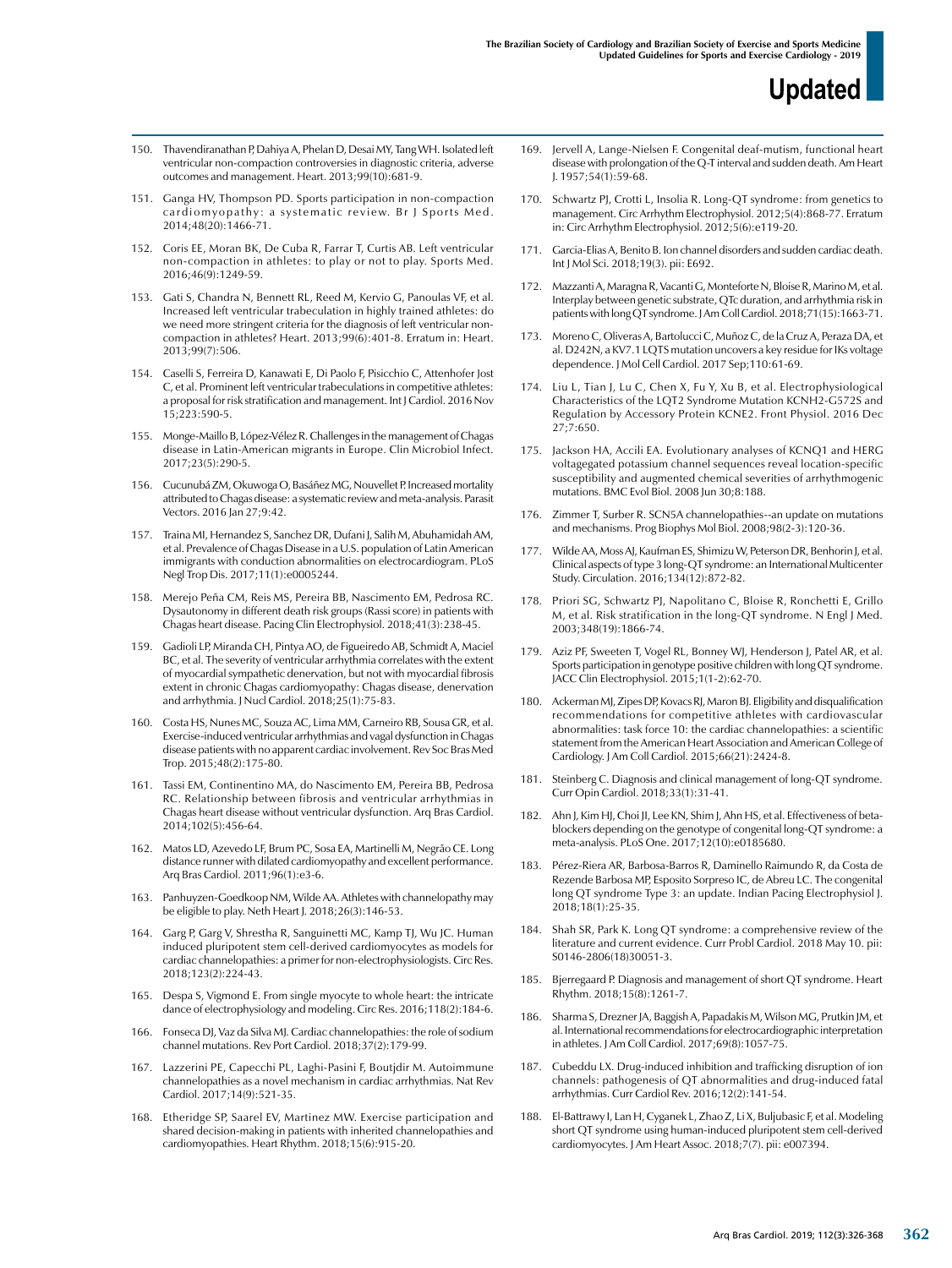- 150. Thavendiranathan P, Dahiya A, Phelan D, Desai MY, Tang WH. Isolated left ventricular non-compaction controversies in diagnostic criteria, adverse outcomes and management. Heart. 2013;99(10):681-9.
- 151. Ganga HV, Thompson PD. Sports participation in non-compaction cardiomyopathy: a systematic review. Br J Sports Med. 2014;48(20):1466-71.
- 152. Coris EE, Moran BK, De Cuba R, Farrar T, Curtis AB. Left ventricular non-compaction in athletes: to play or not to play. Sports Med. 2016;46(9):1249-59.
- 153. Gati S, Chandra N, Bennett RL, Reed M, Kervio G, Panoulas VF, et al. Increased left ventricular trabeculation in highly trained athletes: do we need more stringent criteria for the diagnosis of left ventricular noncompaction in athletes? Heart. 2013;99(6):401-8. Erratum in: Heart. 2013;99(7):506.
- 154. Caselli S, Ferreira D, Kanawati E, Di Paolo F, Pisicchio C, Attenhofer Jost C, et al. Prominent left ventricular trabeculations in competitive athletes: a proposal for risk stratification and management. Int J Cardiol. 2016 Nov 15;223:590-5.
- 155. Monge-Maillo B, López-Vélez R. Challenges in the management of Chagas disease in Latin-American migrants in Europe. Clin Microbiol Infect. 2017;23(5):290-5.
- 156. Cucunubá ZM, Okuwoga O, Basáñez MG, Nouvellet P. Increased mortality attributed to Chagas disease: a systematic review and meta-analysis. Parasit Vectors. 2016 Jan 27;9:42.
- 157. Traina MI, Hernandez S, Sanchez DR, Dufani J, Salih M, Abuhamidah AM, et al. Prevalence of Chagas Disease in a U.S. population of Latin American immigrants with conduction abnormalities on electrocardiogram. PLoS Negl Trop Dis. 2017;11(1):e0005244.
- 158. Merejo Peña CM, Reis MS, Pereira BB, Nascimento EM, Pedrosa RC. Dysautonomy in different death risk groups (Rassi score) in patients with Chagas heart disease. Pacing Clin Electrophysiol. 2018;41(3):238-45.
- 159. Gadioli LP, Miranda CH, Pintya AO, de Figueiredo AB, Schmidt A, Maciel BC, et al. The severity of ventricular arrhythmia correlates with the extent of myocardial sympathetic denervation, but not with myocardial fibrosis extent in chronic Chagas cardiomyopathy: Chagas disease, denervation and arrhythmia. J Nucl Cardiol. 2018;25(1):75-83.
- 160. Costa HS, Nunes MC, Souza AC, Lima MM, Carneiro RB, Sousa GR, et al. Exercise-induced ventricular arrhythmias and vagal dysfunction in Chagas disease patients with no apparent cardiac involvement. Rev Soc Bras Med Trop. 2015;48(2):175-80.
- 161. Tassi EM, Continentino MA, do Nascimento EM, Pereira BB, Pedrosa RC. Relationship between fibrosis and ventricular arrhythmias in Chagas heart disease without ventricular dysfunction. Arq Bras Cardiol. 2014;102(5):456-64.
- 162. Matos LD, Azevedo LF, Brum PC, Sosa EA, Martinelli M, Negrão CE. Long distance runner with dilated cardiomyopathy and excellent performance. Arq Bras Cardiol. 2011;96(1):e3-6.
- 163. Panhuyzen-Goedkoop NM, Wilde AA. Athletes with channelopathy may be eligible to play. Neth Heart J. 2018;26(3):146-53.
- 164. Garg P, Garg V, Shrestha R, Sanguinetti MC, Kamp TJ, Wu JC. Human induced pluripotent stem cell-derived cardiomyocytes as models for cardiac channelopathies: a primer for non-electrophysiologists. Circ Res. 2018;123(2):224-43.
- 165. Despa S, Vigmond E. From single myocyte to whole heart: the intricate dance of electrophysiology and modeling. Circ Res. 2016;118(2):184-6.
- 166. Fonseca DJ, Vaz da Silva MJ. Cardiac channelopathies: the role of sodium channel mutations. Rev Port Cardiol. 2018;37(2):179-99.
- 167. Lazzerini PE, Capecchi PL, Laghi-Pasini F, Boutjdir M. Autoimmune channelopathies as a novel mechanism in cardiac arrhythmias. Nat Rev Cardiol. 2017;14(9):521-35.
- 168. Etheridge SP, Saarel EV, Martinez MW. Exercise participation and shared decision-making in patients with inherited channelopathies and cardiomyopathies. Heart Rhythm. 2018;15(6):915-20.
- 169. Jervell A, Lange-Nielsen F. Congenital deaf-mutism, functional heart disease with prolongation of the Q-T interval and sudden death. Am Heart J. 1957;54(1):59-68.
- 170. Schwartz PJ, Crotti L, Insolia R. Long-QT syndrome: from genetics to management. Circ Arrhythm Electrophysiol. 2012;5(4):868-77. Erratum in: Circ Arrhythm Electrophysiol. 2012;5(6):e119-20.
- 171. Garcia-Elias A, Benito B. Ion channel disorders and sudden cardiac death. Int J Mol Sci. 2018;19(3). pii: E692.
- 172. Mazzanti A, Maragna R, Vacanti G, Monteforte N, Bloise R, Marino M, et al. Interplay between genetic substrate, QTc duration, and arrhythmia risk in patients with long QT syndrome. J Am Coll Cardiol. 2018;71(15):1663-71.
- 173. Moreno C, Oliveras A, Bartolucci C, Muñoz C, de la Cruz A, Peraza DA, et al. D242N, a KV7.1 LQTS mutation uncovers a key residue for IKs voltage dependence. J Mol Cell Cardiol. 2017 Sep;110:61-69.
- 174. Liu L, Tian J, Lu C, Chen X, Fu Y, Xu B, et al. Electrophysiological Characteristics of the LQT2 Syndrome Mutation KCNH2-G572S and Regulation by Accessory Protein KCNE2. Front Physiol. 2016 Dec  $27.7.650$
- 175. Jackson HA, Accili EA. Evolutionary analyses of KCNQ1 and HERG voltagegated potassium channel sequences reveal location-specific susceptibility and augmented chemical severities of arrhythmogenic mutations. BMC Evol Biol. 2008 Jun 30;8:188.
- 176. Zimmer T, Surber R. SCN5A channelopathies--an update on mutations and mechanisms. Prog Biophys Mol Biol. 2008;98(2-3):120-36.
- 177. Wilde AA, Moss AJ, Kaufman ES, Shimizu W, Peterson DR, Benhorin J, et al. Clinical aspects of type 3 long-QT syndrome: an International Multicenter Study. Circulation. 2016;134(12):872-82.
- 178. Priori SG, Schwartz PJ, Napolitano C, Bloise R, Ronchetti E, Grillo M, et al. Risk stratification in the long-QT syndrome. N Engl J Med. 2003;348(19):1866-74.
- 179. Aziz PF, Sweeten T, Vogel RL, Bonney WJ, Henderson J, Patel AR, et al. Sports participation in genotype positive children with long QT syndrome. JACC Clin Electrophysiol. 2015;1(1-2):62-70.
- 180. Ackerman MJ, Zipes DP, Kovacs RJ, Maron BJ. Eligibility and disqualification recommendations for competitive athletes with cardiovascular abnormalities: task force 10: the cardiac channelopathies: a scientific statement from the American Heart Association and American College of Cardiology. J Am Coll Cardiol. 2015;66(21):2424-8.
- 181. Steinberg C. Diagnosis and clinical management of long-QT syndrome. Curr Opin Cardiol. 2018;33(1):31-41.
- 182. Ahn J, Kim HJ, Choi JI, Lee KN, Shim J, Ahn HS, et al. Effectiveness of betablockers depending on the genotype of congenital long-QT syndrome: a meta-analysis. PLoS One. 2017;12(10):e0185680.
- 183. Pérez-Riera AR, Barbosa-Barros R, Daminello Raimundo R, da Costa de Rezende Barbosa MP, Esposito Sorpreso IC, de Abreu LC. The congenital long QT syndrome Type 3: an update. Indian Pacing Electrophysiol J. 2018;18(1):25-35.
- 184. Shah SR, Park K. Long QT syndrome: a comprehensive review of the literature and current evidence. Curr Probl Cardiol. 2018 May 10. pii: S0146-2806(18)30051-3.
- 185. Bjerregaard P. Diagnosis and management of short QT syndrome. Heart Rhythm. 2018;15(8):1261-7.
- 186. Sharma S, Drezner JA, Baggish A, Papadakis M, Wilson MG, Prutkin JM, et al. International recommendations for electrocardiographic interpretation in athletes. J Am Coll Cardiol. 2017;69(8):1057-75.
- 187. Cubeddu LX. Drug-induced inhibition and trafficking disruption of ion channels: pathogenesis of QT abnormalities and drug-induced fatal arrhythmias. Curr Cardiol Rev. 2016;12(2):141-54.
- 188. El-Battrawy I, Lan H, Cyganek L, Zhao Z, Li X, Buljubasic F, et al. Modeling short QT syndrome using human-induced pluripotent stem cell-derived cardiomyocytes. J Am Heart Assoc. 2018;7(7). pii: e007394.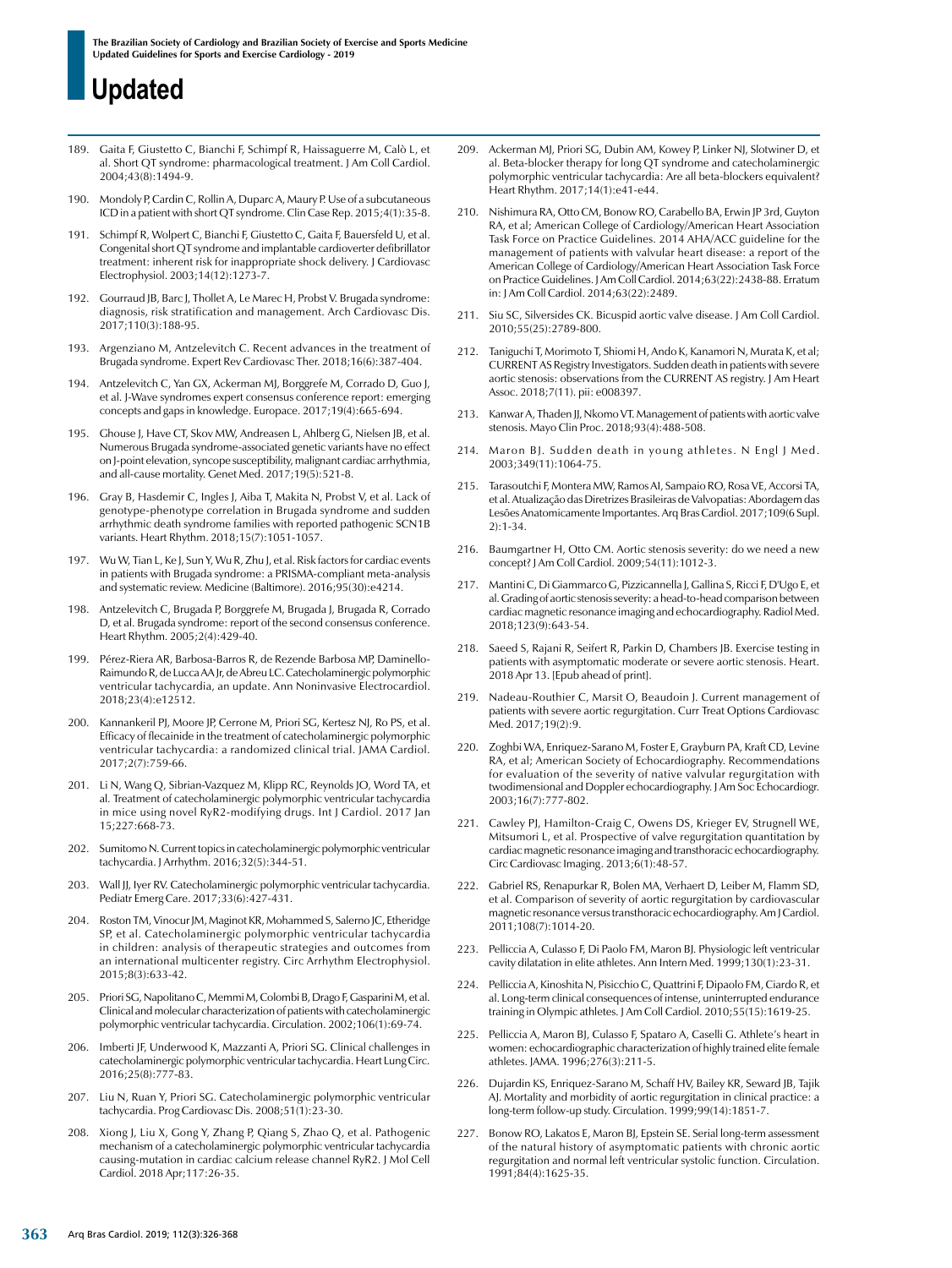- 189. Gaita F, Giustetto C, Bianchi F, Schimpf R, Haissaguerre M, Calò L, et al. Short QT syndrome: pharmacological treatment. J Am Coll Cardiol. 2004;43(8):1494-9.
- 190. Mondoly P, Cardin C, Rollin A, Duparc A, Maury P. Use of a subcutaneous ICD in a patient with short QT syndrome. Clin Case Rep. 2015;4(1):35-8.
- Schimpf R, Wolpert C, Bianchi F, Giustetto C, Gaita F, Bauersfeld U, et al. Congenital short QT syndrome and implantable cardioverter defibrillator treatment: inherent risk for inappropriate shock delivery. J Cardiovasc Electrophysiol. 2003;14(12):1273-7.
- 192. Gourraud JB, Barc J, Thollet A, Le Marec H, Probst V. Brugada syndrome: diagnosis, risk stratification and management. Arch Cardiovasc Dis. 2017;110(3):188-95.
- 193. Argenziano M, Antzelevitch C. Recent advances in the treatment of Brugada syndrome. Expert Rev Cardiovasc Ther. 2018;16(6):387-404.
- 194. Antzelevitch C, Yan GX, Ackerman MJ, Borggrefe M, Corrado D, Guo J, et al. J-Wave syndromes expert consensus conference report: emerging concepts and gaps in knowledge. Europace. 2017;19(4):665-694.
- 195. Ghouse J, Have CT, Skov MW, Andreasen L, Ahlberg G, Nielsen JB, et al. Numerous Brugada syndrome-associated genetic variants have no effect on J-point elevation, syncope susceptibility, malignant cardiac arrhythmia, and all-cause mortality. Genet Med. 2017;19(5):521-8.
- 196. Gray B, Hasdemir C, Ingles J, Aiba T, Makita N, Probst V, et al. Lack of genotype-phenotype correlation in Brugada syndrome and sudden arrhythmic death syndrome families with reported pathogenic SCN1B variants. Heart Rhythm. 2018;15(7):1051-1057.
- 197. Wu W, Tian L, Ke J, Sun Y, Wu R, Zhu J, et al. Risk factors for cardiac events in patients with Brugada syndrome: a PRISMA-compliant meta-analysis and systematic review. Medicine (Baltimore). 2016;95(30):e4214.
- 198. Antzelevitch C, Brugada P, Borggrefe M, Brugada J, Brugada R, Corrado D, et al. Brugada syndrome: report of the second consensus conference. Heart Rhythm. 2005;2(4):429-40.
- 199. Pérez-Riera AR, Barbosa-Barros R, de Rezende Barbosa MP, Daminello-Raimundo R, de Lucca AA Jr, de Abreu LC. Catecholaminergic polymorphic ventricular tachycardia, an update. Ann Noninvasive Electrocardiol. 2018;23(4):e12512.
- 200. Kannankeril PJ, Moore JP, Cerrone M, Priori SG, Kertesz NJ, Ro PS, et al. Efficacy of flecainide in the treatment of catecholaminergic polymorphic ventricular tachycardia: a randomized clinical trial. JAMA Cardiol. 2017;2(7):759-66.
- 201. Li N, Wang Q, Sibrian-Vazquez M, Klipp RC, Reynolds JO, Word TA, et al. Treatment of catecholaminergic polymorphic ventricular tachycardia in mice using novel RyR2-modifying drugs. Int J Cardiol. 2017 Jan 15;227:668-73.
- 202. Sumitomo N. Current topics in catecholaminergic polymorphic ventricular tachycardia. J Arrhythm. 2016;32(5):344-51.
- 203. Wall JJ, Iyer RV. Catecholaminergic polymorphic ventricular tachycardia. Pediatr Emerg Care. 2017;33(6):427-431.
- Roston TM, Vinocur JM, Maginot KR, Mohammed S, Salerno JC, Etheridge SP, et al. Catecholaminergic polymorphic ventricular tachycardia in children: analysis of therapeutic strategies and outcomes from an international multicenter registry. Circ Arrhythm Electrophysiol. 2015;8(3):633-42.
- 205. Priori SG, Napolitano C, Memmi M, Colombi B, Drago F, Gasparini M, et al. Clinical and molecular characterization of patients with catecholaminergic polymorphic ventricular tachycardia. Circulation. 2002;106(1):69-74.
- 206. Imberti JF, Underwood K, Mazzanti A, Priori SG. Clinical challenges in catecholaminergic polymorphic ventricular tachycardia. Heart Lung Circ. 2016;25(8):777-83.
- 207. Liu N, Ruan Y, Priori SG. Catecholaminergic polymorphic ventricular tachycardia. Prog Cardiovasc Dis. 2008;51(1):23-30.
- 208. Xiong J, Liu X, Gong Y, Zhang P, Qiang S, Zhao Q, et al. Pathogenic mechanism of a catecholaminergic polymorphic ventricular tachycardia causing-mutation in cardiac calcium release channel RyR2. J Mol Cell Cardiol. 2018 Apr;117:26-35.
- 209. Ackerman MJ, Priori SG, Dubin AM, Kowey P, Linker NJ, Slotwiner D, et al. Beta-blocker therapy for long QT syndrome and catecholaminergic polymorphic ventricular tachycardia: Are all beta-blockers equivalent? Heart Rhythm. 2017;14(1):e41-e44.
- 210. Nishimura RA, Otto CM, Bonow RO, Carabello BA, Erwin JP 3rd, Guyton RA, et al; American College of Cardiology/American Heart Association Task Force on Practice Guidelines. 2014 AHA/ACC guideline for the management of patients with valvular heart disease: a report of the American College of Cardiology/American Heart Association Task Force on Practice Guidelines. J Am Coll Cardiol. 2014;63(22):2438-88. Erratum in: J Am Coll Cardiol. 2014;63(22):2489.
- 211. Siu SC, Silversides CK. Bicuspid aortic valve disease. J Am Coll Cardiol. 2010;55(25):2789-800.
- 212. Taniguchi T, Morimoto T, Shiomi H, Ando K, Kanamori N, Murata K, et al; CURRENT AS Registry Investigators. Sudden death in patients with severe aortic stenosis: observations from the CURRENT AS registry. J Am Heart Assoc. 2018;7(11). pii: e008397.
- 213. Kanwar A, Thaden JJ, Nkomo VT. Management of patients with aortic valve stenosis. Mayo Clin Proc. 2018;93(4):488-508.
- 214. Maron BJ. Sudden death in young athletes. N Engl J Med. 2003;349(11):1064-75.
- 215. Tarasoutchi F, Montera MW, Ramos AI, Sampaio RO, Rosa VE, Accorsi TA, et al. Atualização das Diretrizes Brasileiras de Valvopatias: Abordagem das Lesões Anatomicamente Importantes. Arq Bras Cardiol. 2017;109(6 Supl. 2):1-34.
- 216. Baumgartner H, Otto CM. Aortic stenosis severity: do we need a new concept? J Am Coll Cardiol. 2009;54(11):1012-3.
- 217. Mantini C, Di Giammarco G, Pizzicannella J, Gallina S, Ricci F, D'Ugo E, et al. Grading of aortic stenosis severity: a head-to-head comparison between cardiac magnetic resonance imaging and echocardiography. Radiol Med. 2018;123(9):643-54.
- 218. Saeed S, Rajani R, Seifert R, Parkin D, Chambers JB. Exercise testing in patients with asymptomatic moderate or severe aortic stenosis. Heart. 2018 Apr 13. [Epub ahead of print].
- 219. Nadeau-Routhier C, Marsit O, Beaudoin J. Current management of patients with severe aortic regurgitation. Curr Treat Options Cardiovasc Med. 2017;19(2):9.
- 220. Zoghbi WA, Enriquez-Sarano M, Foster E, Grayburn PA, Kraft CD, Levine RA, et al; American Society of Echocardiography. Recommendations for evaluation of the severity of native valvular regurgitation with twodimensional and Doppler echocardiography. J Am Soc Echocardiogr. 2003;16(7):777-802.
- 221. Cawley PJ, Hamilton-Craig C, Owens DS, Krieger EV, Strugnell WE, Mitsumori L, et al. Prospective of valve regurgitation quantitation by cardiac magnetic resonance imaging and transthoracic echocardiography. Circ Cardiovasc Imaging. 2013;6(1):48-57.
- 222. Gabriel RS, Renapurkar R, Bolen MA, Verhaert D, Leiber M, Flamm SD, et al. Comparison of severity of aortic regurgitation by cardiovascular magnetic resonance versus transthoracic echocardiography. Am J Cardiol. 2011;108(7):1014-20.
- 223. Pelliccia A, Culasso F, Di Paolo FM, Maron BJ. Physiologic left ventricular cavity dilatation in elite athletes. Ann Intern Med. 1999;130(1):23-31.
- 224. Pelliccia A, Kinoshita N, Pisicchio C, Quattrini F, Dipaolo FM, Ciardo R, et al. Long-term clinical consequences of intense, uninterrupted endurance training in Olympic athletes. J Am Coll Cardiol. 2010;55(15):1619-25.
- 225. Pelliccia A, Maron BJ, Culasso F, Spataro A, Caselli G. Athlete's heart in women: echocardiographic characterization of highly trained elite female athletes. JAMA. 1996;276(3):211-5.
- 226. Dujardin KS, Enriquez-Sarano M, Schaff HV, Bailey KR, Seward JB, Tajik AJ. Mortality and morbidity of aortic regurgitation in clinical practice: a long-term follow-up study. Circulation. 1999;99(14):1851-7.
- 227. Bonow RO, Lakatos E, Maron BJ, Epstein SE. Serial long-term assessment of the natural history of asymptomatic patients with chronic aortic regurgitation and normal left ventricular systolic function. Circulation. 1991;84(4):1625-35.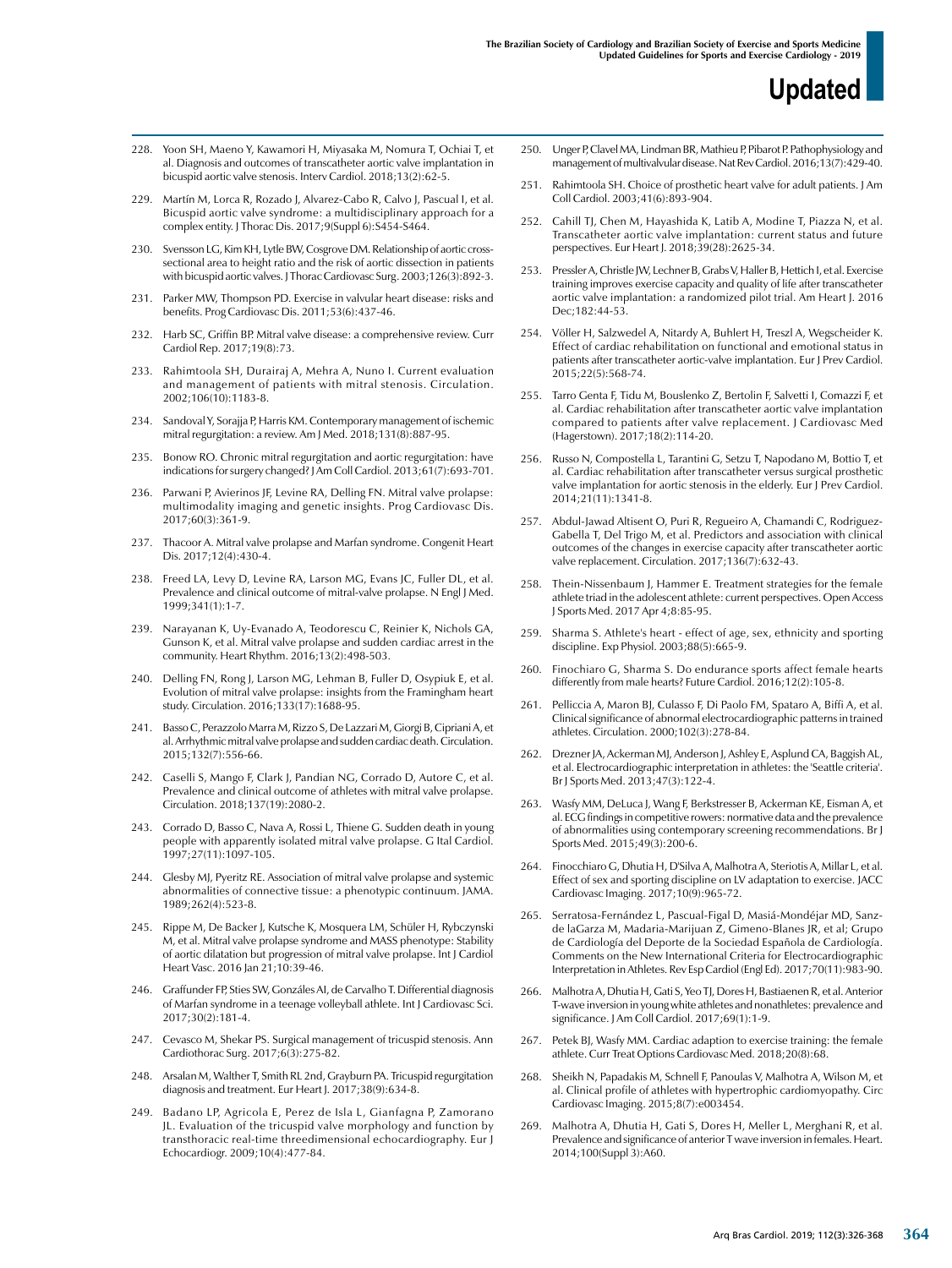- 228. Yoon SH, Maeno Y, Kawamori H, Miyasaka M, Nomura T, Ochiai T, et al. Diagnosis and outcomes of transcatheter aortic valve implantation in bicuspid aortic valve stenosis. Interv Cardiol. 2018;13(2):62-5.
- 229. Martín M, Lorca R, Rozado J, Alvarez-Cabo R, Calvo J, Pascual I, et al. Bicuspid aortic valve syndrome: a multidisciplinary approach for a complex entity. J Thorac Dis. 2017;9(Suppl 6):S454-S464.
- 230. Svensson LG, Kim KH, Lytle BW, Cosgrove DM. Relationship of aortic crosssectional area to height ratio and the risk of aortic dissection in patients with bicuspid aortic valves. J Thorac Cardiovasc Surg. 2003;126(3):892-3.
- 231. Parker MW, Thompson PD. Exercise in valvular heart disease: risks and benefits. Prog Cardiovasc Dis. 2011;53(6):437-46.
- 232. Harb SC, Griffin BP. Mitral valve disease: a comprehensive review. Curr Cardiol Rep. 2017;19(8):73.
- 233. Rahimtoola SH, Durairaj A, Mehra A, Nuno I. Current evaluation and management of patients with mitral stenosis. Circulation. 2002;106(10):1183-8.
- 234. Sandoval Y, Sorajja P, Harris KM. Contemporary management of ischemic mitral regurgitation: a review. Am J Med. 2018;131(8):887-95.
- 235. Bonow RO. Chronic mitral regurgitation and aortic regurgitation: have indications for surgery changed? J Am Coll Cardiol. 2013;61(7):693-701.
- 236. Parwani P, Avierinos JF, Levine RA, Delling FN. Mitral valve prolapse: multimodality imaging and genetic insights. Prog Cardiovasc Dis. 2017;60(3):361-9.
- 237. Thacoor A. Mitral valve prolapse and Marfan syndrome. Congenit Heart Dis. 2017;12(4):430-4.
- 238. Freed LA, Levy D, Levine RA, Larson MG, Evans JC, Fuller DL, et al. Prevalence and clinical outcome of mitral-valve prolapse. N Engl J Med. 1999;341(1):1-7.
- 239. Narayanan K, Uy-Evanado A, Teodorescu C, Reinier K, Nichols GA, Gunson K, et al. Mitral valve prolapse and sudden cardiac arrest in the community. Heart Rhythm. 2016;13(2):498-503.
- 240. Delling FN, Rong J, Larson MG, Lehman B, Fuller D, Osypiuk E, et al. Evolution of mitral valve prolapse: insights from the Framingham heart study. Circulation. 2016;133(17):1688-95.
- 241. Basso C, Perazzolo Marra M, Rizzo S, De Lazzari M, Giorgi B, Cipriani A, et al. Arrhythmic mitral valve prolapse and sudden cardiac death. Circulation. 2015;132(7):556-66.
- 242. Caselli S, Mango F, Clark J, Pandian NG, Corrado D, Autore C, et al. Prevalence and clinical outcome of athletes with mitral valve prolapse. Circulation. 2018;137(19):2080-2.
- 243. Corrado D, Basso C, Nava A, Rossi L, Thiene G. Sudden death in young people with apparently isolated mitral valve prolapse. G Ital Cardiol. 1997;27(11):1097-105.
- 244. Glesby MJ, Pyeritz RE. Association of mitral valve prolapse and systemic abnormalities of connective tissue: a phenotypic continuum. JAMA. 1989;262(4):523-8.
- 245. Rippe M, De Backer J, Kutsche K, Mosquera LM, Schüler H, Rybczynski M, et al. Mitral valve prolapse syndrome and MASS phenotype: Stability of aortic dilatation but progression of mitral valve prolapse. Int J Cardiol Heart Vasc. 2016 Jan 21;10:39-46.
- 246. Graffunder FP, Sties SW, Gonzáles AI, de Carvalho T. Differential diagnosis of Marfan syndrome in a teenage volleyball athlete. Int J Cardiovasc Sci. 2017;30(2):181-4.
- 247. Cevasco M, Shekar PS. Surgical management of tricuspid stenosis. Ann Cardiothorac Surg. 2017;6(3):275-82.
- 248. Arsalan M, Walther T, Smith RL 2nd, Grayburn PA. Tricuspid regurgitation diagnosis and treatment. Eur Heart J. 2017;38(9):634-8.
- 249. Badano LP, Agricola E, Perez de Isla L, Gianfagna P, Zamorano JL. Evaluation of the tricuspid valve morphology and function by transthoracic real-time threedimensional echocardiography. Eur J Echocardiogr. 2009;10(4):477-84.
- 250. Unger P, Clavel MA, Lindman BR, Mathieu P, Pibarot P. Pathophysiology and management of multivalvular disease. Nat Rev Cardiol. 2016;13(7):429-40.
- 251. Rahimtoola SH. Choice of prosthetic heart valve for adult patients. J Am Coll Cardiol. 2003;41(6):893-904.
- 252. Cahill TJ, Chen M, Hayashida K, Latib A, Modine T, Piazza N, et al. Transcatheter aortic valve implantation: current status and future perspectives. Eur Heart J. 2018;39(28):2625-34.
- 253. Pressler A, Christle JW, Lechner B, Grabs V, Haller B, Hettich I, et al. Exercise training improves exercise capacity and quality of life after transcatheter aortic valve implantation: a randomized pilot trial. Am Heart J. 2016 Dec;182:44-53.
- 254. Völler H, Salzwedel A, Nitardy A, Buhlert H, Treszl A, Wegscheider K. Effect of cardiac rehabilitation on functional and emotional status in patients after transcatheter aortic-valve implantation. Eur J Prev Cardiol. 2015;22(5):568-74.
- 255. Tarro Genta F, Tidu M, Bouslenko Z, Bertolin F, Salvetti I, Comazzi F, et al. Cardiac rehabilitation after transcatheter aortic valve implantation compared to patients after valve replacement. J Cardiovasc Med (Hagerstown). 2017;18(2):114-20.
- 256. Russo N, Compostella L, Tarantini G, Setzu T, Napodano M, Bottio T, et al. Cardiac rehabilitation after transcatheter versus surgical prosthetic valve implantation for aortic stenosis in the elderly. Eur J Prev Cardiol. 2014;21(11):1341-8.
- 257. Abdul-Jawad Altisent O, Puri R, Regueiro A, Chamandi C, Rodriguez-Gabella T, Del Trigo M, et al. Predictors and association with clinical outcomes of the changes in exercise capacity after transcatheter aortic valve replacement. Circulation. 2017;136(7):632-43.
- 258. Thein-Nissenbaum J, Hammer E. Treatment strategies for the female athlete triad in the adolescent athlete: current perspectives. Open Access J Sports Med. 2017 Apr 4;8:85-95.
- 259. Sharma S. Athlete's heart effect of age, sex, ethnicity and sporting discipline. Exp Physiol. 2003;88(5):665-9.
- 260. Finochiaro G, Sharma S. Do endurance sports affect female hearts differently from male hearts? Future Cardiol. 2016;12(2):105-8.
- 261. Pelliccia A, Maron BJ, Culasso F, Di Paolo FM, Spataro A, Biffi A, et al. Clinical significance of abnormal electrocardiographic patterns in trained athletes. Circulation. 2000;102(3):278-84.
- 262. Drezner JA, Ackerman MJ, Anderson J, Ashley E, Asplund CA, Baggish AL, et al. Electrocardiographic interpretation in athletes: the 'Seattle criteria'. Br J Sports Med. 2013;47(3):122-4.
- 263. Wasfy MM, DeLuca J, Wang F, Berkstresser B, Ackerman KE, Eisman A, et al. ECG findings in competitive rowers: normative data and the prevalence of abnormalities using contemporary screening recommendations. Br J Sports Med. 2015;49(3):200-6.
- 264. Finocchiaro G, Dhutia H, D'Silva A, Malhotra A, Steriotis A, Millar L, et al. Effect of sex and sporting discipline on LV adaptation to exercise. JACC Cardiovasc Imaging. 2017;10(9):965-72.
- 265. Serratosa-Fernández L, Pascual-Figal D, Masiá-Mondéjar MD, Sanzde laGarza M, Madaria-Marijuan Z, Gimeno-Blanes JR, et al; Grupo de Cardiología del Deporte de la Sociedad Española de Cardiología. Comments on the New International Criteria for Electrocardiographic Interpretation in Athletes. Rev Esp Cardiol (Engl Ed). 2017;70(11):983-90.
- 266. Malhotra A, Dhutia H, Gati S, Yeo TJ, Dores H, Bastiaenen R, et al. Anterior T-wave inversion in young white athletes and nonathletes: prevalence and significance. J Am Coll Cardiol. 2017;69(1):1-9.
- 267. Petek BJ, Wasfy MM. Cardiac adaption to exercise training: the female athlete. Curr Treat Options Cardiovasc Med. 2018;20(8):68.
- 268. Sheikh N, Papadakis M, Schnell F, Panoulas V, Malhotra A, Wilson M, et al. Clinical profile of athletes with hypertrophic cardiomyopathy. Circ Cardiovasc Imaging. 2015;8(7):e003454.
- 269. Malhotra A, Dhutia H, Gati S, Dores H, Meller L, Merghani R, et al. Prevalence and significance of anterior T wave inversion in females. Heart. 2014;100(Suppl 3):A60.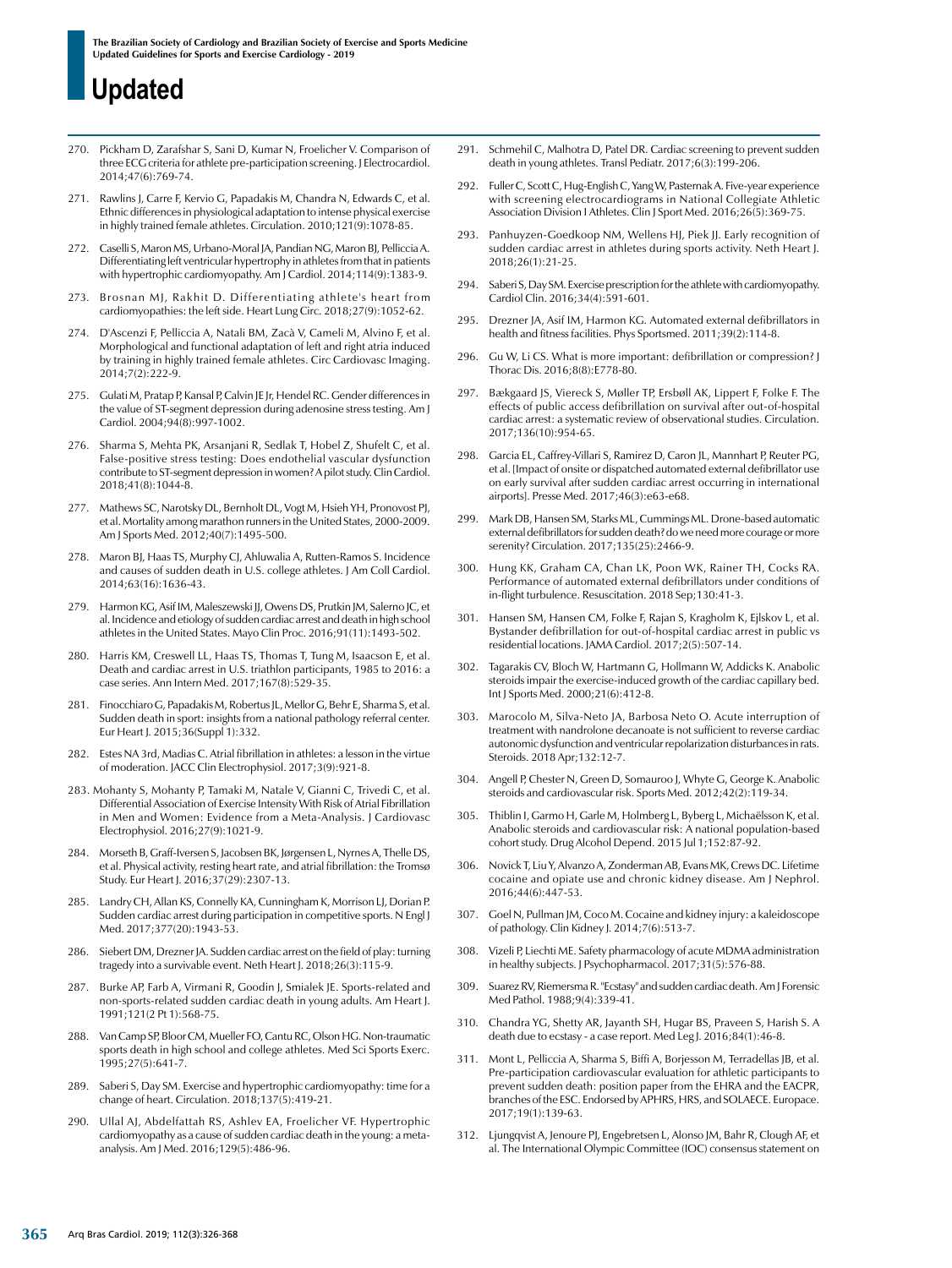- 270. Pickham D, Zarafshar S, Sani D, Kumar N, Froelicher V. Comparison of three ECG criteria for athlete pre-participation screening. J Electrocardiol. 2014;47(6):769-74.
- 271. Rawlins J, Carre F, Kervio G, Papadakis M, Chandra N, Edwards C, et al. Ethnic differences in physiological adaptation to intense physical exercise in highly trained female athletes. Circulation. 2010;121(9):1078-85.
- 272. Caselli S, Maron MS, Urbano-Moral JA, Pandian NG, Maron BJ, Pelliccia A. Differentiating left ventricular hypertrophy in athletes from that in patients with hypertrophic cardiomyopathy. Am J Cardiol. 2014;114(9):1383-9.
- 273. Brosnan MJ, Rakhit D. Differentiating athlete's heart from cardiomyopathies: the left side. Heart Lung Circ. 2018;27(9):1052-62.
- 274. D'Ascenzi F, Pelliccia A, Natali BM, Zacà V, Cameli M, Alvino F, et al. Morphological and functional adaptation of left and right atria induced by training in highly trained female athletes. Circ Cardiovasc Imaging. 2014;7(2):222-9.
- 275. Gulati M, Pratap P, Kansal P, Calvin JE Jr, Hendel RC. Gender differences in the value of ST-segment depression during adenosine stress testing. Am J Cardiol. 2004;94(8):997-1002.
- 276. Sharma S, Mehta PK, Arsanjani R, Sedlak T, Hobel Z, Shufelt C, et al. False-positive stress testing: Does endothelial vascular dysfunction contribute to ST-segment depression in women? A pilot study. Clin Cardiol. 2018;41(8):1044-8.
- 277. Mathews SC, Narotsky DL, Bernholt DL, Vogt M, Hsieh YH, Pronovost PJ, et al. Mortality among marathon runners in the United States, 2000-2009. Am J Sports Med. 2012;40(7):1495-500.
- 278. Maron BJ, Haas TS, Murphy CJ, Ahluwalia A, Rutten-Ramos S. Incidence and causes of sudden death in U.S. college athletes. J Am Coll Cardiol. 2014;63(16):1636-43.
- 279. Harmon KG, Asif IM, Maleszewski JJ, Owens DS, Prutkin JM, Salerno JC, et al. Incidence and etiology of sudden cardiac arrest and death in high school athletes in the United States. Mayo Clin Proc. 2016;91(11):1493-502.
- 280. Harris KM, Creswell LL, Haas TS, Thomas T, Tung M, Isaacson E, et al. Death and cardiac arrest in U.S. triathlon participants, 1985 to 2016: a case series. Ann Intern Med. 2017;167(8):529-35.
- 281. Finocchiaro G, Papadakis M, Robertus JL, Mellor G, Behr E, Sharma S, et al. Sudden death in sport: insights from a national pathology referral center. Eur Heart J. 2015;36(Suppl 1):332.
- 282. Estes NA 3rd, Madias C. Atrial fibrillation in athletes: a lesson in the virtue of moderation. JACC Clin Electrophysiol. 2017;3(9):921-8.
- 283. Mohanty S, Mohanty P, Tamaki M, Natale V, Gianni C, Trivedi C, et al. Differential Association of Exercise Intensity With Risk of Atrial Fibrillation in Men and Women: Evidence from a Meta-Analysis. J Cardiovasc Electrophysiol. 2016;27(9):1021-9.
- 284. Morseth B, Graff-Iversen S, Jacobsen BK, Jørgensen L, Nyrnes A, Thelle DS, et al. Physical activity, resting heart rate, and atrial fibrillation: the Tromsø Study. Eur Heart J. 2016;37(29):2307-13.
- 285. Landry CH, Allan KS, Connelly KA, Cunningham K, Morrison LJ, Dorian P. Sudden cardiac arrest during participation in competitive sports. N Engl J Med. 2017;377(20):1943-53.
- 286. Siebert DM, Drezner JA. Sudden cardiac arrest on the field of play: turning tragedy into a survivable event. Neth Heart J. 2018;26(3):115-9.
- 287. Burke AP, Farb A, Virmani R, Goodin J, Smialek JE. Sports-related and non-sports-related sudden cardiac death in young adults. Am Heart J. 1991;121(2 Pt 1):568-75.
- 288. Van Camp SP, Bloor CM, Mueller FO, Cantu RC, Olson HG. Non-traumatic sports death in high school and college athletes. Med Sci Sports Exerc. 1995;27(5):641-7.
- 289. Saberi S, Day SM. Exercise and hypertrophic cardiomyopathy: time for a change of heart. Circulation. 2018;137(5):419-21.
- 290. Ullal AJ, Abdelfattah RS, Ashlev EA, Froelicher VF. Hypertrophic cardiomyopathy as a cause of sudden cardiac death in the young: a metaanalysis. Am J Med. 2016;129(5):486-96.
- Schmehil C, Malhotra D, Patel DR. Cardiac screening to prevent sudden death in young athletes. Transl Pediatr. 2017;6(3):199-206.
- 292. Fuller C, Scott C, Hug-English C, Yang W, Pasternak A. Five-year experience with screening electrocardiograms in National Collegiate Athletic Association Division I Athletes. Clin J Sport Med. 2016;26(5):369-75.
- 293. Panhuyzen-Goedkoop NM, Wellens HJ, Piek JJ. Early recognition of sudden cardiac arrest in athletes during sports activity. Neth Heart J. 2018;26(1):21-25.
- 294. Saberi S, Day SM. Exercise prescription for the athlete with cardiomyopathy. Cardiol Clin. 2016;34(4):591-601.
- 295. Drezner JA, Asif IM, Harmon KG. Automated external defibrillators in health and fitness facilities. Phys Sportsmed. 2011;39(2):114-8.
- 296. Gu W, Li CS. What is more important: defibrillation or compression? J Thorac Dis. 2016;8(8):E778-80.
- 297. Bækgaard JS, Viereck S, Møller TP, Ersbøll AK, Lippert F, Folke F. The effects of public access defibrillation on survival after out-of-hospital cardiac arrest: a systematic review of observational studies. Circulation. 2017;136(10):954-65.
- 298. Garcia EL, Caffrey-Villari S, Ramirez D, Caron JL, Mannhart P, Reuter PG, et al. [Impact of onsite or dispatched automated external defibrillator use on early survival after sudden cardiac arrest occurring in international airports]. Presse Med. 2017;46(3):e63-e68.
- 299. Mark DB, Hansen SM, Starks ML, Cummings ML. Drone-based automatic external defibrillators for sudden death? do we need more courage or more serenity? Circulation. 2017;135(25):2466-9.
- 300. Hung KK, Graham CA, Chan LK, Poon WK, Rainer TH, Cocks RA. Performance of automated external defibrillators under conditions of in-flight turbulence. Resuscitation. 2018 Sep;130:41-3.
- 301. Hansen SM, Hansen CM, Folke F, Rajan S, Kragholm K, Ejlskov L, et al. Bystander defibrillation for out-of-hospital cardiac arrest in public vs residential locations. JAMA Cardiol. 2017;2(5):507-14.
- 302. Tagarakis CV, Bloch W, Hartmann G, Hollmann W, Addicks K. Anabolic steroids impair the exercise-induced growth of the cardiac capillary bed. Int J Sports Med. 2000;21(6):412-8.
- 303. Marocolo M, Silva-Neto JA, Barbosa Neto O. Acute interruption of treatment with nandrolone decanoate is not sufficient to reverse cardiac autonomic dysfunction and ventricular repolarization disturbances in rats. Steroids. 2018 Apr;132:12-7.
- 304. Angell P, Chester N, Green D, Somauroo J, Whyte G, George K. Anabolic steroids and cardiovascular risk. Sports Med. 2012;42(2):119-34.
- 305. Thiblin I, Garmo H, Garle M, Holmberg L, Byberg L, Michaëlsson K, et al. Anabolic steroids and cardiovascular risk: A national population-based cohort study. Drug Alcohol Depend. 2015 Jul 1;152:87-92.
- Novick T, Liu Y, Alvanzo A, Zonderman AB, Evans MK, Crews DC. Lifetime cocaine and opiate use and chronic kidney disease. Am J Nephrol. 2016;44(6):447-53.
- 307. Goel N, Pullman JM, Coco M. Cocaine and kidney injury: a kaleidoscope of pathology. Clin Kidney J. 2014;7(6):513-7.
- 308. Vizeli P, Liechti ME. Safety pharmacology of acute MDMA administration in healthy subjects. J Psychopharmacol. 2017;31(5):576-88.
- 309. Suarez RV, Riemersma R. "Ecstasy" and sudden cardiac death. Am J Forensic Med Pathol. 1988;9(4):339-41.
- 310. Chandra YG, Shetty AR, Jayanth SH, Hugar BS, Praveen S, Harish S. A death due to ecstasy - a case report. Med Leg J. 2016;84(1):46-8.
- 311. Mont L, Pelliccia A, Sharma S, Biffi A, Borjesson M, Terradellas JB, et al. Pre-participation cardiovascular evaluation for athletic participants to prevent sudden death: position paper from the EHRA and the EACPR, branches of the ESC. Endorsed by APHRS, HRS, and SOLAECE. Europace. 2017;19(1):139-63.
- 312. Ljungqvist A, Jenoure PJ, Engebretsen L, Alonso JM, Bahr R, Clough AF, et al. The International Olympic Committee (IOC) consensus statement on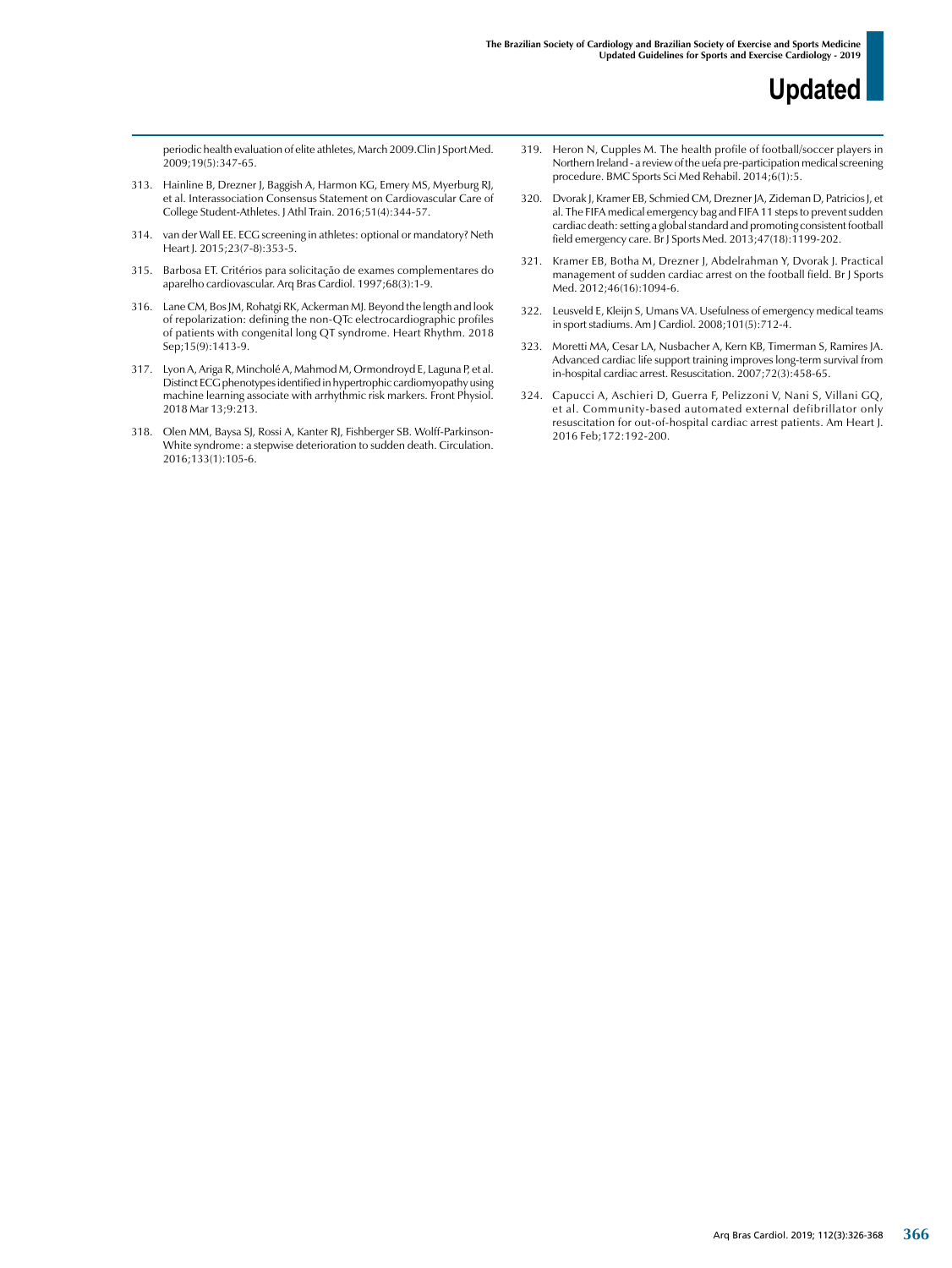periodic health evaluation of elite athletes, March 2009.Clin J Sport Med. 2009;19(5):347-65.

- 313. Hainline B, Drezner J, Baggish A, Harmon KG, Emery MS, Myerburg RJ, et al. Interassociation Consensus Statement on Cardiovascular Care of College Student-Athletes. J Athl Train. 2016;51(4):344-57.
- 314. van der Wall EE. ECG screening in athletes: optional or mandatory? Neth Heart J. 2015;23(7-8):353-5.
- 315. Barbosa ET. Critérios para solicitação de exames complementares do aparelho cardiovascular. Arq Bras Cardiol. 1997;68(3):1-9.
- 316. Lane CM, Bos JM, Rohatgi RK, Ackerman MJ. Beyond the length and look of repolarization: defining the non-QTc electrocardiographic profiles of patients with congenital long QT syndrome. Heart Rhythm. 2018 Sep;15(9):1413-9.
- 317. Lyon A, Ariga R, Mincholé A, Mahmod M, Ormondroyd E, Laguna P, et al. Distinct ECG phenotypes identified in hypertrophic cardiomyopathy using machine learning associate with arrhythmic risk markers. Front Physiol. 2018 Mar 13;9:213.
- 318. Olen MM, Baysa SJ, Rossi A, Kanter RJ, Fishberger SB. Wolff-Parkinson-White syndrome: a stepwise deterioration to sudden death. Circulation. 2016;133(1):105-6.
- 319. Heron N, Cupples M. The health profile of football/soccer players in Northern Ireland - a review of the uefa pre-participation medical screening procedure. BMC Sports Sci Med Rehabil. 2014;6(1):5.
- 320. Dvorak J, Kramer EB, Schmied CM, Drezner JA, Zideman D, Patricios J, et al. The FIFA medical emergency bag and FIFA 11 steps to prevent sudden cardiac death: setting a global standard and promoting consistent football field emergency care. Br J Sports Med. 2013;47(18):1199-202.
- 321. Kramer EB, Botha M, Drezner J, Abdelrahman Y, Dvorak J. Practical management of sudden cardiac arrest on the football field. Br J Sports Med. 2012;46(16):1094-6.
- 322. Leusveld E, Kleijn S, Umans VA. Usefulness of emergency medical teams in sport stadiums. Am J Cardiol. 2008;101(5):712-4.
- 323. Moretti MA, Cesar LA, Nusbacher A, Kern KB, Timerman S, Ramires JA. Advanced cardiac life support training improves long-term survival from in-hospital cardiac arrest. Resuscitation. 2007;72(3):458-65.
- 324. Capucci A, Aschieri D, Guerra F, Pelizzoni V, Nani S, Villani GQ, et al. Community-based automated external defibrillator only resuscitation for out-of-hospital cardiac arrest patients. Am Heart J. 2016 Feb;172:192-200.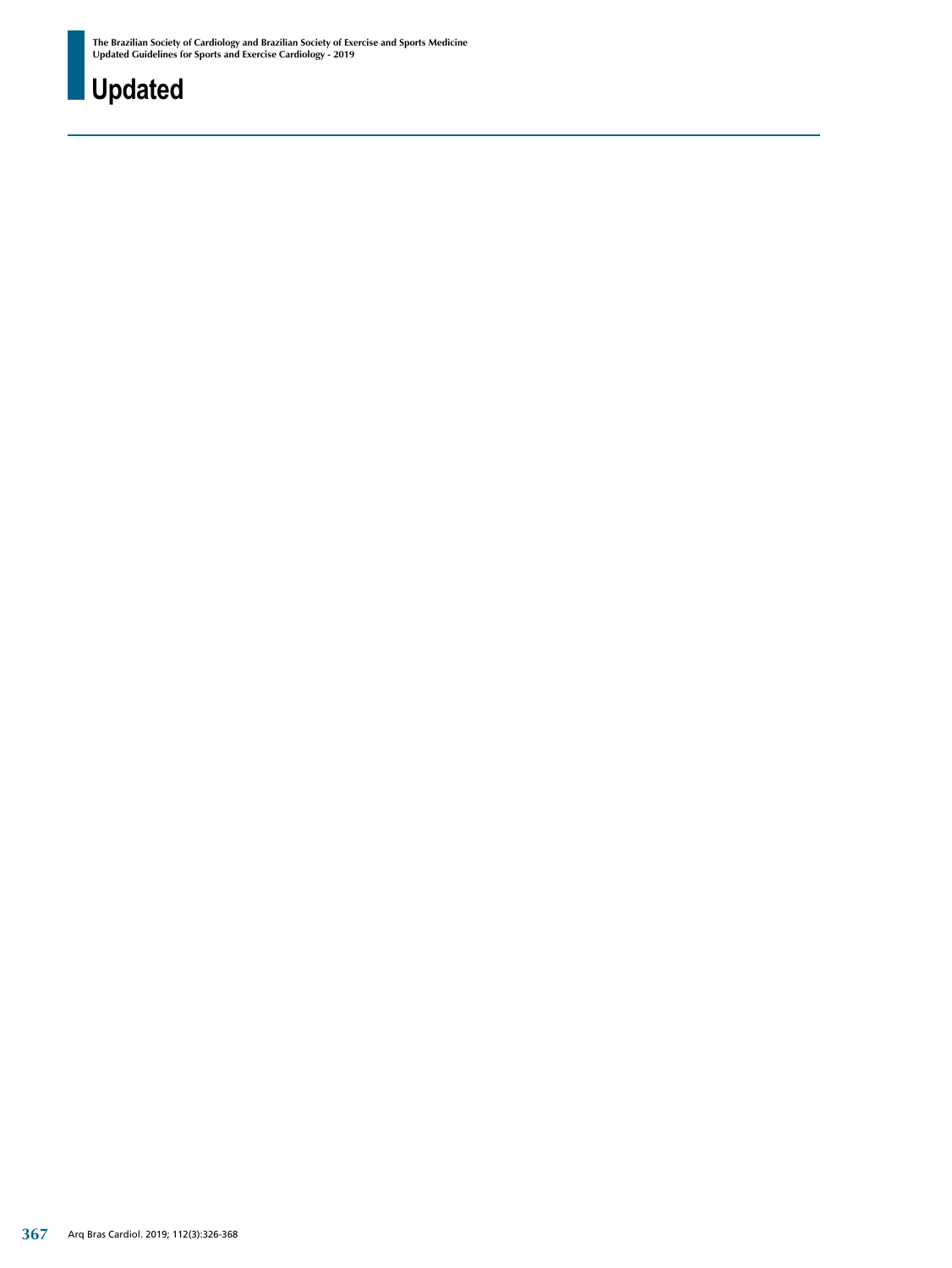**The Brazilian Society of Cardiology and Brazilian Society of Exercise and Sports Medicine Updated Guidelines for Sports and Exercise Cardiology - 2019**